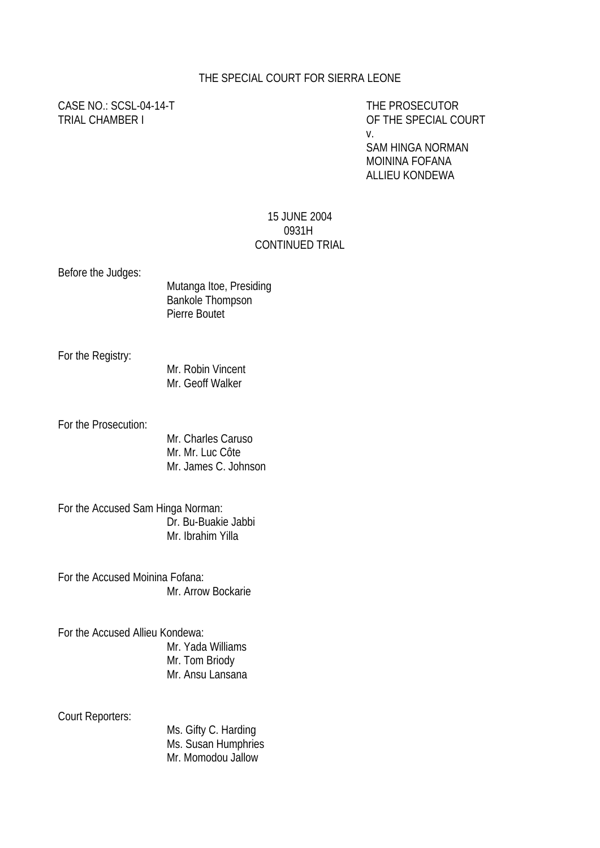#### THE SPECIAL COURT FOR SIERRA LEONE

# CASE NO.: SCSL-04-14-T THE PROSECUTOR

TRIAL CHAMBER I OF THE SPECIAL COURT v.

> SAM HINGA NORMAN MOININA FOFANA ALLIEU KONDEWA

#### 15 JUNE 2004 0931H CONTINUED TRIAL

Before the Judges:

Mutanga Itoe, Presiding Bankole Thompson Pierre Boutet

For the Registry:

Mr. Robin Vincent Mr. Geoff Walker

For the Prosecution:

Mr. Charles Caruso Mr. Mr. Luc Côte Mr. James C. Johnson

For the Accused Sam Hinga Norman: Dr. Bu-Buakie Jabbi Mr. Ibrahim Yilla

For the Accused Moinina Fofana: Mr. Arrow Bockarie

For the Accused Allieu Kondewa: Mr. Yada Williams Mr. Tom Briody Mr. Ansu Lansana

Court Reporters:

Ms. Gifty C. Harding Ms. Susan Humphries Mr. Momodou Jallow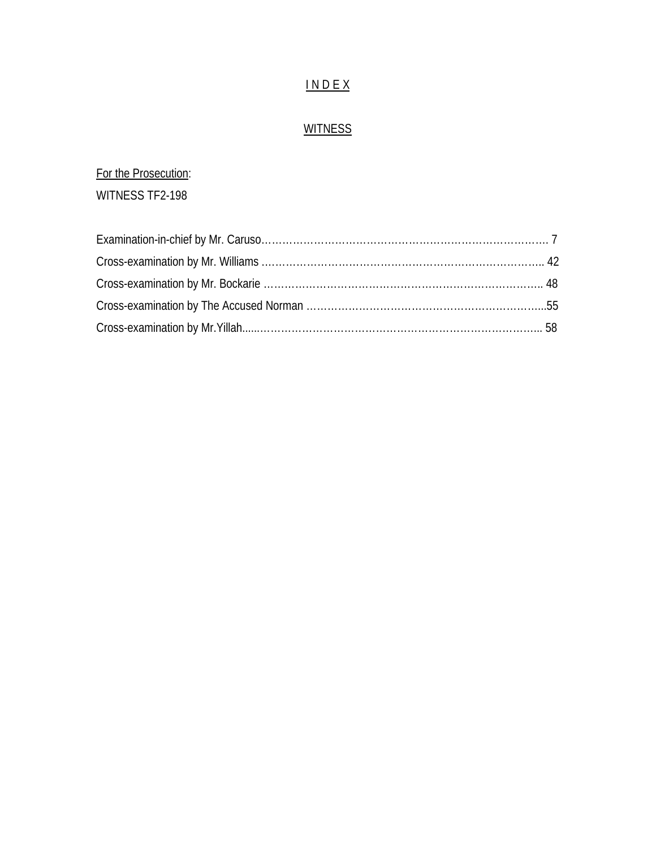## I N D E X

# **WITNESS**

## For the Prosecution:

WITNESS TF2-198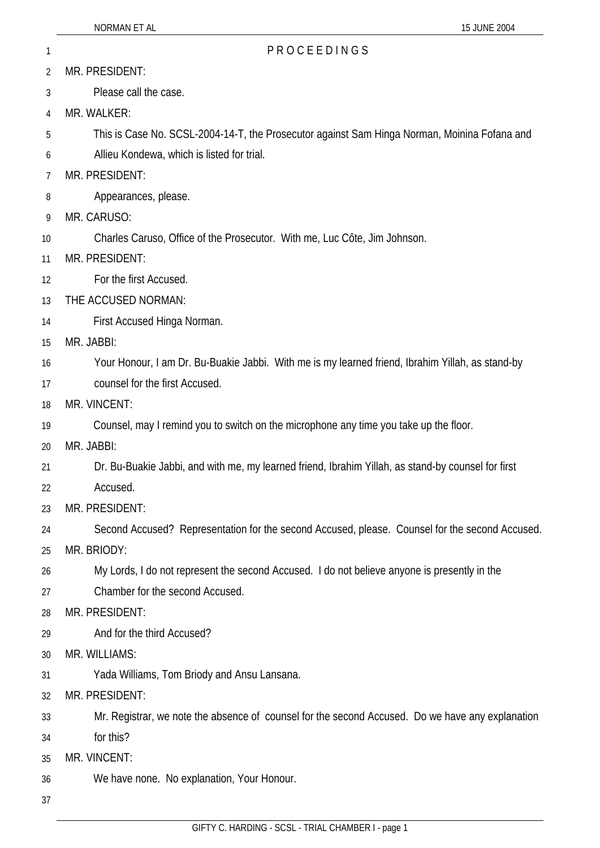- 2 MR. PRESIDENT:
- 3 Please call the case.
- 4 MR. WALKER:
- 5 This is Case No. SCSL-2004-14-T, the Prosecutor against Sam Hinga Norman, Moinina Fofana and
- 6 Allieu Kondewa, which is listed for trial.
- 7 MR. PRESIDENT:
- 8 Appearances, please.
- 9 MR. CARUSO:
- 10 Charles Caruso, Office of the Prosecutor. With me, Luc Côte, Jim Johnson.
- 11 MR. PRESIDENT:
- 12 For the first Accused.
- 13 THE ACCUSED NORMAN:
- 14 First Accused Hinga Norman.
- 15 MR. JABBI:
- 16 Your Honour, I am Dr. Bu-Buakie Jabbi. With me is my learned friend, Ibrahim Yillah, as stand-by
- 17 counsel for the first Accused.
- 18 MR. VINCENT:
- 19 Counsel, may I remind you to switch on the microphone any time you take up the floor.
- 20 MR. JABBI:
- 21 Dr. Bu-Buakie Jabbi, and with me, my learned friend, Ibrahim Yillah, as stand-by counsel for first
- 22 Accused.
- 23 MR. PRESIDENT:
- 24 Second Accused? Representation for the second Accused, please. Counsel for the second Accused.
- 25 MR. BRIODY:
- 26 My Lords, I do not represent the second Accused. I do not believe anyone is presently in the
- 27 Chamber for the second Accused.
- 28 MR. PRESIDENT:
- 29 And for the third Accused?
- 30 MR. WILLIAMS:
- 31 Yada Williams, Tom Briody and Ansu Lansana.
- 32 MR. PRESIDENT:
- 33 Mr. Registrar, we note the absence of counsel for the second Accused. Do we have any explanation
- 34 for this?
- 35 MR. VINCENT:
- 36 We have none. No explanation, Your Honour.
- 37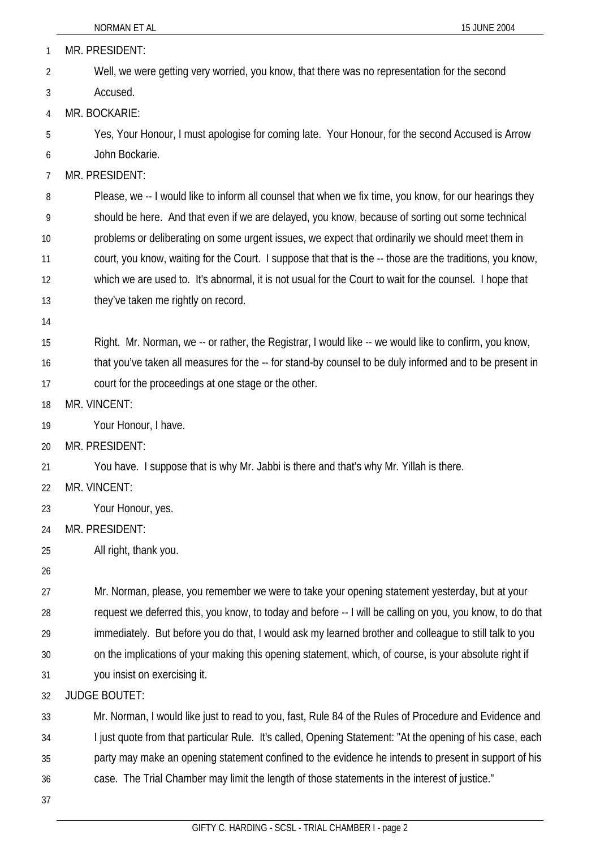| 1              | MR. PRESIDENT:                                                                                            |
|----------------|-----------------------------------------------------------------------------------------------------------|
| $\overline{2}$ | Well, we were getting very worried, you know, that there was no representation for the second             |
| 3              | Accused.                                                                                                  |
| 4              | MR. BOCKARIE:                                                                                             |
| 5              | Yes, Your Honour, I must apologise for coming late. Your Honour, for the second Accused is Arrow          |
| 6              | John Bockarie.                                                                                            |
| 7              | MR. PRESIDENT:                                                                                            |
| 8              | Please, we -- I would like to inform all counsel that when we fix time, you know, for our hearings they   |
| 9              | should be here. And that even if we are delayed, you know, because of sorting out some technical          |
| 10             | problems or deliberating on some urgent issues, we expect that ordinarily we should meet them in          |
| 11             | court, you know, waiting for the Court. I suppose that that is the -- those are the traditions, you know, |
| 12             | which we are used to. It's abnormal, it is not usual for the Court to wait for the counsel. I hope that   |
| 13             | they've taken me rightly on record.                                                                       |
| 14             |                                                                                                           |
| 15             | Right. Mr. Norman, we -- or rather, the Registrar, I would like -- we would like to confirm, you know,    |
| 16             | that you've taken all measures for the -- for stand-by counsel to be duly informed and to be present in   |
| 17             | court for the proceedings at one stage or the other.                                                      |
| 18             | MR. VINCENT:                                                                                              |
| 19             | Your Honour, I have.                                                                                      |
| 20             | MR. PRESIDENT:                                                                                            |
| 21             | You have. I suppose that is why Mr. Jabbi is there and that's why Mr. Yillah is there.                    |
| 22             | MR. VINCENT:                                                                                              |
| 23             | Your Honour, yes.                                                                                         |
| 24             | MR. PRESIDENT:                                                                                            |
| 25             | All right, thank you.                                                                                     |
| 26             |                                                                                                           |
| 27             | Mr. Norman, please, you remember we were to take your opening statement yesterday, but at your            |
| 28             | request we deferred this, you know, to today and before -- I will be calling on you, you know, to do that |
| 29             | immediately. But before you do that, I would ask my learned brother and colleague to still talk to you    |
| 30             | on the implications of your making this opening statement, which, of course, is your absolute right if    |
| 31             | you insist on exercising it.                                                                              |
| 32             | <b>JUDGE BOUTET:</b>                                                                                      |
| 33             | Mr. Norman, I would like just to read to you, fast, Rule 84 of the Rules of Procedure and Evidence and    |
| 34             | I just quote from that particular Rule. It's called, Opening Statement: "At the opening of his case, each |
| 35             | party may make an opening statement confined to the evidence he intends to present in support of his      |
| 36             | case. The Trial Chamber may limit the length of those statements in the interest of justice."             |
| 37             |                                                                                                           |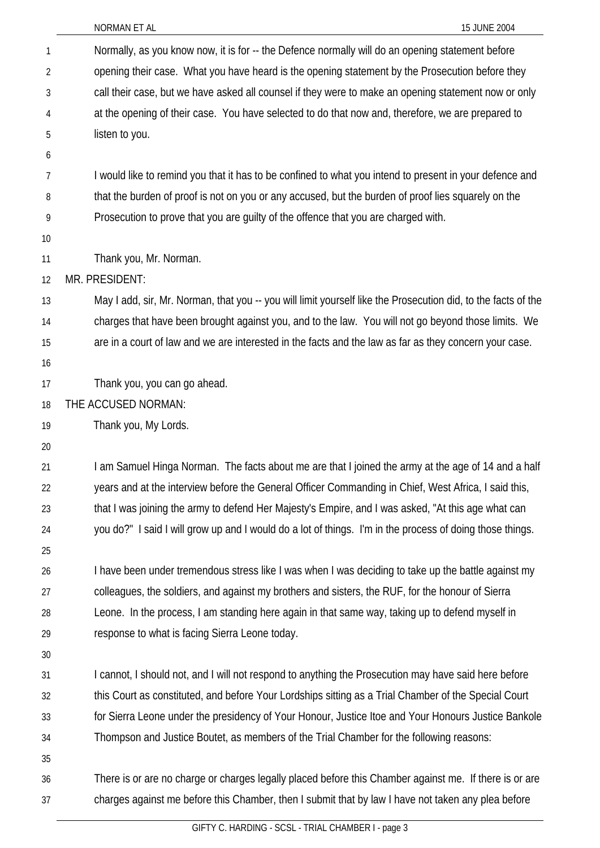| $\mathbf{1}$   | Normally, as you know now, it is for -- the Defence normally will do an opening statement before              |
|----------------|---------------------------------------------------------------------------------------------------------------|
| $\overline{2}$ | opening their case. What you have heard is the opening statement by the Prosecution before they               |
| 3              | call their case, but we have asked all counsel if they were to make an opening statement now or only          |
| 4              | at the opening of their case. You have selected to do that now and, therefore, we are prepared to             |
| 5              | listen to you.                                                                                                |
| 6              |                                                                                                               |
| 7              | I would like to remind you that it has to be confined to what you intend to present in your defence and       |
| 8              | that the burden of proof is not on you or any accused, but the burden of proof lies squarely on the           |
| 9              | Prosecution to prove that you are guilty of the offence that you are charged with.                            |
| 10             |                                                                                                               |
| 11             | Thank you, Mr. Norman.                                                                                        |
| 12             | MR. PRESIDENT:                                                                                                |
| 13             | May I add, sir, Mr. Norman, that you -- you will limit yourself like the Prosecution did, to the facts of the |
| 14             | charges that have been brought against you, and to the law. You will not go beyond those limits. We           |
| 15             | are in a court of law and we are interested in the facts and the law as far as they concern your case.        |
| 16             |                                                                                                               |
| 17             | Thank you, you can go ahead.                                                                                  |
| 18             | THE ACCUSED NORMAN:                                                                                           |
| 19             | Thank you, My Lords.                                                                                          |
| 20             |                                                                                                               |
| 21             | I am Samuel Hinga Norman. The facts about me are that I joined the army at the age of 14 and a half           |
| 22             | years and at the interview before the General Officer Commanding in Chief, West Africa, I said this,          |
| 23             | that I was joining the army to defend Her Majesty's Empire, and I was asked, "At this age what can            |
| 24             | you do?" I said I will grow up and I would do a lot of things. I'm in the process of doing those things.      |
| 25             |                                                                                                               |
| 26             | I have been under tremendous stress like I was when I was deciding to take up the battle against my           |
| 27             | colleagues, the soldiers, and against my brothers and sisters, the RUF, for the honour of Sierra              |
| 28             | Leone. In the process, I am standing here again in that same way, taking up to defend myself in               |
| 29<br>30       | response to what is facing Sierra Leone today.                                                                |
| 31             | I cannot, I should not, and I will not respond to anything the Prosecution may have said here before          |
| 32             | this Court as constituted, and before Your Lordships sitting as a Trial Chamber of the Special Court          |
| 33             | for Sierra Leone under the presidency of Your Honour, Justice Itoe and Your Honours Justice Bankole           |
| 34             | Thompson and Justice Boutet, as members of the Trial Chamber for the following reasons:                       |
| 35             |                                                                                                               |
| 36             | There is or are no charge or charges legally placed before this Chamber against me. If there is or are        |
| 37             | charges against me before this Chamber, then I submit that by law I have not taken any plea before            |
|                |                                                                                                               |

NORMAN ET AL 15 JUNE 2004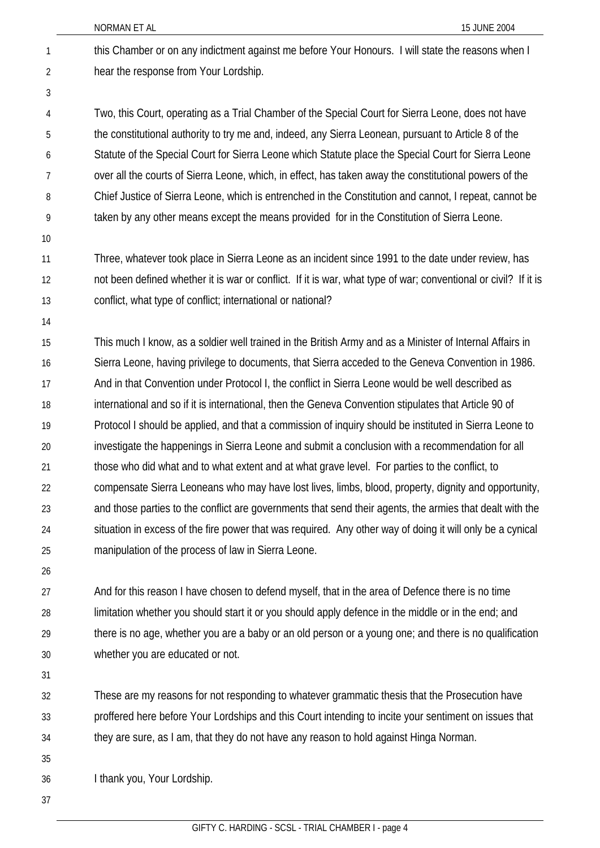- this Chamber or on any indictment against me before Your Honours. I will state the reasons when I hear the response from Your Lordship. 1 2
- 3

Two, this Court, operating as a Trial Chamber of the Special Court for Sierra Leone, does not have the constitutional authority to try me and, indeed, any Sierra Leonean, pursuant to Article 8 of the Statute of the Special Court for Sierra Leone which Statute place the Special Court for Sierra Leone over all the courts of Sierra Leone, which, in effect, has taken away the constitutional powers of the Chief Justice of Sierra Leone, which is entrenched in the Constitution and cannot, I repeat, cannot be taken by any other means except the means provided for in the Constitution of Sierra Leone. 4 5 6 7 8 9

10

Three, whatever took place in Sierra Leone as an incident since 1991 to the date under review, has not been defined whether it is war or conflict. If it is war, what type of war; conventional or civil? If it is conflict, what type of conflict; international or national? 11 12 13

14

This much I know, as a soldier well trained in the British Army and as a Minister of Internal Affairs in Sierra Leone, having privilege to documents, that Sierra acceded to the Geneva Convention in 1986. And in that Convention under Protocol I, the conflict in Sierra Leone would be well described as international and so if it is international, then the Geneva Convention stipulates that Article 90 of Protocol I should be applied, and that a commission of inquiry should be instituted in Sierra Leone to investigate the happenings in Sierra Leone and submit a conclusion with a recommendation for all those who did what and to what extent and at what grave level. For parties to the conflict, to compensate Sierra Leoneans who may have lost lives, limbs, blood, property, dignity and opportunity, and those parties to the conflict are governments that send their agents, the armies that dealt with the situation in excess of the fire power that was required. Any other way of doing it will only be a cynical manipulation of the process of law in Sierra Leone. 15 16 17 18 19 20 21 22 23 24 25

26

And for this reason I have chosen to defend myself, that in the area of Defence there is no time limitation whether you should start it or you should apply defence in the middle or in the end; and there is no age, whether you are a baby or an old person or a young one; and there is no qualification whether you are educated or not. 27 28 29 30

31

These are my reasons for not responding to whatever grammatic thesis that the Prosecution have proffered here before Your Lordships and this Court intending to incite your sentiment on issues that they are sure, as I am, that they do not have any reason to hold against Hinga Norman. 32 33 34

35

I thank you, Your Lordship. 36

37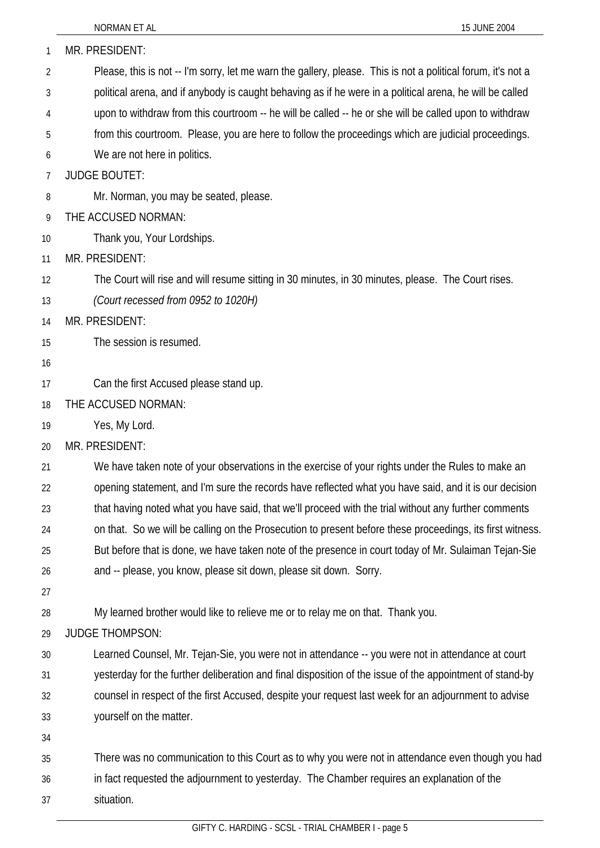| 1  | MR. PRESIDENT:                                                                                               |
|----|--------------------------------------------------------------------------------------------------------------|
| 2  | Please, this is not -- I'm sorry, let me warn the gallery, please. This is not a political forum, it's not a |
| 3  | political arena, and if anybody is caught behaving as if he were in a political arena, he will be called     |
| 4  | upon to withdraw from this courtroom -- he will be called -- he or she will be called upon to withdraw       |
| 5  | from this courtroom. Please, you are here to follow the proceedings which are judicial proceedings.          |
| 6  | We are not here in politics.                                                                                 |
| 7  | <b>JUDGE BOUTET:</b>                                                                                         |
| 8  | Mr. Norman, you may be seated, please.                                                                       |
| 9  | THE ACCUSED NORMAN:                                                                                          |
| 10 | Thank you, Your Lordships.                                                                                   |
| 11 | MR. PRESIDENT:                                                                                               |
| 12 | The Court will rise and will resume sitting in 30 minutes, in 30 minutes, please. The Court rises.           |
| 13 | (Court recessed from 0952 to 1020H)                                                                          |
| 14 | MR. PRESIDENT:                                                                                               |
| 15 | The session is resumed.                                                                                      |
| 16 |                                                                                                              |
| 17 | Can the first Accused please stand up.                                                                       |
| 18 | THE ACCUSED NORMAN:                                                                                          |
| 19 | Yes, My Lord.                                                                                                |
| 20 | MR. PRESIDENT:                                                                                               |
| 21 | We have taken note of your observations in the exercise of your rights under the Rules to make an            |
| 22 | opening statement, and I'm sure the records have reflected what you have said, and it is our decision        |
| 23 | that having noted what you have said, that we'll proceed with the trial without any further comments         |
| 24 | on that. So we will be calling on the Prosecution to present before these proceedings, its first witness.    |
| 25 | But before that is done, we have taken note of the presence in court today of Mr. Sulaiman Tejan-Sie         |
| 26 | and -- please, you know, please sit down, please sit down. Sorry.                                            |
| 27 |                                                                                                              |
| 28 | My learned brother would like to relieve me or to relay me on that. Thank you.                               |
| 29 | <b>JUDGE THOMPSON:</b>                                                                                       |
| 30 | Learned Counsel, Mr. Tejan-Sie, you were not in attendance -- you were not in attendance at court            |
| 31 | yesterday for the further deliberation and final disposition of the issue of the appointment of stand-by     |
| 32 | counsel in respect of the first Accused, despite your request last week for an adjournment to advise         |
| 33 | yourself on the matter.                                                                                      |
| 34 |                                                                                                              |
| 35 | There was no communication to this Court as to why you were not in attendance even though you had            |
| 36 | in fact requested the adjournment to yesterday. The Chamber requires an explanation of the                   |
| 37 | situation.                                                                                                   |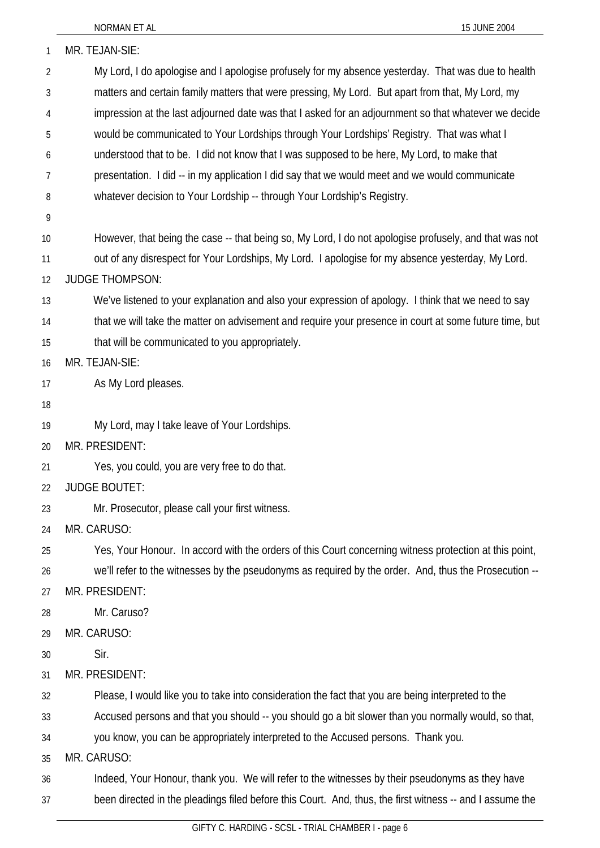| 1  | MR. TEJAN-SIE:                                                                                           |
|----|----------------------------------------------------------------------------------------------------------|
| 2  | My Lord, I do apologise and I apologise profusely for my absence yesterday. That was due to health       |
| 3  | matters and certain family matters that were pressing, My Lord. But apart from that, My Lord, my         |
| 4  | impression at the last adjourned date was that I asked for an adjournment so that whatever we decide     |
| 5  | would be communicated to Your Lordships through Your Lordships' Registry. That was what I                |
| 6  | understood that to be. I did not know that I was supposed to be here, My Lord, to make that              |
| 7  | presentation. I did -- in my application I did say that we would meet and we would communicate           |
| 8  | whatever decision to Your Lordship -- through Your Lordship's Registry.                                  |
| 9  |                                                                                                          |
| 10 | However, that being the case -- that being so, My Lord, I do not apologise profusely, and that was not   |
| 11 | out of any disrespect for Your Lordships, My Lord. I apologise for my absence yesterday, My Lord.        |
| 12 | <b>JUDGE THOMPSON:</b>                                                                                   |
| 13 | We've listened to your explanation and also your expression of apology. I think that we need to say      |
| 14 | that we will take the matter on advisement and require your presence in court at some future time, but   |
| 15 | that will be communicated to you appropriately.                                                          |
| 16 | MR. TEJAN-SIE:                                                                                           |
| 17 | As My Lord pleases.                                                                                      |
| 18 |                                                                                                          |
| 19 | My Lord, may I take leave of Your Lordships.                                                             |
| 20 | MR. PRESIDENT:                                                                                           |
| 21 | Yes, you could, you are very free to do that.                                                            |
| 22 | JUDGE BOUTET:                                                                                            |
| 23 | Mr. Prosecutor, please call your first witness.                                                          |
| 24 | MR. CARUSO:                                                                                              |
| 25 | Yes, Your Honour. In accord with the orders of this Court concerning witness protection at this point,   |
| 26 | we'll refer to the witnesses by the pseudonyms as required by the order. And, thus the Prosecution --    |
| 27 | MR. PRESIDENT:                                                                                           |
| 28 | Mr. Caruso?                                                                                              |
| 29 | MR. CARUSO:                                                                                              |
| 30 | Sir.                                                                                                     |
| 31 | MR. PRESIDENT:                                                                                           |
| 32 | Please, I would like you to take into consideration the fact that you are being interpreted to the       |
| 33 | Accused persons and that you should -- you should go a bit slower than you normally would, so that,      |
| 34 | you know, you can be appropriately interpreted to the Accused persons. Thank you.                        |
| 35 | MR. CARUSO:                                                                                              |
| 36 | Indeed, Your Honour, thank you. We will refer to the witnesses by their pseudonyms as they have          |
| 37 | been directed in the pleadings filed before this Court. And, thus, the first witness -- and I assume the |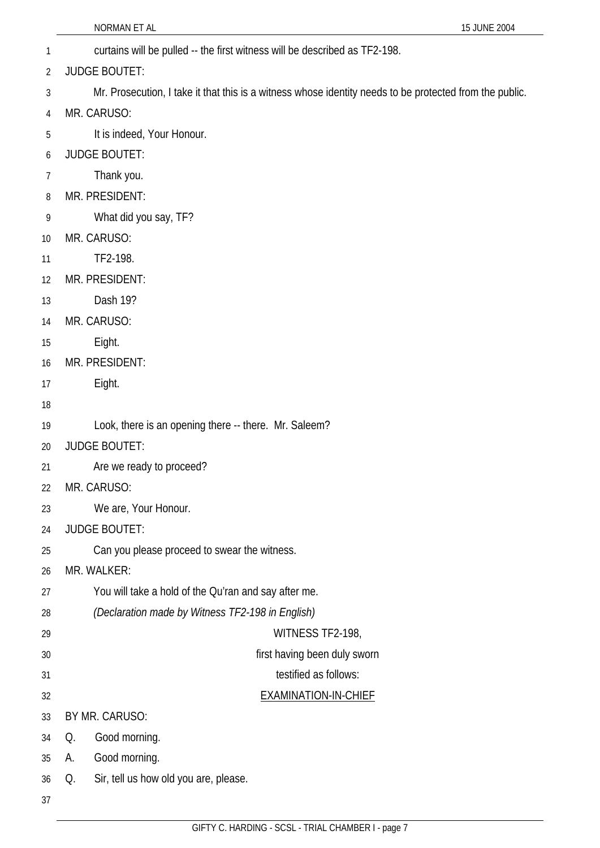| 1  | curtains will be pulled -- the first witness will be described as TF2-198.                              |  |
|----|---------------------------------------------------------------------------------------------------------|--|
| 2  | <b>JUDGE BOUTET:</b>                                                                                    |  |
| 3  | Mr. Prosecution, I take it that this is a witness whose identity needs to be protected from the public. |  |
| 4  | MR. CARUSO:                                                                                             |  |
| 5  | It is indeed, Your Honour.                                                                              |  |
| 6  | <b>JUDGE BOUTET:</b>                                                                                    |  |
| 7  | Thank you.                                                                                              |  |
| 8  | MR. PRESIDENT:                                                                                          |  |
| 9  | What did you say, TF?                                                                                   |  |
| 10 | MR. CARUSO:                                                                                             |  |
| 11 | TF2-198.                                                                                                |  |
| 12 | MR. PRESIDENT:                                                                                          |  |
| 13 | Dash 19?                                                                                                |  |
| 14 | MR. CARUSO:                                                                                             |  |
| 15 | Eight.                                                                                                  |  |
| 16 | MR. PRESIDENT:                                                                                          |  |
| 17 | Eight.                                                                                                  |  |
| 18 |                                                                                                         |  |
| 19 | Look, there is an opening there -- there. Mr. Saleem?                                                   |  |
| 20 | <b>JUDGE BOUTET:</b>                                                                                    |  |
| 21 | Are we ready to proceed?                                                                                |  |
| 22 | MR. CARUSO:                                                                                             |  |
| 23 | We are, Your Honour.                                                                                    |  |
| 24 | <b>JUDGE BOUTET:</b>                                                                                    |  |
| 25 | Can you please proceed to swear the witness.                                                            |  |
| 26 | MR. WALKER:                                                                                             |  |
| 27 | You will take a hold of the Qu'ran and say after me.                                                    |  |
| 28 | (Declaration made by Witness TF2-198 in English)                                                        |  |
| 29 | WITNESS TF2-198,                                                                                        |  |
| 30 | first having been duly sworn                                                                            |  |
| 31 | testified as follows:                                                                                   |  |
| 32 | <b>EXAMINATION-IN-CHIEF</b>                                                                             |  |
| 33 | BY MR. CARUSO:                                                                                          |  |
| 34 | Good morning.<br>Q.                                                                                     |  |
| 35 | Good morning.<br>А.                                                                                     |  |
| 36 | Sir, tell us how old you are, please.<br>Q.                                                             |  |
| 37 |                                                                                                         |  |

NORMAN ET AL 15 JUNE 2004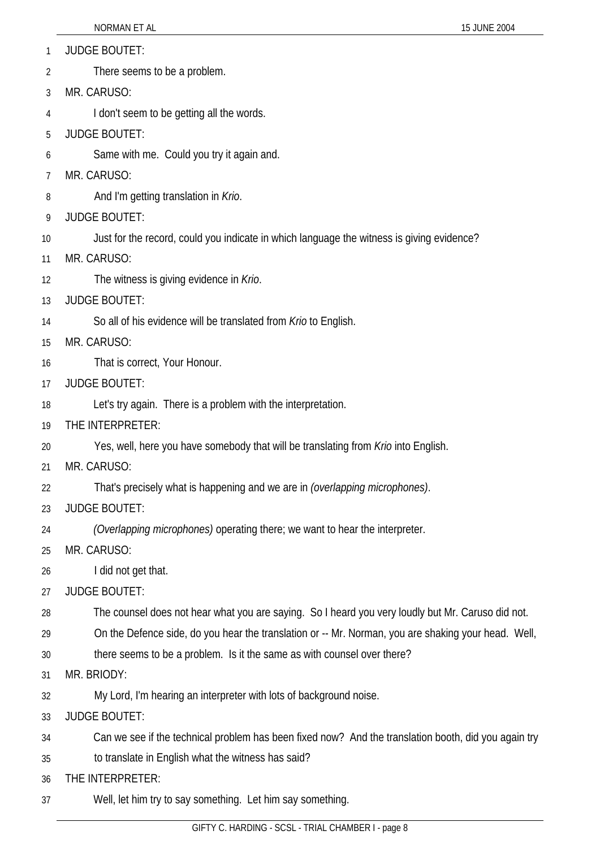- 1 JUDGE BOUTET:
- 2 There seems to be a problem.
- 3 MR. CARUSO:
- 4 I don't seem to be getting all the words.
- 5 JUDGE BOUTET:
- 6 Same with me. Could you try it again and.
- 7 MR. CARUSO:
- 8 And I'm getting translation in *Krio*.
- 9 JUDGE BOUTET:
- 10 Just for the record, could you indicate in which language the witness is giving evidence?
- 11 MR. CARUSO:
- 12 The witness is giving evidence in *Krio*.
- 13 JUDGE BOUTET:
- 14 So all of his evidence will be translated from *Krio* to English.
- 15 MR. CARUSO:
- 16 That is correct, Your Honour.
- 17 JUDGE BOUTET:
- 18 Let's try again. There is a problem with the interpretation.
- 19 THE INTERPRETER:
- 20 Yes, well, here you have somebody that will be translating from *Krio* into English.
- 21 MR. CARUSO:
- 22 That's precisely what is happening and we are in *(overlapping microphones)*.
- 23 JUDGE BOUTET:
- 24 *(Overlapping microphones)* operating there; we want to hear the interpreter.
- 25 MR. CARUSO:
- 26 I did not get that.
- 27 JUDGE BOUTET:
- 28 The counsel does not hear what you are saying. So I heard you very loudly but Mr. Caruso did not.
- 29 On the Defence side, do you hear the translation or -- Mr. Norman, you are shaking your head. Well,
- 30 there seems to be a problem. Is it the same as with counsel over there?
- 31 MR. BRIODY:
- 32 My Lord, I'm hearing an interpreter with lots of background noise.
- 33 JUDGE BOUTET:
- 34 Can we see if the technical problem has been fixed now? And the translation booth, did you again try
- 35 to translate in English what the witness has said?
- 36 THE INTERPRETER:
- 37 Well, let him try to say something. Let him say something.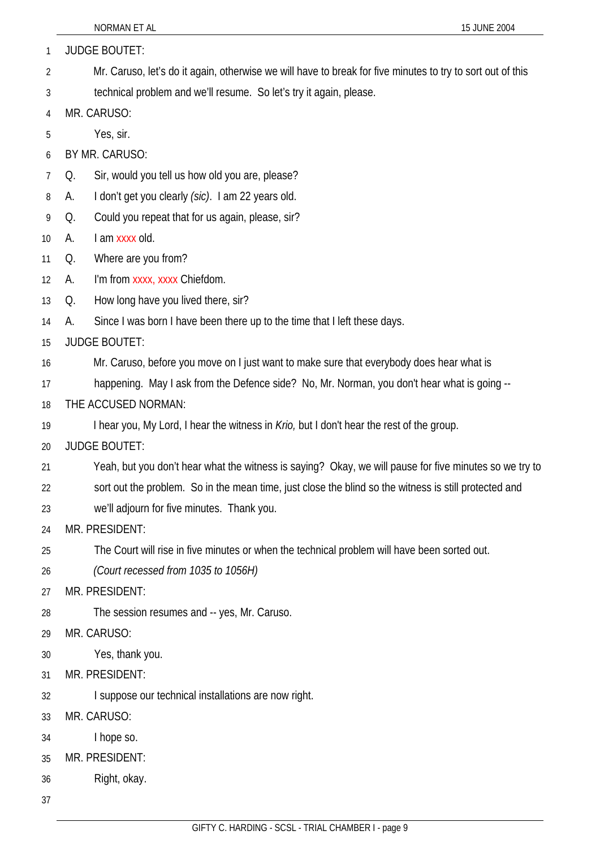| 15 JUNE 2004<br>NORMAN ET AL                                                                               |  |  |
|------------------------------------------------------------------------------------------------------------|--|--|
| <b>JUDGE BOUTET:</b>                                                                                       |  |  |
| Mr. Caruso, let's do it again, otherwise we will have to break for five minutes to try to sort out of this |  |  |
| technical problem and we'll resume. So let's try it again, please.                                         |  |  |
| MR. CARUSO:                                                                                                |  |  |
| Yes, sir.                                                                                                  |  |  |
| BY MR. CARUSO:                                                                                             |  |  |
| Sir, would you tell us how old you are, please?<br>Q.                                                      |  |  |
| I don't get you clearly (sic). I am 22 years old.<br>А.                                                    |  |  |
| Could you repeat that for us again, please, sir?<br>Q.                                                     |  |  |
| I am xxxx old.<br>А.                                                                                       |  |  |
| Where are you from?<br>Q.                                                                                  |  |  |
| I'm from xxxx, xxxx Chiefdom.<br>А.                                                                        |  |  |
| How long have you lived there, sir?<br>Q.                                                                  |  |  |
| Since I was born I have been there up to the time that I left these days.<br>А.                            |  |  |
| <b>JUDGE BOUTET:</b>                                                                                       |  |  |
| Mr. Caruso, before you move on I just want to make sure that everybody does hear what is                   |  |  |
| happening. May I ask from the Defence side? No, Mr. Norman, you don't hear what is going --                |  |  |
| THE ACCUSED NORMAN:                                                                                        |  |  |
| I hear you, My Lord, I hear the witness in <i>Krio</i> , but I don't hear the rest of the group.           |  |  |
| <b>JUDGE BOUTET:</b>                                                                                       |  |  |
| Yeah, but you don't hear what the witness is saying? Okay, we will pause for five minutes so we try to     |  |  |
| sort out the problem. So in the mean time, just close the blind so the witness is still protected and      |  |  |
| we'll adjourn for five minutes. Thank you.                                                                 |  |  |
| MR. PRESIDENT:                                                                                             |  |  |
| The Court will rise in five minutes or when the technical problem will have been sorted out.               |  |  |
| (Court recessed from 1035 to 1056H)                                                                        |  |  |
| MR. PRESIDENT:                                                                                             |  |  |
| The session resumes and -- yes, Mr. Caruso.                                                                |  |  |
| MR. CARUSO:                                                                                                |  |  |
| Yes, thank you.                                                                                            |  |  |
| MR. PRESIDENT:                                                                                             |  |  |
| I suppose our technical installations are now right.                                                       |  |  |
| MR. CARUSO:                                                                                                |  |  |
| I hope so.                                                                                                 |  |  |
| MR. PRESIDENT:                                                                                             |  |  |
| Right, okay.                                                                                               |  |  |
|                                                                                                            |  |  |
|                                                                                                            |  |  |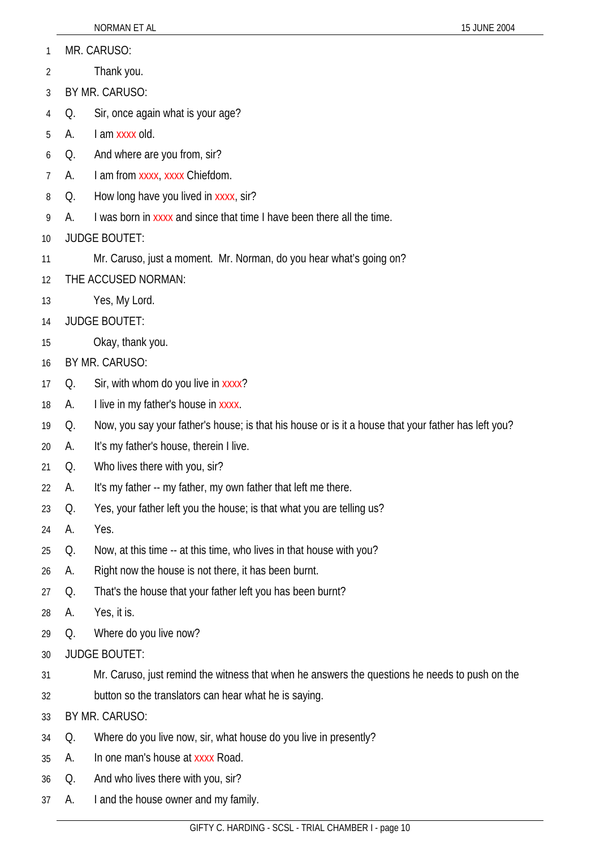- MR. CARUSO: 1
- Thank you. 2
- 3 BY MR. CARUSO:
- 4 Q. Sir, once again what is your age?
- 5 A. I am xxxx old.
- 6 Q. And where are you from, sir?
- 7 A. I am from xxxx, xxxx Chiefdom.
- 8 Q. How long have you lived in xxxx, sir?
- 9 A. I was born in xxxx and since that time I have been there all the time.
- 10 JUDGE BOUTET:
- 11 Mr. Caruso, just a moment. Mr. Norman, do you hear what's going on?
- 12 THE ACCUSED NORMAN:
- 13 Yes, My Lord.
- 14 JUDGE BOUTET:
- 15 Okay, thank you.
- 16 BY MR. CARUSO:
- 17 Q. Sir, with whom do you live in xxxx?
- 18 A. I live in my father's house in xxxx.
- 19 Q. Now, you say your father's house; is that his house or is it a house that your father has left you?
- 20 A. It's my father's house, therein I live.
- 21 Q. Who lives there with you, sir?
- 22 A. It's my father -- my father, my own father that left me there.
- 23 Q. Yes, your father left you the house; is that what you are telling us?
- 24 A. Yes.
- 25 Q. Now, at this time -- at this time, who lives in that house with you?
- 26 A. Right now the house is not there, it has been burnt.
- 27 Q. That's the house that your father left you has been burnt?
- 28 A. Yes, it is.
- 29 Q. Where do you live now?
- 30 JUDGE BOUTET:
- 31 Mr. Caruso, just remind the witness that when he answers the questions he needs to push on the
- 32 button so the translators can hear what he is saying.
- 33 BY MR. CARUSO:
- 34 Q. Where do you live now, sir, what house do you live in presently?
- 35 A. In one man's house at xxxx Road.
- 36 Q. And who lives there with you, sir?
- 37 A. I and the house owner and my family.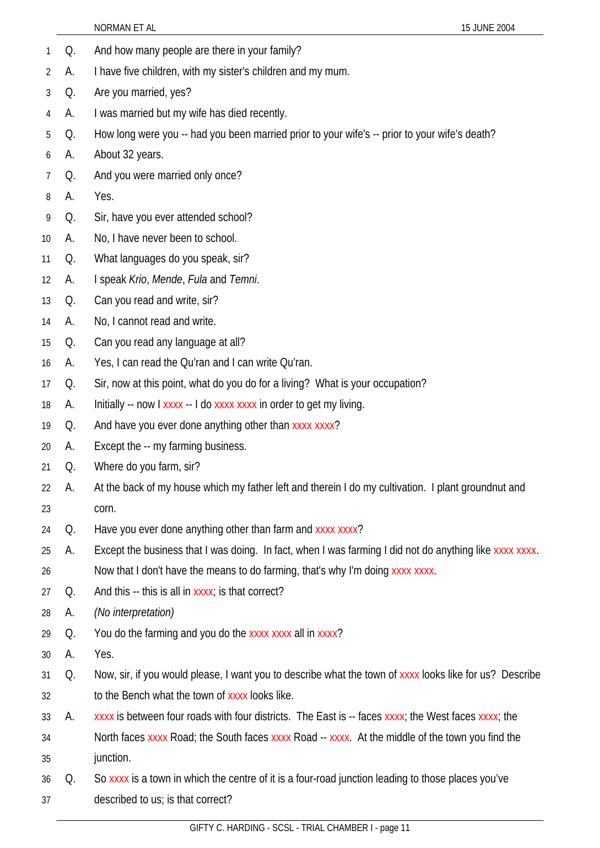|                |    | NORMAN ET AL<br>15 JUNE 2004                                                                            |
|----------------|----|---------------------------------------------------------------------------------------------------------|
| 1              | Q. | And how many people are there in your family?                                                           |
| $\overline{2}$ | А. | I have five children, with my sister's children and my mum.                                             |
| 3              | Q. | Are you married, yes?                                                                                   |
| 4              | А. | I was married but my wife has died recently.                                                            |
| 5              | Q. | How long were you -- had you been married prior to your wife's -- prior to your wife's death?           |
| 6              | А. | About 32 years.                                                                                         |
| $\overline{7}$ | Q. | And you were married only once?                                                                         |
| 8              | А. | Yes.                                                                                                    |
| 9              | Q. | Sir, have you ever attended school?                                                                     |
| 10             | А. | No, I have never been to school.                                                                        |
| 11             | Q. | What languages do you speak, sir?                                                                       |
| 12             | А. | I speak Krio, Mende, Fula and Temni.                                                                    |
| 13             | Q. | Can you read and write, sir?                                                                            |
| 14             | А. | No, I cannot read and write.                                                                            |
| 15             | Q. | Can you read any language at all?                                                                       |
| 16             | А. | Yes, I can read the Qu'ran and I can write Qu'ran.                                                      |
| 17             | Q. | Sir, now at this point, what do you do for a living? What is your occupation?                           |
| 18             | А. | Initially -- now I xxxx -- I do xxxx xxxx in order to get my living.                                    |
| 19             | Q. | And have you ever done anything other than xxxx xxxx?                                                   |
| 20             | А. | Except the -- my farming business.                                                                      |
| 21             | Q. | Where do you farm, sir?                                                                                 |
| 22             | А. | At the back of my house which my father left and therein I do my cultivation. I plant groundnut and     |
| 23             |    | corn.                                                                                                   |
| 24             | Q. | Have you ever done anything other than farm and xxxx xxxx?                                              |
| 25             | А. | Except the business that I was doing. In fact, when I was farming I did not do anything like xxxx xxxx. |
| 26             |    | Now that I don't have the means to do farming, that's why I'm doing xxxx xxxx.                          |
| 27             | Q. | And this -- this is all in xxxx; is that correct?                                                       |
| 28             | А. | (No interpretation)                                                                                     |
| 29             | Q. | You do the farming and you do the xxxx xxxx all in xxxx?                                                |
| 30             | А. | Yes.                                                                                                    |
| 31             | Q. | Now, sir, if you would please, I want you to describe what the town of xxxx looks like for us? Describe |
| 32             |    | to the Bench what the town of xxxx looks like.                                                          |
| 33             | А. | xxxx is between four roads with four districts. The East is -- faces xxxx; the West faces xxxx; the     |
| 34             |    | North faces xxxx Road; the South faces xxxx Road -- xxxx. At the middle of the town you find the        |
| 35             |    | junction.                                                                                               |
| 36             | Q. | So xxxx is a town in which the centre of it is a four-road junction leading to those places you've      |
| 37             |    | described to us; is that correct?                                                                       |
|                |    |                                                                                                         |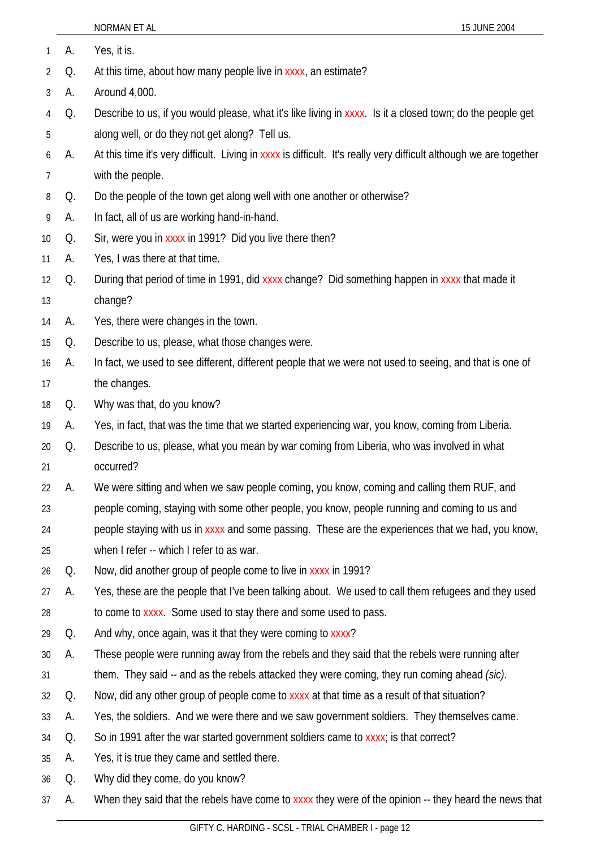|                |    | NORMAN ET AL<br>15 JUNE 2004                                                                                       |
|----------------|----|--------------------------------------------------------------------------------------------------------------------|
| $\mathbf{1}$   | А. | Yes, it is.                                                                                                        |
| $\overline{2}$ | Q. | At this time, about how many people live in xxxx, an estimate?                                                     |
| 3              | А. | Around 4,000.                                                                                                      |
| 4              | Q. | Describe to us, if you would please, what it's like living in xxxx. Is it a closed town; do the people get         |
| 5              |    | along well, or do they not get along? Tell us.                                                                     |
| 6              | А. | At this time it's very difficult. Living in xxxx is difficult. It's really very difficult although we are together |
| 7              |    | with the people.                                                                                                   |
| 8              | Q. | Do the people of the town get along well with one another or otherwise?                                            |
| 9              | А. | In fact, all of us are working hand-in-hand.                                                                       |
| 10             | Q. | Sir, were you in xxxx in 1991? Did you live there then?                                                            |
| 11             | А. | Yes, I was there at that time.                                                                                     |
| 12             | Q. | During that period of time in 1991, did xxxx change? Did something happen in xxxx that made it                     |
| 13             |    | change?                                                                                                            |
| 14             | А. | Yes, there were changes in the town.                                                                               |
| 15             | Q. | Describe to us, please, what those changes were.                                                                   |
| 16             | А. | In fact, we used to see different, different people that we were not used to seeing, and that is one of            |
| 17             |    | the changes.                                                                                                       |
| 18             | Q. | Why was that, do you know?                                                                                         |
| 19             | А. | Yes, in fact, that was the time that we started experiencing war, you know, coming from Liberia.                   |
| 20             | Q. | Describe to us, please, what you mean by war coming from Liberia, who was involved in what                         |
| 21             |    | occurred?                                                                                                          |
| 22             | А. | We were sitting and when we saw people coming, you know, coming and calling them RUF, and                          |
| 23             |    | people coming, staying with some other people, you know, people running and coming to us and                       |
| 24             |    | people staying with us in xxxx and some passing. These are the experiences that we had, you know,                  |
| 25             |    | when I refer -- which I refer to as war.                                                                           |
| 26             | Q. | Now, did another group of people come to live in xxxx in 1991?                                                     |
| 27             | А. | Yes, these are the people that I've been talking about. We used to call them refugees and they used                |
| 28             |    | to come to xxxx. Some used to stay there and some used to pass.                                                    |
| 29             | Q. | And why, once again, was it that they were coming to xxxx?                                                         |
| 30             | А. | These people were running away from the rebels and they said that the rebels were running after                    |
| 31             |    | them. They said -- and as the rebels attacked they were coming, they run coming ahead (sic).                       |
| 32             | Q. | Now, did any other group of people come to xxxx at that time as a result of that situation?                        |
| 33             | A. | Yes, the soldiers. And we were there and we saw government soldiers. They themselves came.                         |
| 34             | Q. | So in 1991 after the war started government soldiers came to xxxx; is that correct?                                |
| 35             | А. | Yes, it is true they came and settled there.                                                                       |
| 36             | Q. | Why did they come, do you know?                                                                                    |
| 37             | А. | When they said that the rebels have come to xxxx they were of the opinion -- they heard the news that              |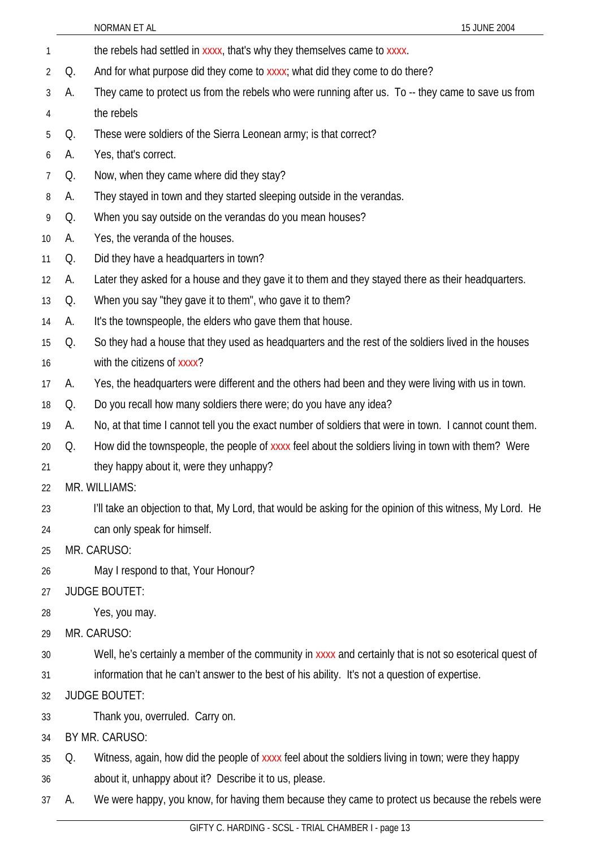|                 |    | NORMAN ET AL<br>15 JUNE 2004                                                                               |
|-----------------|----|------------------------------------------------------------------------------------------------------------|
| 1               |    | the rebels had settled in xxxx, that's why they themselves came to xxxx.                                   |
| 2               | Q. | And for what purpose did they come to xxxx; what did they come to do there?                                |
| 3               | А. | They came to protect us from the rebels who were running after us. To -- they came to save us from         |
| 4               |    | the rebels                                                                                                 |
| 5               | Q. | These were soldiers of the Sierra Leonean army; is that correct?                                           |
| 6               | А. | Yes, that's correct.                                                                                       |
| 7               | Q. | Now, when they came where did they stay?                                                                   |
| 8               | А. | They stayed in town and they started sleeping outside in the verandas.                                     |
| 9               | Q. | When you say outside on the verandas do you mean houses?                                                   |
| 10 <sup>°</sup> | А. | Yes, the veranda of the houses.                                                                            |
| 11              | Q. | Did they have a headquarters in town?                                                                      |
| 12              | A. | Later they asked for a house and they gave it to them and they stayed there as their headquarters.         |
| 13              | Q. | When you say "they gave it to them", who gave it to them?                                                  |
| 14              | А. | It's the townspeople, the elders who gave them that house.                                                 |
| 15              | Q. | So they had a house that they used as headquarters and the rest of the soldiers lived in the houses        |
| 16              |    | with the citizens of xxxx?                                                                                 |
| 17              | А. | Yes, the headquarters were different and the others had been and they were living with us in town.         |
| 18              | Q. | Do you recall how many soldiers there were; do you have any idea?                                          |
| 19              | A. | No, at that time I cannot tell you the exact number of soldiers that were in town. I cannot count them.    |
| 20              | Q. | How did the townspeople, the people of xxxx feel about the soldiers living in town with them? Were         |
| 21              |    | they happy about it, were they unhappy?                                                                    |
| 22              |    | MR. WILLIAMS:                                                                                              |
| 23              |    | I'll take an objection to that, My Lord, that would be asking for the opinion of this witness, My Lord. He |
| 24              |    | can only speak for himself.                                                                                |
| 25              |    | MR. CARUSO:                                                                                                |
| 26              |    | May I respond to that, Your Honour?                                                                        |
| 27              |    | <b>JUDGE BOUTET:</b>                                                                                       |
| 28              |    | Yes, you may.                                                                                              |
| 29              |    | MR. CARUSO:                                                                                                |
| 30              |    | Well, he's certainly a member of the community in xxxx and certainly that is not so esoterical quest of    |
| 31              |    | information that he can't answer to the best of his ability. It's not a question of expertise.             |
| 32              |    | <b>JUDGE BOUTET:</b>                                                                                       |
| 33              |    | Thank you, overruled. Carry on.                                                                            |
| 34              |    | BY MR. CARUSO:                                                                                             |
| 35              | Q. | Witness, again, how did the people of xxxx feel about the soldiers living in town; were they happy         |
| 36              |    | about it, unhappy about it? Describe it to us, please.                                                     |
| 37              | A. | We were happy, you know, for having them because they came to protect us because the rebels were           |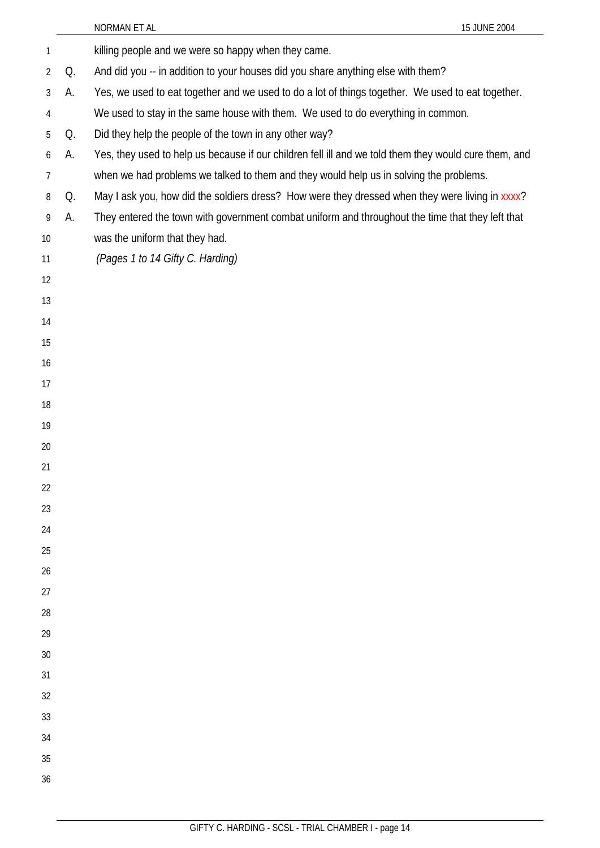|          |    | 15 JUNE 2004<br>NORMAN ET AL                                                                          |
|----------|----|-------------------------------------------------------------------------------------------------------|
| 1        |    | killing people and we were so happy when they came.                                                   |
| 2        | Q. | And did you -- in addition to your houses did you share anything else with them?                      |
| 3        | А. | Yes, we used to eat together and we used to do a lot of things together. We used to eat together.     |
| 4        |    | We used to stay in the same house with them. We used to do everything in common.                      |
| 5        | Q. | Did they help the people of the town in any other way?                                                |
| 6        | А. | Yes, they used to help us because if our children fell ill and we told them they would cure them, and |
| 7        |    | when we had problems we talked to them and they would help us in solving the problems.                |
| 8        | Q. | May I ask you, how did the soldiers dress? How were they dressed when they were living in xxxx?       |
| 9        | А. | They entered the town with government combat uniform and throughout the time that they left that      |
| 10       |    | was the uniform that they had.                                                                        |
| 11       |    | (Pages 1 to 14 Gifty C. Harding)                                                                      |
| 12       |    |                                                                                                       |
| 13       |    |                                                                                                       |
| 14       |    |                                                                                                       |
| 15       |    |                                                                                                       |
| 16       |    |                                                                                                       |
| 17       |    |                                                                                                       |
| 18       |    |                                                                                                       |
| 19       |    |                                                                                                       |
| 20       |    |                                                                                                       |
| 21       |    |                                                                                                       |
| 22       |    |                                                                                                       |
| 23       |    |                                                                                                       |
| 24       |    |                                                                                                       |
| 25       |    |                                                                                                       |
| 26       |    |                                                                                                       |
| 27       |    |                                                                                                       |
| 28       |    |                                                                                                       |
| 29       |    |                                                                                                       |
| 30<br>31 |    |                                                                                                       |
| 32       |    |                                                                                                       |
| 33       |    |                                                                                                       |
| 34       |    |                                                                                                       |
| 35       |    |                                                                                                       |
| 36       |    |                                                                                                       |
|          |    |                                                                                                       |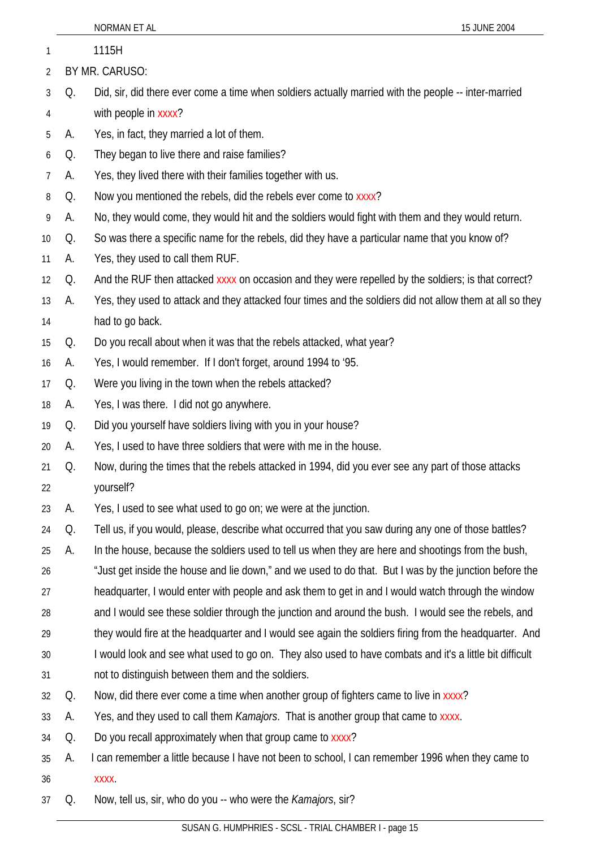| 1  |                | 1115H                                                                                                    |  |
|----|----------------|----------------------------------------------------------------------------------------------------------|--|
| 2  | BY MR. CARUSO: |                                                                                                          |  |
| 3  | Q.             | Did, sir, did there ever come a time when soldiers actually married with the people -- inter-married     |  |
| 4  |                | with people in xxxx?                                                                                     |  |
| 5  | А.             | Yes, in fact, they married a lot of them.                                                                |  |
| 6  | Q.             | They began to live there and raise families?                                                             |  |
| 7  | А.             | Yes, they lived there with their families together with us.                                              |  |
| 8  | Q.             | Now you mentioned the rebels, did the rebels ever come to xxxx?                                          |  |
| 9  | А.             | No, they would come, they would hit and the soldiers would fight with them and they would return.        |  |
| 10 | Q.             | So was there a specific name for the rebels, did they have a particular name that you know of?           |  |
| 11 | А.             | Yes, they used to call them RUF.                                                                         |  |
| 12 | Q.             | And the RUF then attacked xxxx on occasion and they were repelled by the soldiers; is that correct?      |  |
| 13 | А.             | Yes, they used to attack and they attacked four times and the soldiers did not allow them at all so they |  |
| 14 |                | had to go back.                                                                                          |  |
| 15 | Q.             | Do you recall about when it was that the rebels attacked, what year?                                     |  |
| 16 | A.             | Yes, I would remember. If I don't forget, around 1994 to '95.                                            |  |
| 17 | Q.             | Were you living in the town when the rebels attacked?                                                    |  |
| 18 | A.             | Yes, I was there. I did not go anywhere.                                                                 |  |
| 19 | Q.             | Did you yourself have soldiers living with you in your house?                                            |  |
| 20 | А.             | Yes, I used to have three soldiers that were with me in the house.                                       |  |
| 21 | Q.             | Now, during the times that the rebels attacked in 1994, did you ever see any part of those attacks       |  |
| 22 |                | yourself?                                                                                                |  |
| 23 | А.             | Yes, I used to see what used to go on; we were at the junction.                                          |  |
| 24 | Q.             | Tell us, if you would, please, describe what occurred that you saw during any one of those battles?      |  |
| 25 | А.             | In the house, because the soldiers used to tell us when they are here and shootings from the bush,       |  |
| 26 |                | "Just get inside the house and lie down," and we used to do that. But I was by the junction before the   |  |
| 27 |                | headquarter, I would enter with people and ask them to get in and I would watch through the window       |  |
| 28 |                | and I would see these soldier through the junction and around the bush. I would see the rebels, and      |  |
| 29 |                | they would fire at the headquarter and I would see again the soldiers firing from the headquarter. And   |  |
| 30 |                | I would look and see what used to go on. They also used to have combats and it's a little bit difficult  |  |
| 31 |                | not to distinguish between them and the soldiers.                                                        |  |
| 32 | Q.             | Now, did there ever come a time when another group of fighters came to live in xxxx?                     |  |
| 33 | А.             | Yes, and they used to call them <i>Kamajors</i> . That is another group that came to xxxx.               |  |
| 34 | Q.             | Do you recall approximately when that group came to xxxx?                                                |  |
| 35 | А.             | I can remember a little because I have not been to school, I can remember 1996 when they came to         |  |
| 36 |                | XXXX.                                                                                                    |  |
| 37 | Q.             | Now, tell us, sir, who do you -- who were the Kamajors, sir?                                             |  |

NORMAN ET AL 15 JUNE 2004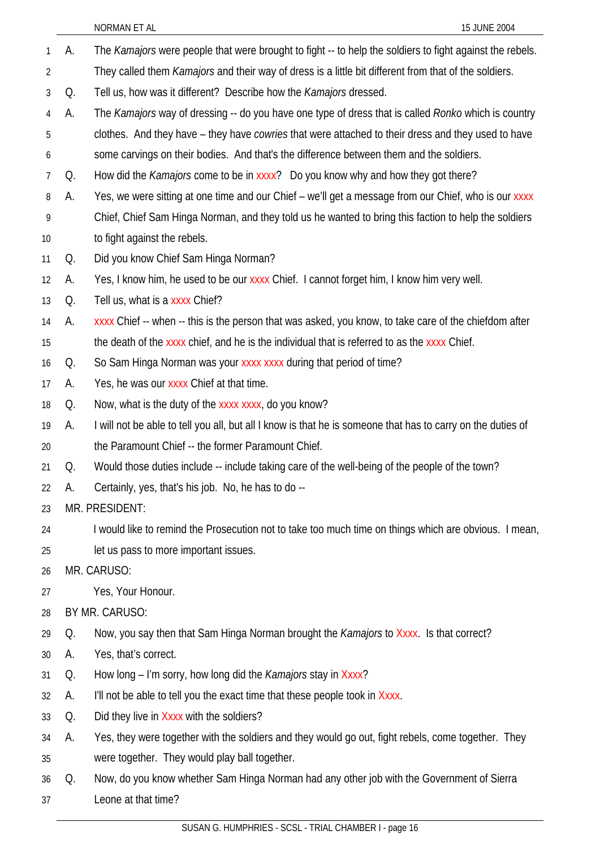A. The *Kamajors* were people that were brought to fight -- to help the soldiers to fight against the rebels. They called them *Kamajors* and their way of dress is a little bit different from that of the soldiers. 1 2 3 4 5 6 7 8 9 10 11 12 13 14 15 16 17 18 19 20 21 22 23 24 25 26 27 28 29 30 31 32 33 34 35 36 37 Q. Tell us, how was it different? Describe how the *Kamajors* dressed. A. The *Kamajors* way of dressing -- do you have one type of dress that is called *Ronko* which is country clothes. And they have – they have *cowries* that were attached to their dress and they used to have some carvings on their bodies. And that's the difference between them and the soldiers. Q. How did the *Kamajors* come to be in xxxx? Do you know why and how they got there? A. Yes, we were sitting at one time and our Chief – we'll get a message from our Chief, who is our xxxx Chief, Chief Sam Hinga Norman, and they told us he wanted to bring this faction to help the soldiers to fight against the rebels. Q. Did you know Chief Sam Hinga Norman? A. Yes, I know him, he used to be our xxxx Chief. I cannot forget him, I know him very well. Q. Tell us, what is a xxxx Chief? A. xxxx Chief -- when -- this is the person that was asked, you know, to take care of the chiefdom after the death of the xxxx chief, and he is the individual that is referred to as the xxxx Chief. Q. So Sam Hinga Norman was your xxxx xxxx during that period of time? A. Yes, he was our xxxx Chief at that time. Q. Now, what is the duty of the xxxx xxxx, do you know? A. I will not be able to tell you all, but all I know is that he is someone that has to carry on the duties of the Paramount Chief -- the former Paramount Chief. Q. Would those duties include -- include taking care of the well-being of the people of the town? A. Certainly, yes, that's his job. No, he has to do -- MR. PRESIDENT: I would like to remind the Prosecution not to take too much time on things which are obvious. I mean, let us pass to more important issues. MR. CARUSO: Yes, Your Honour. BY MR. CARUSO: Q. Now, you say then that Sam Hinga Norman brought the *Kamajors* to Xxxx. Is that correct? A. Yes, that's correct. Q. How long – I'm sorry, how long did the *Kamajors* stay in Xxxx? A. I'll not be able to tell you the exact time that these people took in Xxxx. Q. Did they live in Xxxx with the soldiers? A. Yes, they were together with the soldiers and they would go out, fight rebels, come together. They were together. They would play ball together. Q. Now, do you know whether Sam Hinga Norman had any other job with the Government of Sierra Leone at that time?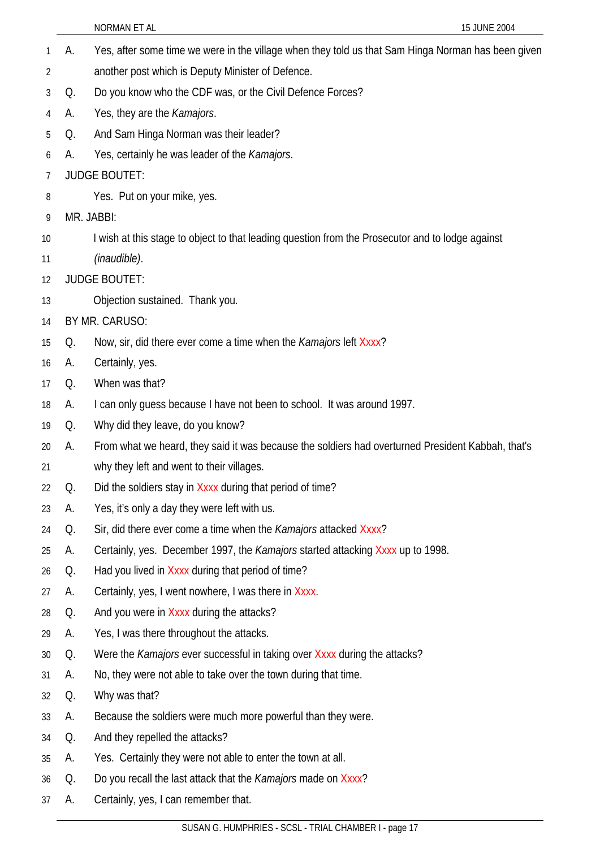|    |    | <b>NORMAN ET AL</b><br>15 JUNE 2004                                                                |
|----|----|----------------------------------------------------------------------------------------------------|
| 1  | А. | Yes, after some time we were in the village when they told us that Sam Hinga Norman has been given |
| 2  |    | another post which is Deputy Minister of Defence.                                                  |
| 3  | Q. | Do you know who the CDF was, or the Civil Defence Forces?                                          |
| 4  | А. | Yes, they are the Kamajors.                                                                        |
| 5  | Q. | And Sam Hinga Norman was their leader?                                                             |
| 6  | А. | Yes, certainly he was leader of the Kamajors.                                                      |
| 7  |    | <b>JUDGE BOUTET:</b>                                                                               |
| 8  |    | Yes. Put on your mike, yes.                                                                        |
| 9  |    | MR. JABBI:                                                                                         |
| 10 |    | I wish at this stage to object to that leading question from the Prosecutor and to lodge against   |
| 11 |    | (inaudible).                                                                                       |
| 12 |    | <b>JUDGE BOUTET:</b>                                                                               |
| 13 |    | Objection sustained. Thank you.                                                                    |
| 14 |    | BY MR. CARUSO:                                                                                     |
| 15 | Q. | Now, sir, did there ever come a time when the <i>Kamajors</i> left Xxxx?                           |
| 16 | А. | Certainly, yes.                                                                                    |
| 17 | Q. | When was that?                                                                                     |
| 18 | А. | I can only guess because I have not been to school. It was around 1997.                            |
| 19 | Q. | Why did they leave, do you know?                                                                   |
| 20 | А. | From what we heard, they said it was because the soldiers had overturned President Kabbah, that's  |
| 21 |    | why they left and went to their villages.                                                          |
| 22 | Q. | Did the soldiers stay in Xxxx during that period of time?                                          |
| 23 | А. | Yes, it's only a day they were left with us.                                                       |
| 24 | Q. | Sir, did there ever come a time when the <i>Kamajors</i> attacked Xxxx?                            |
| 25 | А. | Certainly, yes. December 1997, the Kamajors started attacking Xxxx up to 1998.                     |
| 26 | Q. | Had you lived in Xxxx during that period of time?                                                  |
| 27 | А. | Certainly, yes, I went nowhere, I was there in Xxxx.                                               |
| 28 | Q. | And you were in Xxxx during the attacks?                                                           |
| 29 | A. | Yes, I was there throughout the attacks.                                                           |
| 30 | Q. | Were the <i>Kamajors</i> ever successful in taking over Xxxx during the attacks?                   |
| 31 | A. | No, they were not able to take over the town during that time.                                     |
| 32 | Q. | Why was that?                                                                                      |
| 33 | A. | Because the soldiers were much more powerful than they were.                                       |
| 34 | Q. | And they repelled the attacks?                                                                     |
| 35 | А. | Yes. Certainly they were not able to enter the town at all.                                        |
| 36 | Q. | Do you recall the last attack that the <i>Kamajors</i> made on Xxxx?                               |
| 37 | А. | Certainly, yes, I can remember that.                                                               |
|    |    |                                                                                                    |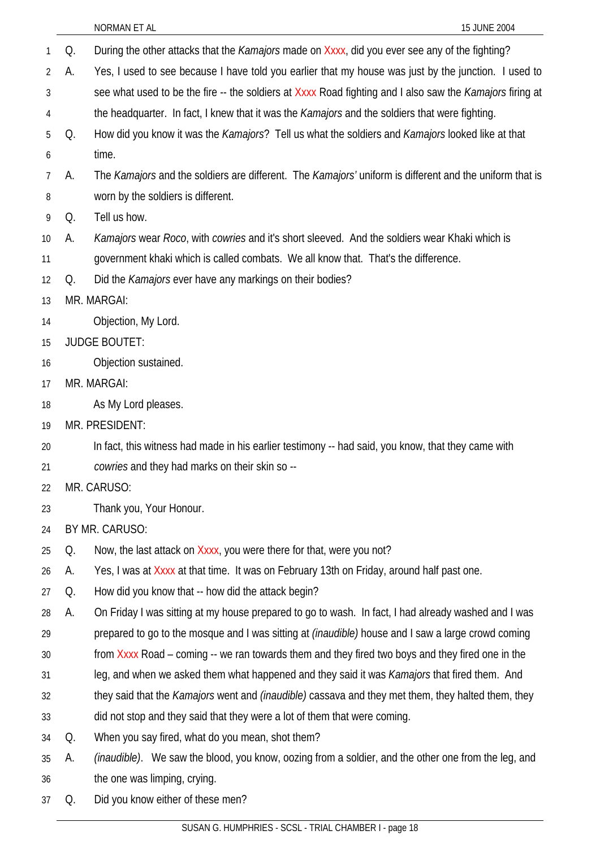|    |    | NORMAN ET AL<br>15 JUNE 2004                                                                                |
|----|----|-------------------------------------------------------------------------------------------------------------|
| 1  | Q. | During the other attacks that the <i>Kamajors</i> made on Xxxx, did you ever see any of the fighting?       |
| 2  | А. | Yes, I used to see because I have told you earlier that my house was just by the junction. I used to        |
| 3  |    | see what used to be the fire -- the soldiers at Xxxx Road fighting and I also saw the Kamajors firing at    |
| 4  |    | the headquarter. In fact, I knew that it was the Kamajors and the soldiers that were fighting.              |
| 5  | Q. | How did you know it was the Kamajors? Tell us what the soldiers and Kamajors looked like at that            |
| 6  |    | time.                                                                                                       |
| 7  | А. | The Kamajors and the soldiers are different. The Kamajors' uniform is different and the uniform that is     |
| 8  |    | worn by the soldiers is different.                                                                          |
| 9  | Q. | Tell us how.                                                                                                |
| 10 | А. | Kamajors wear Roco, with cowries and it's short sleeved. And the soldiers wear Khaki which is               |
| 11 |    | government khaki which is called combats. We all know that. That's the difference.                          |
| 12 | Q. | Did the Kamajors ever have any markings on their bodies?                                                    |
| 13 |    | MR. MARGAI:                                                                                                 |
| 14 |    | Objection, My Lord.                                                                                         |
| 15 |    | <b>JUDGE BOUTET:</b>                                                                                        |
| 16 |    | Objection sustained.                                                                                        |
| 17 |    | MR. MARGAI:                                                                                                 |
| 18 |    | As My Lord pleases.                                                                                         |
| 19 |    | MR. PRESIDENT:                                                                                              |
| 20 |    | In fact, this witness had made in his earlier testimony -- had said, you know, that they came with          |
| 21 |    | cowries and they had marks on their skin so --                                                              |
| 22 |    | MR. CARUSO:                                                                                                 |
| 23 |    | Thank you, Your Honour.                                                                                     |
| 24 |    | BY MR. CARUSO:                                                                                              |
| 25 | Q. | Now, the last attack on Xxxx, you were there for that, were you not?                                        |
| 26 | А. | Yes, I was at Xxxx at that time. It was on February 13th on Friday, around half past one.                   |
| 27 | Q. | How did you know that -- how did the attack begin?                                                          |
| 28 | А. | On Friday I was sitting at my house prepared to go to wash. In fact, I had already washed and I was         |
| 29 |    | prepared to go to the mosque and I was sitting at <i>(inaudible)</i> house and I saw a large crowd coming   |
| 30 |    | from Xxxx Road – coming -- we ran towards them and they fired two boys and they fired one in the            |
| 31 |    | leg, and when we asked them what happened and they said it was Kamajors that fired them. And                |
| 32 |    | they said that the Kamajors went and (inaudible) cassava and they met them, they halted them, they          |
| 33 |    | did not stop and they said that they were a lot of them that were coming.                                   |
| 34 | Q. | When you say fired, what do you mean, shot them?                                                            |
| 35 | А. | <i>(inaudible)</i> . We saw the blood, you know, oozing from a soldier, and the other one from the leg, and |
| 36 |    | the one was limping, crying.                                                                                |
| 37 | Q. | Did you know either of these men?                                                                           |
|    |    |                                                                                                             |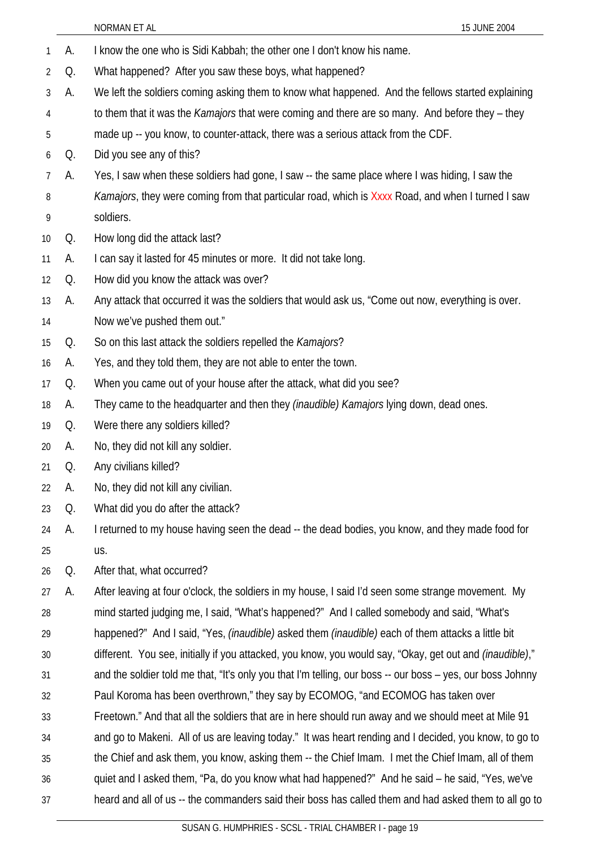1 A. I know the one who is Sidi Kabbah; the other one I don't know his name. 2 3 4 5 6 7 8 9 10 11 12 13 14 15 16 17 18 19 20 21 22 23 24 25 26 27 28 29 30 31 32 33 34 35 36 37 Q. What happened? After you saw these boys, what happened? A. We left the soldiers coming asking them to know what happened. And the fellows started explaining to them that it was the *Kamajors* that were coming and there are so many. And before they – they made up -- you know, to counter-attack, there was a serious attack from the CDF. Q. Did you see any of this? A. Yes, I saw when these soldiers had gone, I saw -- the same place where I was hiding, I saw the *Kamajors*, they were coming from that particular road, which is Xxxx Road, and when I turned I saw soldiers. Q. How long did the attack last? A. I can say it lasted for 45 minutes or more. It did not take long. Q. How did you know the attack was over? A. Any attack that occurred it was the soldiers that would ask us, "Come out now, everything is over. Now we've pushed them out." Q. So on this last attack the soldiers repelled the *Kamajors*? A. Yes, and they told them, they are not able to enter the town. Q. When you came out of your house after the attack, what did you see? A. They came to the headquarter and then they *(inaudible) Kamajors* lying down, dead ones. Q. Were there any soldiers killed? A. No, they did not kill any soldier. Q. Any civilians killed? A. No, they did not kill any civilian. Q. What did you do after the attack? A. I returned to my house having seen the dead -- the dead bodies, you know, and they made food for us. Q. After that, what occurred? A. After leaving at four o'clock, the soldiers in my house, I said I'd seen some strange movement. My mind started judging me, I said, "What's happened?" And I called somebody and said, "What's happened?" And I said, "Yes, *(inaudible)* asked them *(inaudible)* each of them attacks a little bit different. You see, initially if you attacked, you know, you would say, "Okay, get out and *(inaudible)*," and the soldier told me that, "It's only you that I'm telling, our boss -- our boss – yes, our boss Johnny Paul Koroma has been overthrown," they say by ECOMOG, "and ECOMOG has taken over Freetown." And that all the soldiers that are in here should run away and we should meet at Mile 91 and go to Makeni. All of us are leaving today." It was heart rending and I decided, you know, to go to the Chief and ask them, you know, asking them -- the Chief Imam. I met the Chief Imam, all of them quiet and I asked them, "Pa, do you know what had happened?" And he said – he said, "Yes, we've heard and all of us -- the commanders said their boss has called them and had asked them to all go to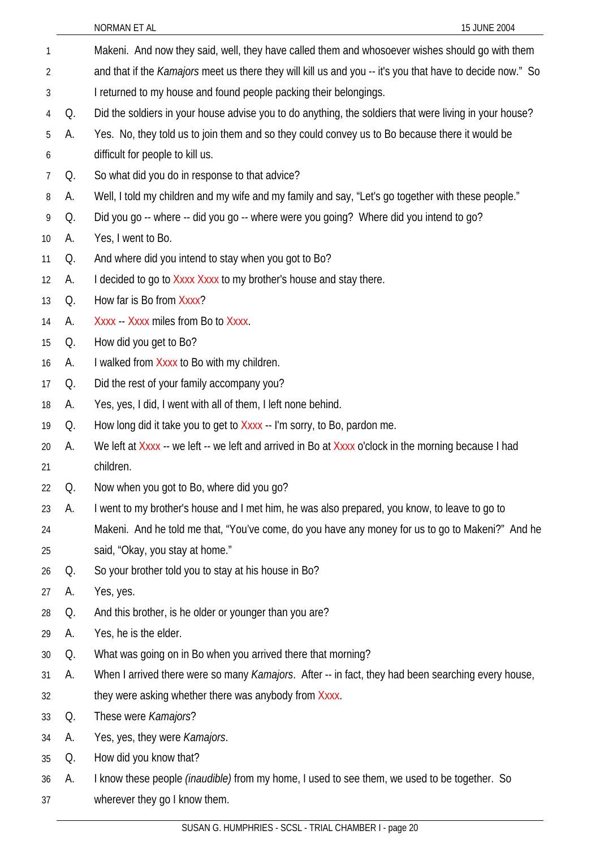| 1  |    | Makeni. And now they said, well, they have called them and whosoever wishes should go with them                  |
|----|----|------------------------------------------------------------------------------------------------------------------|
| 2  |    | and that if the <i>Kamajors</i> meet us there they will kill us and you -- it's you that have to decide now." So |
| 3  |    | I returned to my house and found people packing their belongings.                                                |
| 4  | Q. | Did the soldiers in your house advise you to do anything, the soldiers that were living in your house?           |
| 5  | А. | Yes. No, they told us to join them and so they could convey us to Bo because there it would be                   |
| 6  |    | difficult for people to kill us.                                                                                 |
| 7  | Q. | So what did you do in response to that advice?                                                                   |
| 8  | А. | Well, I told my children and my wife and my family and say, "Let's go together with these people."               |
| 9  | Q. | Did you go -- where -- did you go -- where were you going? Where did you intend to go?                           |
| 10 | А. | Yes, I went to Bo.                                                                                               |
| 11 | Q. | And where did you intend to stay when you got to Bo?                                                             |
| 12 | А. | I decided to go to Xxxx Xxxx to my brother's house and stay there.                                               |
| 13 | Q. | How far is Bo from Xxxx?                                                                                         |
| 14 | А. | Xxxx - Xxxx miles from Bo to Xxxx.                                                                               |
| 15 | Q. | How did you get to Bo?                                                                                           |
| 16 | А. | I walked from Xxxx to Bo with my children.                                                                       |
| 17 | Q. | Did the rest of your family accompany you?                                                                       |
| 18 | А. | Yes, yes, I did, I went with all of them, I left none behind.                                                    |
| 19 | Q. | How long did it take you to get to Xxxx -- I'm sorry, to Bo, pardon me.                                          |
| 20 | А. | We left at Xxxx -- we left -- we left and arrived in Bo at Xxxx o'clock in the morning because I had             |
| 21 |    | children.                                                                                                        |
| 22 | Q. | Now when you got to Bo, where did you go?                                                                        |
| 23 | А. | I went to my brother's house and I met him, he was also prepared, you know, to leave to go to                    |
| 24 |    | Makeni. And he told me that, "You've come, do you have any money for us to go to Makeni?" And he                 |
| 25 |    | said, "Okay, you stay at home."                                                                                  |
| 26 | Q. | So your brother told you to stay at his house in Bo?                                                             |
| 27 | А. | Yes, yes.                                                                                                        |
| 28 | Q. | And this brother, is he older or younger than you are?                                                           |
| 29 | А. | Yes, he is the elder.                                                                                            |
| 30 | Q. | What was going on in Bo when you arrived there that morning?                                                     |
| 31 | А. | When I arrived there were so many Kamajors. After -- in fact, they had been searching every house,               |
| 32 |    | they were asking whether there was anybody from Xxxx.                                                            |
| 33 | Q. | These were Kamajors?                                                                                             |
| 34 | A. | Yes, yes, they were Kamajors.                                                                                    |
| 35 | Q. | How did you know that?                                                                                           |
| 36 | А. | I know these people <i>(inaudible)</i> from my home, I used to see them, we used to be together. So              |
| 37 |    | wherever they go I know them.                                                                                    |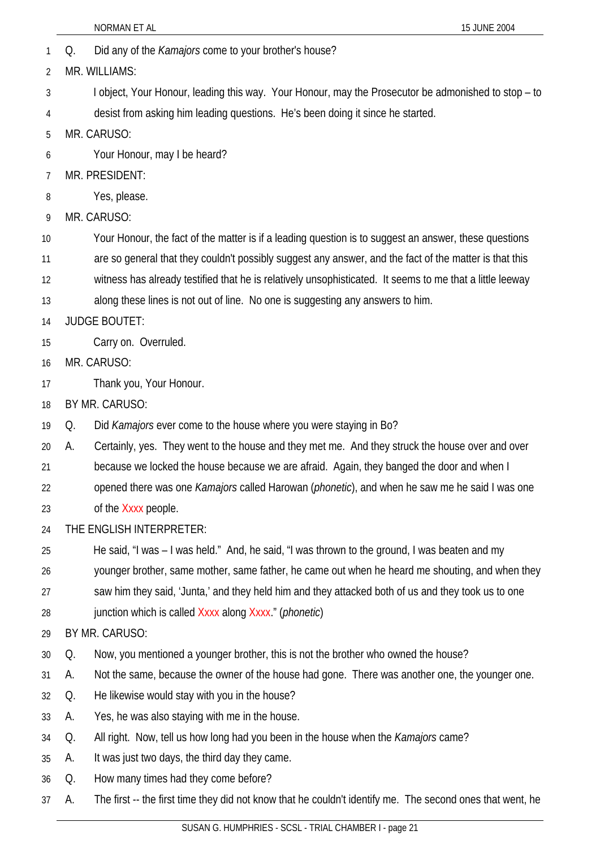|    |    | 15 JUNE 2004<br>NORMAN ET AL                                                                                  |
|----|----|---------------------------------------------------------------------------------------------------------------|
| 1  | Q. | Did any of the <i>Kamajors</i> come to your brother's house?                                                  |
| 2  |    | MR. WILLIAMS:                                                                                                 |
| 3  |    | I object, Your Honour, leading this way. Your Honour, may the Prosecutor be admonished to stop – to           |
| 4  |    | desist from asking him leading questions. He's been doing it since he started.                                |
| 5  |    | MR. CARUSO:                                                                                                   |
| 6  |    | Your Honour, may I be heard?                                                                                  |
| 7  |    | MR. PRESIDENT:                                                                                                |
| 8  |    | Yes, please.                                                                                                  |
| 9  |    | MR. CARUSO:                                                                                                   |
| 10 |    | Your Honour, the fact of the matter is if a leading question is to suggest an answer, these questions         |
| 11 |    | are so general that they couldn't possibly suggest any answer, and the fact of the matter is that this        |
| 12 |    | witness has already testified that he is relatively unsophisticated. It seems to me that a little leeway      |
| 13 |    | along these lines is not out of line. No one is suggesting any answers to him.                                |
| 14 |    | <b>JUDGE BOUTET:</b>                                                                                          |
| 15 |    | Carry on. Overruled.                                                                                          |
| 16 |    | MR. CARUSO:                                                                                                   |
| 17 |    | Thank you, Your Honour.                                                                                       |
| 18 |    | BY MR. CARUSO:                                                                                                |
| 19 | Q. | Did <i>Kamajors</i> ever come to the house where you were staying in Bo?                                      |
| 20 | А. | Certainly, yes. They went to the house and they met me. And they struck the house over and over               |
| 21 |    | because we locked the house because we are afraid. Again, they banged the door and when I                     |
| 22 |    | opened there was one <i>Kamajors</i> called Harowan ( <i>phonetic</i> ), and when he saw me he said I was one |
| 23 |    | of the Xxxx people.                                                                                           |
| 24 |    | THE ENGLISH INTERPRETER:                                                                                      |
| 25 |    | He said, "I was - I was held." And, he said, "I was thrown to the ground, I was beaten and my                 |
| 26 |    | younger brother, same mother, same father, he came out when he heard me shouting, and when they               |
| 27 |    | saw him they said, 'Junta,' and they held him and they attacked both of us and they took us to one            |
| 28 |    | junction which is called Xxxx along Xxxx." ( <i>phonetic</i> )                                                |
| 29 |    | BY MR. CARUSO:                                                                                                |
| 30 | Q. | Now, you mentioned a younger brother, this is not the brother who owned the house?                            |
| 31 | А. | Not the same, because the owner of the house had gone. There was another one, the younger one.                |
| 32 | Q. | He likewise would stay with you in the house?                                                                 |
| 33 | A. | Yes, he was also staying with me in the house.                                                                |
| 34 | Q. | All right. Now, tell us how long had you been in the house when the <i>Kamajors</i> came?                     |
| 35 | A. | It was just two days, the third day they came.                                                                |
| 36 | Q. | How many times had they come before?                                                                          |
| 37 | А. | The first -- the first time they did not know that he couldn't identify me. The second ones that went, he     |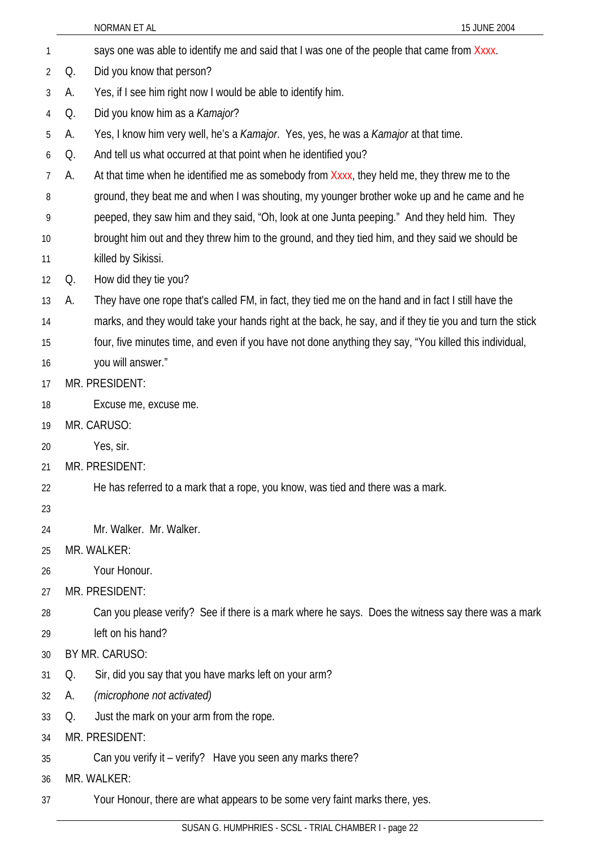| 1              |                | says one was able to identify me and said that I was one of the people that came from Xxxx.             |  |
|----------------|----------------|---------------------------------------------------------------------------------------------------------|--|
| $\overline{2}$ | Q.             | Did you know that person?                                                                               |  |
| 3              | А.             | Yes, if I see him right now I would be able to identify him.                                            |  |
| 4              | Q.             | Did you know him as a Kamajor?                                                                          |  |
| 5              | А.             | Yes, I know him very well, he's a Kamajor. Yes, yes, he was a Kamajor at that time.                     |  |
| 6              | Q.             | And tell us what occurred at that point when he identified you?                                         |  |
| 7              | А.             | At that time when he identified me as somebody from Xxxx, they held me, they threw me to the            |  |
| 8              |                | ground, they beat me and when I was shouting, my younger brother woke up and he came and he             |  |
| 9              |                | peeped, they saw him and they said, "Oh, look at one Junta peeping." And they held him. They            |  |
| 10             |                | brought him out and they threw him to the ground, and they tied him, and they said we should be         |  |
| 11             |                | killed by Sikissi.                                                                                      |  |
| 12             | Q.             | How did they tie you?                                                                                   |  |
| 13             | А.             | They have one rope that's called FM, in fact, they tied me on the hand and in fact I still have the     |  |
| 14             |                | marks, and they would take your hands right at the back, he say, and if they tie you and turn the stick |  |
| 15             |                | four, five minutes time, and even if you have not done anything they say, "You killed this individual,  |  |
| 16             |                | you will answer."                                                                                       |  |
| 17             | MR. PRESIDENT: |                                                                                                         |  |
| 18             |                | Excuse me, excuse me.                                                                                   |  |
| 19             |                | MR. CARUSO:                                                                                             |  |
| 20             |                | Yes, sir.                                                                                               |  |
| 21             |                | MR. PRESIDENT:                                                                                          |  |
| 22             |                | He has referred to a mark that a rope, you know, was tied and there was a mark.                         |  |
| 23             |                |                                                                                                         |  |
| 24             |                | Mr. Walker. Mr. Walker.                                                                                 |  |
| 25             |                | MR. WALKER:                                                                                             |  |
| 26             |                | Your Honour.                                                                                            |  |
| 27             |                | MR. PRESIDENT:                                                                                          |  |
| 28             |                | Can you please verify? See if there is a mark where he says. Does the witness say there was a mark      |  |
| 29             |                | left on his hand?                                                                                       |  |
| 30             |                | BY MR. CARUSO:                                                                                          |  |
| 31             | Q.             | Sir, did you say that you have marks left on your arm?                                                  |  |
| 32             | А.             | (microphone not activated)                                                                              |  |
| 33             | Q.             | Just the mark on your arm from the rope.                                                                |  |
| 34             |                | MR. PRESIDENT:                                                                                          |  |
| 35             |                | Can you verify it - verify? Have you seen any marks there?                                              |  |
| 36             |                | MR. WALKER:                                                                                             |  |
| 37             |                | Your Honour, there are what appears to be some very faint marks there, yes.                             |  |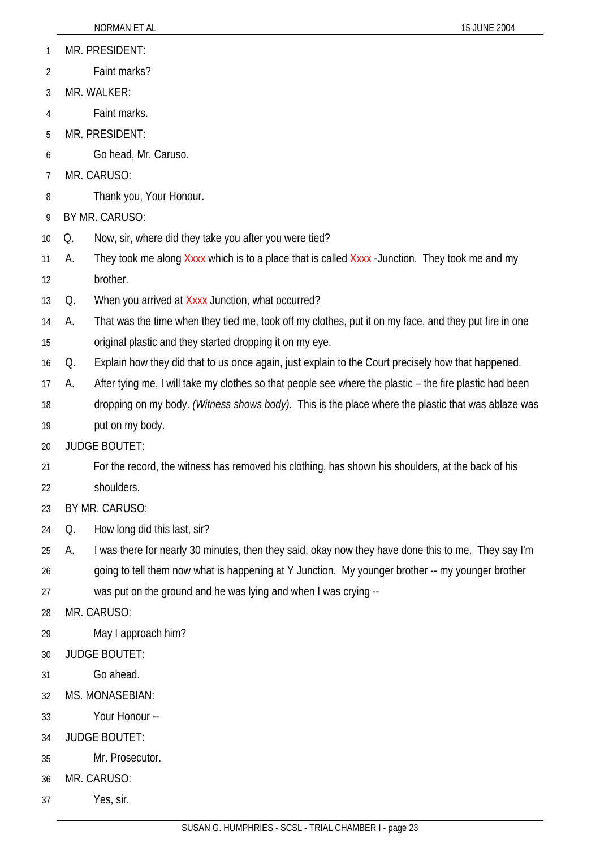- 1 MR. PRESIDENT:
- 2 Faint marks?
- 3 MR. WALKER:
- 4 Faint marks.
- 5 MR. PRESIDENT:
- 6 Go head, Mr. Caruso.
- 7 MR. CARUSO:
- 8 Thank you, Your Honour.
- 9 BY MR. CARUSO:
- 10 Q. Now, sir, where did they take you after you were tied?
- 11 12 A. They took me along  $X$ xxx which is to a place that is called  $X$ xxx -Junction. They took me and my brother.
- 13 Q. When you arrived at Xxxx Junction, what occurred?

14 15 A. That was the time when they tied me, took off my clothes, put it on my face, and they put fire in one original plastic and they started dropping it on my eye.

- 16 Q. Explain how they did that to us once again, just explain to the Court precisely how that happened.
- 17 A. After tying me, I will take my clothes so that people see where the plastic – the fire plastic had been
- 18 19 dropping on my body. *(Witness shows body).* This is the place where the plastic that was ablaze was put on my body.
- 20 JUDGE BOUTET:
- 21 For the record, the witness has removed his clothing, has shown his shoulders, at the back of his
- 22 shoulders.
- 23 BY MR. CARUSO:
- 24 Q. How long did this last, sir?
- 25 A. I was there for nearly 30 minutes, then they said, okay now they have done this to me. They say I'm
- 26 going to tell them now what is happening at Y Junction. My younger brother -- my younger brother
- 27 was put on the ground and he was lying and when I was crying --
- 28 MR. CARUSO:
- 29 May I approach him?
- 30 JUDGE BOUTET:
- 31 Go ahead.
- 32 MS. MONASEBIAN:
- 33 Your Honour --
- 34 JUDGE BOUTET:
- 35 Mr. Prosecutor.
- 36 MR. CARUSO:
- 37 Yes, sir.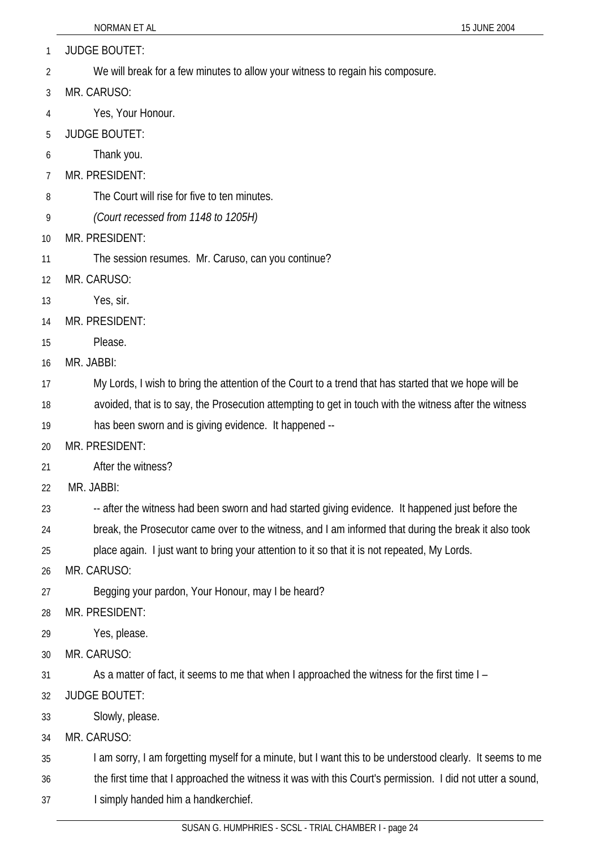1 JUDGE BOUTET:

- 2 We will break for a few minutes to allow your witness to regain his composure.
- 3 MR. CARUSO:
- 4 Yes, Your Honour.
- 5 JUDGE BOUTET:
- 6 Thank you.
- 7 MR. PRESIDENT:
- 8 The Court will rise for five to ten minutes.
- 9 *(Court recessed from 1148 to 1205H)*
- 10 MR. PRESIDENT:
- 11 The session resumes. Mr. Caruso, can you continue?
- 12 MR. CARUSO:
- 13 Yes, sir.
- 14 MR. PRESIDENT:
- 15 Please.
- 16 MR. JABBI:
- 17 My Lords, I wish to bring the attention of the Court to a trend that has started that we hope will be
- 18 avoided, that is to say, the Prosecution attempting to get in touch with the witness after the witness
- 19 has been sworn and is giving evidence. It happened --
- 20 MR. PRESIDENT:
- 21 After the witness?
- 22 MR. JABBI:
- 23 -- after the witness had been sworn and had started giving evidence. It happened just before the
- 24 break, the Prosecutor came over to the witness, and I am informed that during the break it also took
- 25 place again. I just want to bring your attention to it so that it is not repeated, My Lords.
- 26 MR. CARUSO:
- 27 Begging your pardon, Your Honour, may I be heard?
- 28 MR. PRESIDENT:
- 29 Yes, please.
- 30 MR. CARUSO:
- 31 As a matter of fact, it seems to me that when I approached the witness for the first time I –
- 32 JUDGE BOUTET:
- 33 Slowly, please.
- 34 MR. CARUSO:
- 35 I am sorry, I am forgetting myself for a minute, but I want this to be understood clearly. It seems to me
- 36 the first time that I approached the witness it was with this Court's permission. I did not utter a sound,
- 37 I simply handed him a handkerchief.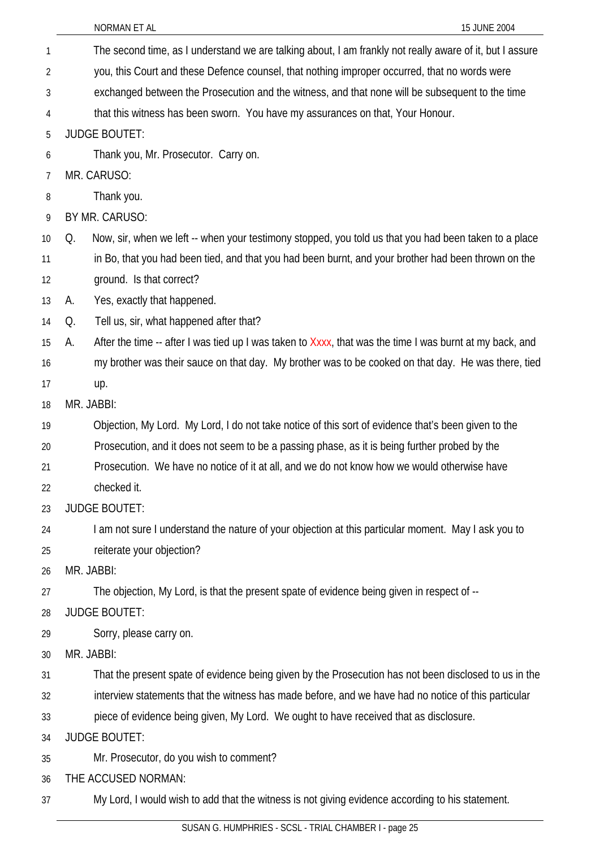The second time, as I understand we are talking about, I am frankly not really aware of it, but I assure you, this Court and these Defence counsel, that nothing improper occurred, that no words were exchanged between the Prosecution and the witness, and that none will be subsequent to the time that this witness has been sworn. You have my assurances on that, Your Honour. 1 2 3 4 5 6 7 8 9 10 11 12 13 14 15 16 17 18 19 20 21 22 23 24 25 26 27 28 29 30 31 32 33 34 35 36 37 JUDGE BOUTET: Thank you, Mr. Prosecutor. Carry on. MR. CARUSO: Thank you. BY MR. CARUSO: Q. Now, sir, when we left -- when your testimony stopped, you told us that you had been taken to a place in Bo, that you had been tied, and that you had been burnt, and your brother had been thrown on the ground. Is that correct? A. Yes, exactly that happened. Q. Tell us, sir, what happened after that? A. After the time -- after I was tied up I was taken to Xxxx, that was the time I was burnt at my back, and my brother was their sauce on that day. My brother was to be cooked on that day. He was there, tied up. MR. JABBI: Objection, My Lord. My Lord, I do not take notice of this sort of evidence that's been given to the Prosecution, and it does not seem to be a passing phase, as it is being further probed by the Prosecution. We have no notice of it at all, and we do not know how we would otherwise have checked it. JUDGE BOUTET: I am not sure I understand the nature of your objection at this particular moment. May I ask you to reiterate your objection? MR. JABBI: The objection, My Lord, is that the present spate of evidence being given in respect of -- JUDGE BOUTET: Sorry, please carry on. MR. JABBI: That the present spate of evidence being given by the Prosecution has not been disclosed to us in the interview statements that the witness has made before, and we have had no notice of this particular piece of evidence being given, My Lord. We ought to have received that as disclosure. JUDGE BOUTET: Mr. Prosecutor, do you wish to comment? THE ACCUSED NORMAN: My Lord, I would wish to add that the witness is not giving evidence according to his statement.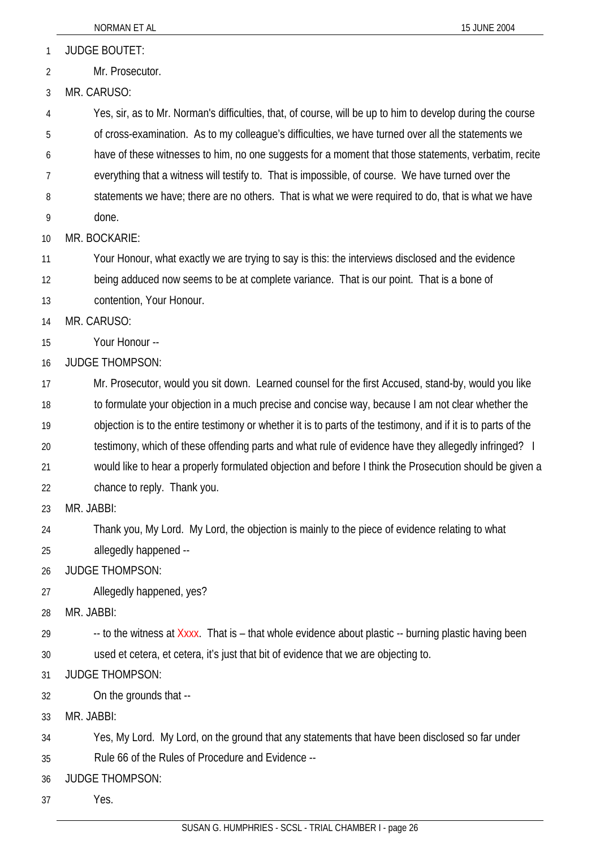1 JUDGE BOUTET:

2 Mr. Prosecutor.

3 MR. CARUSO:

4 5 Yes, sir, as to Mr. Norman's difficulties, that, of course, will be up to him to develop during the course of cross-examination. As to my colleague's difficulties, we have turned over all the statements we

6 have of these witnesses to him, no one suggests for a moment that those statements, verbatim, recite

7 everything that a witness will testify to. That is impossible, of course. We have turned over the

8 statements we have; there are no others. That is what we were required to do, that is what we have

9 done.

10 MR. BOCKARIE:

11 Your Honour, what exactly we are trying to say is this: the interviews disclosed and the evidence

12 being adduced now seems to be at complete variance. That is our point. That is a bone of

13 contention, Your Honour.

14 MR. CARUSO:

15 Your Honour --

16 JUDGE THOMPSON:

17 18 19 Mr. Prosecutor, would you sit down. Learned counsel for the first Accused, stand-by, would you like to formulate your objection in a much precise and concise way, because I am not clear whether the objection is to the entire testimony or whether it is to parts of the testimony, and if it is to parts of the

20 testimony, which of these offending parts and what rule of evidence have they allegedly infringed? I

21 would like to hear a properly formulated objection and before I think the Prosecution should be given a

22 chance to reply. Thank you.

23 MR. JABBI:

24 25 Thank you, My Lord. My Lord, the objection is mainly to the piece of evidence relating to what allegedly happened --

26 JUDGE THOMPSON:

27 Allegedly happened, yes?

28 MR. JABBI:

29 30 -- to the witness at Xxxx. That is – that whole evidence about plastic -- burning plastic having been used et cetera, et cetera, it's just that bit of evidence that we are objecting to.

31 JUDGE THOMPSON:

32 On the grounds that --

33 MR. JABBI:

34 Yes, My Lord. My Lord, on the ground that any statements that have been disclosed so far under

35 Rule 66 of the Rules of Procedure and Evidence --

36 JUDGE THOMPSON:

37 Yes.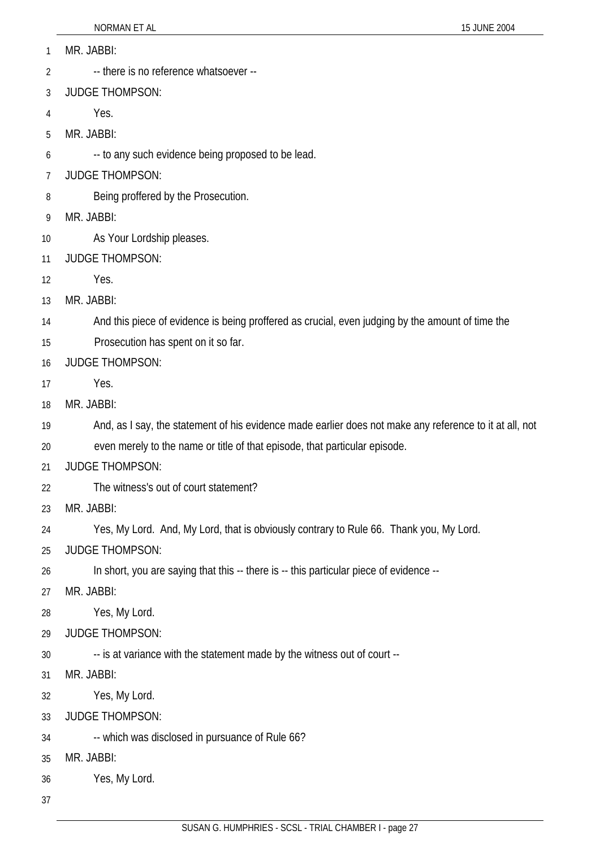- 1 MR. JABBI:
- 2 -- there is no reference whatsoever --
- 3 JUDGE THOMPSON:
- 4 Yes.
- 5 MR. JABBI:
- 6 -- to any such evidence being proposed to be lead.
- 7 JUDGE THOMPSON:
- 8 Being proffered by the Prosecution.
- 9 MR. JABBI:
- 10 As Your Lordship pleases.
- 11 JUDGE THOMPSON:
- 12 Yes.
- 13 MR. JABBI:
- 14 And this piece of evidence is being proffered as crucial, even judging by the amount of time the
- 15 Prosecution has spent on it so far.
- 16 JUDGE THOMPSON:
- 17 Yes.
- 18 MR. JABBI:
- 19 And, as I say, the statement of his evidence made earlier does not make any reference to it at all, not
- 20 even merely to the name or title of that episode, that particular episode.
- 21 JUDGE THOMPSON:
- 22 The witness's out of court statement?
- 23 MR. JABBI:
- 24 Yes, My Lord. And, My Lord, that is obviously contrary to Rule 66. Thank you, My Lord.
- 25 JUDGE THOMPSON:
- 26 In short, you are saying that this -- there is -- this particular piece of evidence --
- 27 MR. JABBI:
- 28 Yes, My Lord.
- 29 JUDGE THOMPSON:
- 30 -- is at variance with the statement made by the witness out of court --
- 31 MR. JABBI:
- 32 Yes, My Lord.
- 33 JUDGE THOMPSON:
- 34 -- which was disclosed in pursuance of Rule 66?
- 35 MR. JABBI:
- 36 Yes, My Lord.
- 37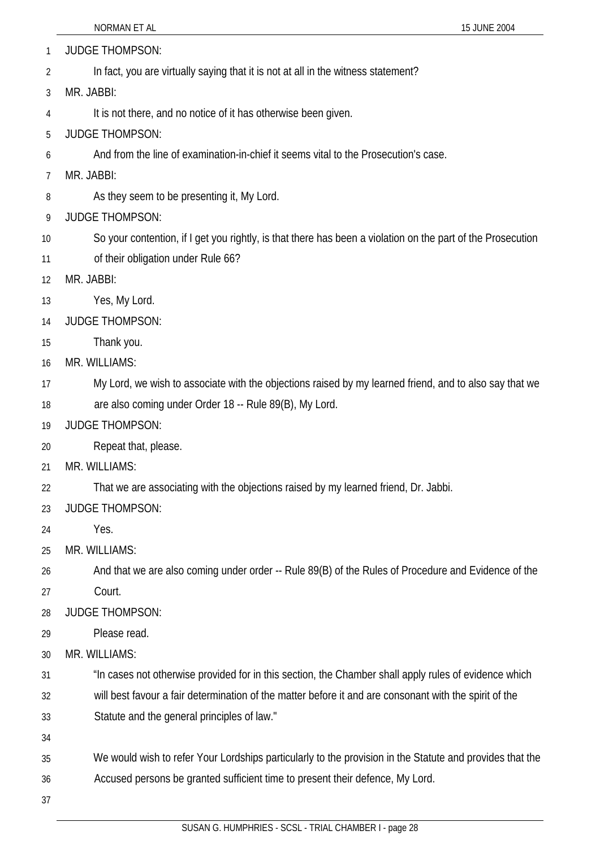1 JUDGE THOMPSON:

2 In fact, you are virtually saying that it is not at all in the witness statement?

3 MR. JABBI:

4 It is not there, and no notice of it has otherwise been given.

- 5 JUDGE THOMPSON:
- 6 And from the line of examination-in-chief it seems vital to the Prosecution's case.
- 7 MR. JABBI:
- 8 As they seem to be presenting it, My Lord.
- 9 JUDGE THOMPSON:
- 10 So your contention, if I get you rightly, is that there has been a violation on the part of the Prosecution
- 11 of their obligation under Rule 66?
- 12 MR. JABBI:
- 13 Yes, My Lord.
- 14 JUDGE THOMPSON:
- 15 Thank you.
- 16 MR. WILLIAMS:
- 17 My Lord, we wish to associate with the objections raised by my learned friend, and to also say that we
- 18 are also coming under Order 18 -- Rule 89(B), My Lord.
- 19 JUDGE THOMPSON:
- 20 Repeat that, please.
- 21 MR. WILLIAMS:
- 22 That we are associating with the objections raised by my learned friend, Dr. Jabbi.
- 23 JUDGE THOMPSON:
- 24 Yes.
- 25 MR. WILLIAMS:
- 26 And that we are also coming under order -- Rule 89(B) of the Rules of Procedure and Evidence of the
- 27 Court.
- 28 JUDGE THOMPSON:
- 29 Please read.
- 30 MR. WILLIAMS:
- 31 "In cases not otherwise provided for in this section, the Chamber shall apply rules of evidence which
- 32 33 will best favour a fair determination of the matter before it and are consonant with the spirit of the Statute and the general principles of law."
- 34
- 35 We would wish to refer Your Lordships particularly to the provision in the Statute and provides that the
- 36 Accused persons be granted sufficient time to present their defence, My Lord.
- 37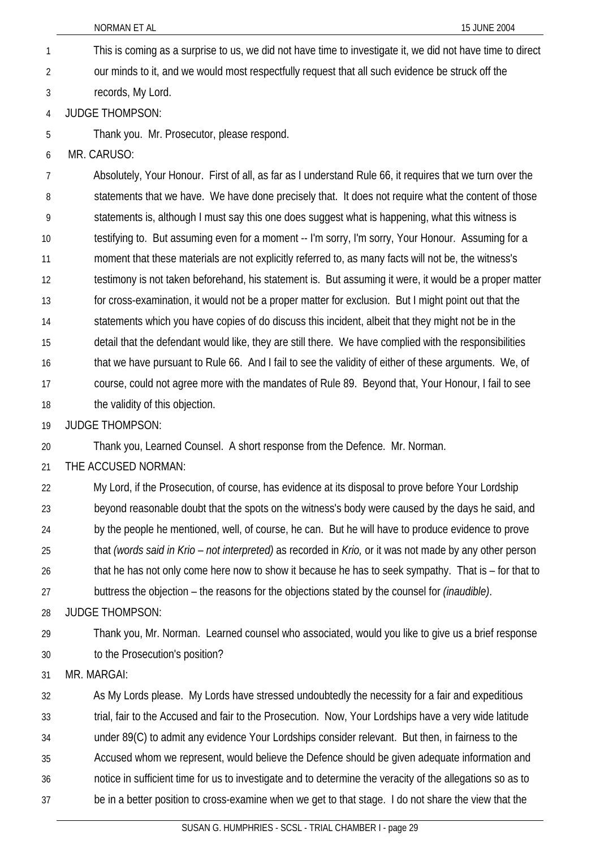- NORMAN ET AL 15 JUNE 2004 This is coming as a surprise to us, we did not have time to investigate it, we did not have time to direct our minds to it, and we would most respectfully request that all such evidence be struck off the records, My Lord. 1 2 3 4 5 6 7 8 9 10 JUDGE THOMPSON: Thank you. Mr. Prosecutor, please respond. MR. CARUSO: Absolutely, Your Honour. First of all, as far as I understand Rule 66, it requires that we turn over the statements that we have. We have done precisely that. It does not require what the content of those statements is, although I must say this one does suggest what is happening, what this witness is testifying to. But assuming even for a moment -- I'm sorry, I'm sorry, Your Honour. Assuming for a
- 12 testimony is not taken beforehand, his statement is. But assuming it were, it would be a proper matter

moment that these materials are not explicitly referred to, as many facts will not be, the witness's

- 13 for cross-examination, it would not be a proper matter for exclusion. But I might point out that the
- 14 statements which you have copies of do discuss this incident, albeit that they might not be in the
- 15 detail that the defendant would like, they are still there. We have complied with the responsibilities
- 16 that we have pursuant to Rule 66. And I fail to see the validity of either of these arguments. We, of
- 17 18 course, could not agree more with the mandates of Rule 89. Beyond that, Your Honour, I fail to see the validity of this objection.
- 19 JUDGE THOMPSON:

11

20 Thank you, Learned Counsel. A short response from the Defence. Mr. Norman.

- 21 THE ACCUSED NORMAN:
- 22 23 24 25 26 27 28 My Lord, if the Prosecution, of course, has evidence at its disposal to prove before Your Lordship beyond reasonable doubt that the spots on the witness's body were caused by the days he said, and by the people he mentioned, well, of course, he can. But he will have to produce evidence to prove that *(words said in Krio – not interpreted)* as recorded in *Krio,* or it was not made by any other person that he has not only come here now to show it because he has to seek sympathy. That is – for that to buttress the objection – the reasons for the objections stated by the counsel for *(inaudible)*. JUDGE THOMPSON:
- 29 30 Thank you, Mr. Norman. Learned counsel who associated, would you like to give us a brief response to the Prosecution's position?
- 31 MR. MARGAI:
- 32 As My Lords please. My Lords have stressed undoubtedly the necessity for a fair and expeditious
- 33 trial, fair to the Accused and fair to the Prosecution. Now, Your Lordships have a very wide latitude
- 34 under 89(C) to admit any evidence Your Lordships consider relevant. But then, in fairness to the
- 35 Accused whom we represent, would believe the Defence should be given adequate information and
- 36 notice in sufficient time for us to investigate and to determine the veracity of the allegations so as to
- 37 be in a better position to cross-examine when we get to that stage. I do not share the view that the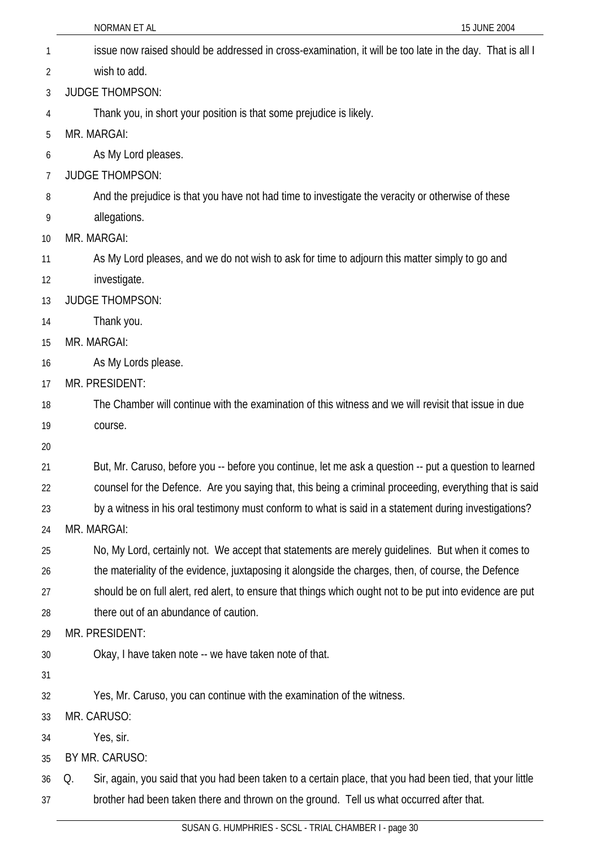|    | 15 JUNE 2004<br>NORMAN ET AL                                                                                    |
|----|-----------------------------------------------------------------------------------------------------------------|
| 1  | issue now raised should be addressed in cross-examination, it will be too late in the day. That is all I        |
| 2  | wish to add.                                                                                                    |
| 3  | <b>JUDGE THOMPSON:</b>                                                                                          |
| 4  | Thank you, in short your position is that some prejudice is likely.                                             |
| 5  | MR. MARGAI:                                                                                                     |
| 6  | As My Lord pleases.                                                                                             |
| 7  | <b>JUDGE THOMPSON:</b>                                                                                          |
| 8  | And the prejudice is that you have not had time to investigate the veracity or otherwise of these               |
| 9  | allegations.                                                                                                    |
| 10 | MR. MARGAI:                                                                                                     |
| 11 | As My Lord pleases, and we do not wish to ask for time to adjourn this matter simply to go and                  |
| 12 | investigate.                                                                                                    |
| 13 | <b>JUDGE THOMPSON:</b>                                                                                          |
| 14 | Thank you.                                                                                                      |
| 15 | MR. MARGAI:                                                                                                     |
| 16 | As My Lords please.                                                                                             |
| 17 | MR. PRESIDENT:                                                                                                  |
| 18 | The Chamber will continue with the examination of this witness and we will revisit that issue in due            |
| 19 | course.                                                                                                         |
| 20 |                                                                                                                 |
| 21 | But, Mr. Caruso, before you -- before you continue, let me ask a question -- put a question to learned          |
| 22 | counsel for the Defence. Are you saying that, this being a criminal proceeding, everything that is said         |
| 23 | by a witness in his oral testimony must conform to what is said in a statement during investigations?           |
| 24 | MR. MARGAI:                                                                                                     |
| 25 | No, My Lord, certainly not. We accept that statements are merely guidelines. But when it comes to               |
| 26 | the materiality of the evidence, juxtaposing it alongside the charges, then, of course, the Defence             |
| 27 | should be on full alert, red alert, to ensure that things which ought not to be put into evidence are put       |
| 28 | there out of an abundance of caution.                                                                           |
| 29 | MR. PRESIDENT:                                                                                                  |
| 30 | Okay, I have taken note -- we have taken note of that.                                                          |
| 31 |                                                                                                                 |
| 32 | Yes, Mr. Caruso, you can continue with the examination of the witness.                                          |
| 33 | MR. CARUSO:                                                                                                     |
| 34 | Yes, sir.                                                                                                       |
| 35 | BY MR. CARUSO:                                                                                                  |
| 36 | Sir, again, you said that you had been taken to a certain place, that you had been tied, that your little<br>Q. |
| 37 | brother had been taken there and thrown on the ground. Tell us what occurred after that.                        |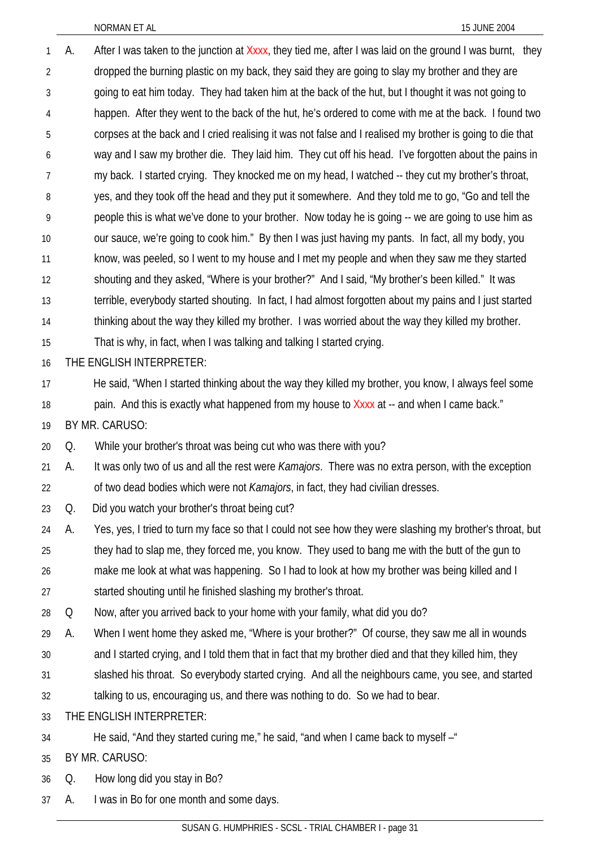| 1              | А. | After I was taken to the junction at Xxxx, they tied me, after I was laid on the ground I was burnt, they   |
|----------------|----|-------------------------------------------------------------------------------------------------------------|
| $\overline{2}$ |    | dropped the burning plastic on my back, they said they are going to slay my brother and they are            |
| 3              |    | going to eat him today. They had taken him at the back of the hut, but I thought it was not going to        |
| 4              |    | happen. After they went to the back of the hut, he's ordered to come with me at the back. I found two       |
| 5              |    | corpses at the back and I cried realising it was not false and I realised my brother is going to die that   |
| 6              |    | way and I saw my brother die. They laid him. They cut off his head. I've forgotten about the pains in       |
| 7              |    | my back. I started crying. They knocked me on my head, I watched -- they cut my brother's throat,           |
| 8              |    | yes, and they took off the head and they put it somewhere. And they told me to go, "Go and tell the         |
| 9              |    | people this is what we've done to your brother. Now today he is going -- we are going to use him as         |
| 10             |    | our sauce, we're going to cook him." By then I was just having my pants. In fact, all my body, you          |
| 11             |    | know, was peeled, so I went to my house and I met my people and when they saw me they started               |
| 12             |    | shouting and they asked, "Where is your brother?" And I said, "My brother's been killed." It was            |
| 13             |    | terrible, everybody started shouting. In fact, I had almost forgotten about my pains and I just started     |
| 14             |    | thinking about the way they killed my brother. I was worried about the way they killed my brother.          |
| 15             |    | That is why, in fact, when I was talking and talking I started crying.                                      |
| 16             |    | THE ENGLISH INTERPRETER:                                                                                    |
| 17             |    | He said, "When I started thinking about the way they killed my brother, you know, I always feel some        |
| 18             |    | pain. And this is exactly what happened from my house to Xxxx at -- and when I came back."                  |
| 19             |    | BY MR. CARUSO:                                                                                              |
| 20             | Q. | While your brother's throat was being cut who was there with you?                                           |
| 21             | А. | It was only two of us and all the rest were <i>Kamajors</i> . There was no extra person, with the exception |
| 22             |    | of two dead bodies which were not <i>Kamajors</i> , in fact, they had civilian dresses.                     |
| 23             | Q. | Did you watch your brother's throat being cut?                                                              |
| 24             | А. | Yes, yes, I tried to turn my face so that I could not see how they were slashing my brother's throat, but   |
| 25             |    | they had to slap me, they forced me, you know. They used to bang me with the butt of the gun to             |
| 26             |    | make me look at what was happening. So I had to look at how my brother was being killed and I               |
| 27             |    | started shouting until he finished slashing my brother's throat.                                            |
| 28             | Q  | Now, after you arrived back to your home with your family, what did you do?                                 |
| 29             | А. | When I went home they asked me, "Where is your brother?" Of course, they saw me all in wounds               |
| 30             |    | and I started crying, and I told them that in fact that my brother died and that they killed him, they      |
| 31             |    | slashed his throat. So everybody started crying. And all the neighbours came, you see, and started          |
| 32             |    | talking to us, encouraging us, and there was nothing to do. So we had to bear.                              |
| 33             |    | THE ENGLISH INTERPRETER:                                                                                    |
| 34             |    | He said, "And they started curing me," he said, "and when I came back to myself -"                          |
| 35             |    | BY MR. CARUSO:                                                                                              |
| 36             | Q. | How long did you stay in Bo?                                                                                |

A. I was in Bo for one month and some days.

37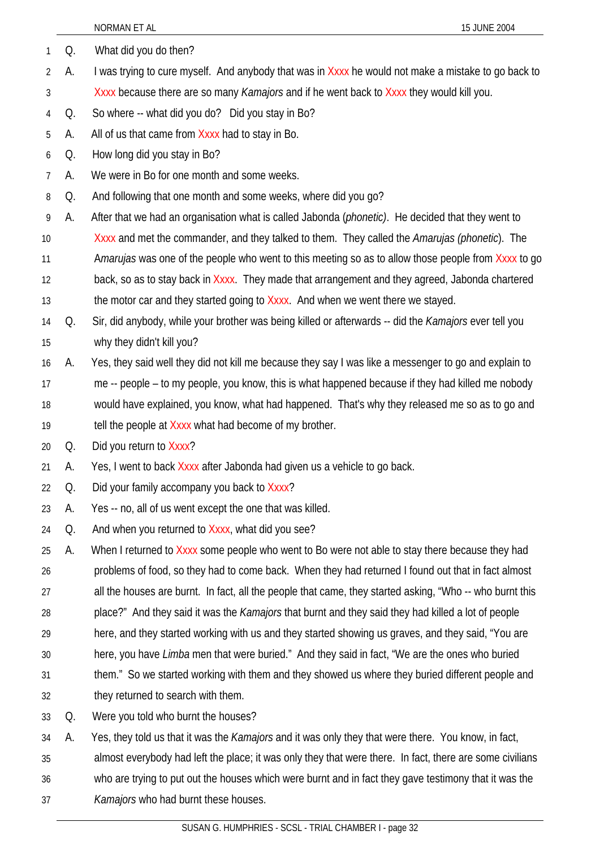|    |    | NORMAN ET AL<br>15 JUNE 2004                                                                               |
|----|----|------------------------------------------------------------------------------------------------------------|
| 1  | Q. | What did you do then?                                                                                      |
| 2  | А. | I was trying to cure myself. And anybody that was in Xxxx he would not make a mistake to go back to        |
| 3  |    | Xxxx because there are so many Kamajors and if he went back to Xxxx they would kill you.                   |
| 4  | Q. | So where -- what did you do? Did you stay in Bo?                                                           |
| 5  | А. | All of us that came from Xxxx had to stay in Bo.                                                           |
| 6  | Q. | How long did you stay in Bo?                                                                               |
| 7  | А. | We were in Bo for one month and some weeks.                                                                |
| 8  | Q. | And following that one month and some weeks, where did you go?                                             |
| 9  | А. | After that we had an organisation what is called Jabonda ( <i>phonetic</i> ). He decided that they went to |
| 10 |    | Xxxx and met the commander, and they talked to them. They called the Amarujas (phonetic). The              |
| 11 |    | Amarujas was one of the people who went to this meeting so as to allow those people from Xxxx to go        |
| 12 |    | back, so as to stay back in Xxxx. They made that arrangement and they agreed, Jabonda chartered            |
| 13 |    | the motor car and they started going to Xxxx. And when we went there we stayed.                            |
| 14 | Q. | Sir, did anybody, while your brother was being killed or afterwards -- did the Kamajors ever tell you      |
| 15 |    | why they didn't kill you?                                                                                  |
| 16 | А. | Yes, they said well they did not kill me because they say I was like a messenger to go and explain to      |
| 17 |    | me -- people – to my people, you know, this is what happened because if they had killed me nobody          |
| 18 |    | would have explained, you know, what had happened. That's why they released me so as to go and             |
| 19 |    | tell the people at Xxxx what had become of my brother.                                                     |
| 20 | Q. | Did you return to Xxxx?                                                                                    |
| 21 | A. | Yes, I went to back Xxxx after Jabonda had given us a vehicle to go back.                                  |
| 22 | Q. | Did your family accompany you back to Xxxx?                                                                |
| 23 | А. | Yes -- no, all of us went except the one that was killed.                                                  |
| 24 | Q. | And when you returned to Xxxx, what did you see?                                                           |
| 25 | А. | When I returned to Xxxx some people who went to Bo were not able to stay there because they had            |
| 26 |    | problems of food, so they had to come back. When they had returned I found out that in fact almost         |
| 27 |    | all the houses are burnt. In fact, all the people that came, they started asking, "Who -- who burnt this   |
| 28 |    | place?" And they said it was the Kamajors that burnt and they said they had killed a lot of people         |
| 29 |    | here, and they started working with us and they started showing us graves, and they said, "You are         |
| 30 |    | here, you have <i>Limba</i> men that were buried." And they said in fact, "We are the ones who buried      |
| 31 |    | them." So we started working with them and they showed us where they buried different people and           |
| 32 |    | they returned to search with them.                                                                         |
| 33 | Q. | Were you told who burnt the houses?                                                                        |
| 34 | А. | Yes, they told us that it was the <i>Kamajors</i> and it was only they that were there. You know, in fact, |
| 35 |    | almost everybody had left the place; it was only they that were there. In fact, there are some civilians   |
| 36 |    | who are trying to put out the houses which were burnt and in fact they gave testimony that it was the      |

*Kamajors* who had burnt these houses.

37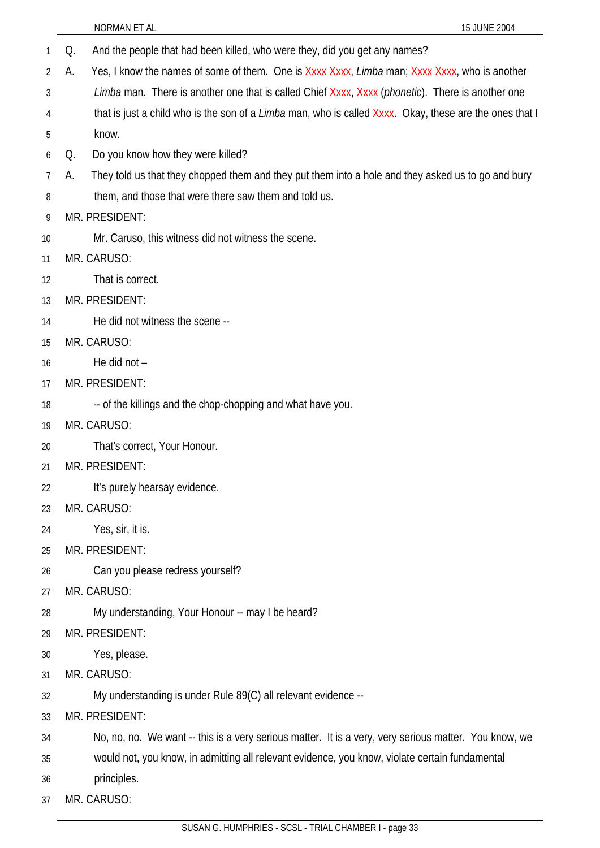- NORMAN ET AL 15 JUNE 2004 1 Q. And the people that had been killed, who were they, did you get any names? 2 3 4 5 6 7 8 9 10 11 12 13 14 15 16 17 18 19 20 21 22 23 24 25 26 27 A. Yes, I know the names of some of them. One is Xxxx Xxxx, *Limba* man; Xxxx Xxxx, who is another *Limba* man. There is another one that is called Chief Xxxx, Xxxx (*phonetic*). There is another one that is just a child who is the son of a *Limba* man, who is called Xxxx. Okay, these are the ones that I know. Q. Do you know how they were killed? A. They told us that they chopped them and they put them into a hole and they asked us to go and bury them, and those that were there saw them and told us. MR. PRESIDENT: Mr. Caruso, this witness did not witness the scene. MR. CARUSO: That is correct. MR. PRESIDENT: He did not witness the scene -- MR. CARUSO: He did not – MR. PRESIDENT: -- of the killings and the chop-chopping and what have you. MR. CARUSO: That's correct, Your Honour. MR. PRESIDENT: It's purely hearsay evidence. MR. CARUSO: Yes, sir, it is. MR. PRESIDENT: Can you please redress yourself? MR. CARUSO:
- 28 My understanding, Your Honour -- may I be heard?
- 29 MR. PRESIDENT:
- 30 Yes, please.
- 31 MR. CARUSO:
- 32 My understanding is under Rule 89(C) all relevant evidence --
- 33 MR. PRESIDENT:
- 34 No, no, no. We want -- this is a very serious matter. It is a very, very serious matter. You know, we
- 35 would not, you know, in admitting all relevant evidence, you know, violate certain fundamental
- 36 principles.
- 37 MR. CARUSO: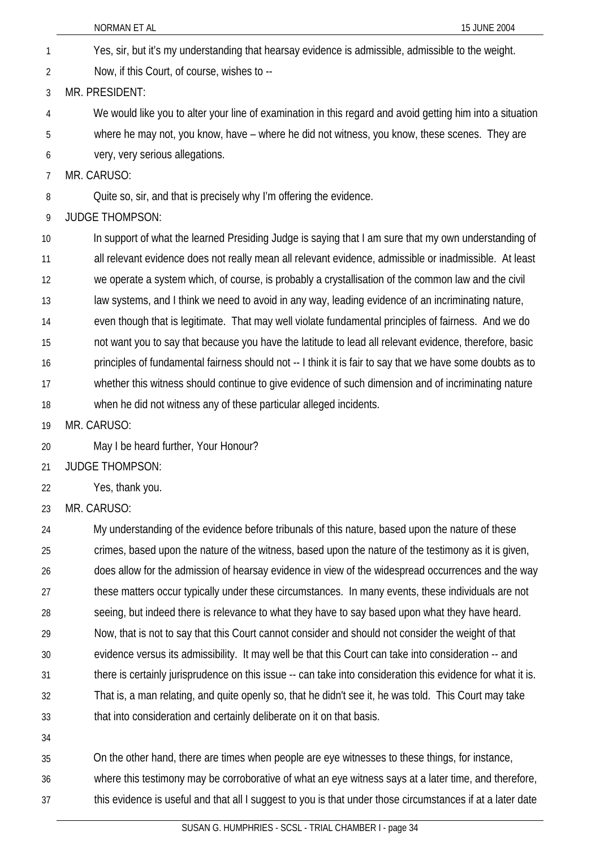Yes, sir, but it's my understanding that hearsay evidence is admissible, admissible to the weight. 1

Now, if this Court, of course, wishes to -- 2

3 MR. PRESIDENT:

4 We would like you to alter your line of examination in this regard and avoid getting him into a situation

5 where he may not, you know, have – where he did not witness, you know, these scenes. They are

6 very, very serious allegations.

7 MR. CARUSO:

8 Quite so, sir, and that is precisely why I'm offering the evidence.

9 JUDGE THOMPSON:

10 11 12 13 14 15 16 17 18 In support of what the learned Presiding Judge is saying that I am sure that my own understanding of all relevant evidence does not really mean all relevant evidence, admissible or inadmissible. At least we operate a system which, of course, is probably a crystallisation of the common law and the civil law systems, and I think we need to avoid in any way, leading evidence of an incriminating nature, even though that is legitimate. That may well violate fundamental principles of fairness. And we do not want you to say that because you have the latitude to lead all relevant evidence, therefore, basic principles of fundamental fairness should not -- I think it is fair to say that we have some doubts as to whether this witness should continue to give evidence of such dimension and of incriminating nature when he did not witness any of these particular alleged incidents.

19 MR. CARUSO:

20 May I be heard further, Your Honour?

21 JUDGE THOMPSON:

22 Yes, thank you.

23 MR. CARUSO:

24 25 26 27 28 29 30 31 32 33 34 My understanding of the evidence before tribunals of this nature, based upon the nature of these crimes, based upon the nature of the witness, based upon the nature of the testimony as it is given, does allow for the admission of hearsay evidence in view of the widespread occurrences and the way these matters occur typically under these circumstances. In many events, these individuals are not seeing, but indeed there is relevance to what they have to say based upon what they have heard. Now, that is not to say that this Court cannot consider and should not consider the weight of that evidence versus its admissibility. It may well be that this Court can take into consideration -- and there is certainly jurisprudence on this issue -- can take into consideration this evidence for what it is. That is, a man relating, and quite openly so, that he didn't see it, he was told. This Court may take that into consideration and certainly deliberate on it on that basis.

35 36 37 On the other hand, there are times when people are eye witnesses to these things, for instance, where this testimony may be corroborative of what an eye witness says at a later time, and therefore, this evidence is useful and that all I suggest to you is that under those circumstances if at a later date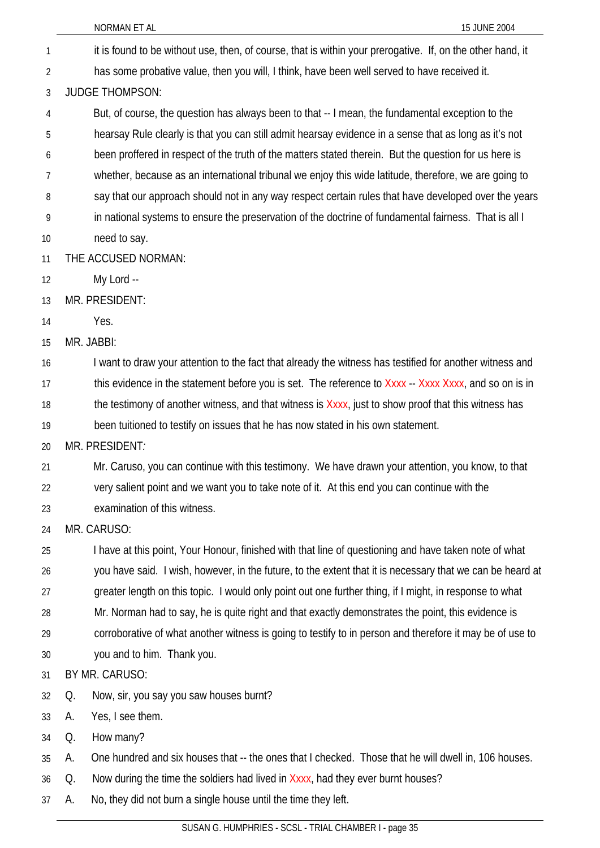|    | NORMAN ET AL<br>15 JUNE 2004                                                                               |  |
|----|------------------------------------------------------------------------------------------------------------|--|
| 1  | it is found to be without use, then, of course, that is within your prerogative. If, on the other hand, it |  |
| 2  | has some probative value, then you will, I think, have been well served to have received it.               |  |
| 3  | <b>JUDGE THOMPSON:</b>                                                                                     |  |
| 4  | But, of course, the question has always been to that -- I mean, the fundamental exception to the           |  |
| 5  | hearsay Rule clearly is that you can still admit hearsay evidence in a sense that as long as it's not      |  |
| 6  | been proffered in respect of the truth of the matters stated therein. But the question for us here is      |  |
| 7  | whether, because as an international tribunal we enjoy this wide latitude, therefore, we are going to      |  |
| 8  | say that our approach should not in any way respect certain rules that have developed over the years       |  |
| 9  | in national systems to ensure the preservation of the doctrine of fundamental fairness. That is all I      |  |
| 10 | need to say.                                                                                               |  |
| 11 | THE ACCUSED NORMAN:                                                                                        |  |
| 12 | My Lord --                                                                                                 |  |
| 13 | MR. PRESIDENT:                                                                                             |  |
| 14 | Yes.                                                                                                       |  |
| 15 | MR. JABBI:                                                                                                 |  |
| 16 | I want to draw your attention to the fact that already the witness has testified for another witness and   |  |
| 17 | this evidence in the statement before you is set. The reference to Xxxx - Xxxx Xxxx, and so on is in       |  |
| 18 | the testimony of another witness, and that witness is Xxxx, just to show proof that this witness has       |  |
| 19 | been tuitioned to testify on issues that he has now stated in his own statement.                           |  |
| 20 | MR. PRESIDENT:                                                                                             |  |
| 21 | Mr. Caruso, you can continue with this testimony. We have drawn your attention, you know, to that          |  |
| 22 | very salient point and we want you to take note of it. At this end you can continue with the               |  |
| 23 | examination of this witness.                                                                               |  |
| 24 | MR. CARUSO:                                                                                                |  |
| 25 | I have at this point, Your Honour, finished with that line of questioning and have taken note of what      |  |
| 26 | you have said. I wish, however, in the future, to the extent that it is necessary that we can be heard at  |  |
| 27 | greater length on this topic. I would only point out one further thing, if I might, in response to what    |  |
| 28 | Mr. Norman had to say, he is quite right and that exactly demonstrates the point, this evidence is         |  |
| 29 | corroborative of what another witness is going to testify to in person and therefore it may be of use to   |  |
| 30 | you and to him. Thank you.                                                                                 |  |
| 31 | BY MR. CARUSO:                                                                                             |  |
| 32 | Now, sir, you say you saw houses burnt?<br>Q.                                                              |  |
| 33 | Yes, I see them.<br>А.                                                                                     |  |
| 34 | How many?<br>Q.                                                                                            |  |
| 35 | One hundred and six houses that -- the ones that I checked. Those that he will dwell in, 106 houses.<br>А. |  |
| 36 | Now during the time the soldiers had lived in Xxxx, had they ever burnt houses?<br>Q.                      |  |
| 37 | No, they did not burn a single house until the time they left.<br>А.                                       |  |
|    |                                                                                                            |  |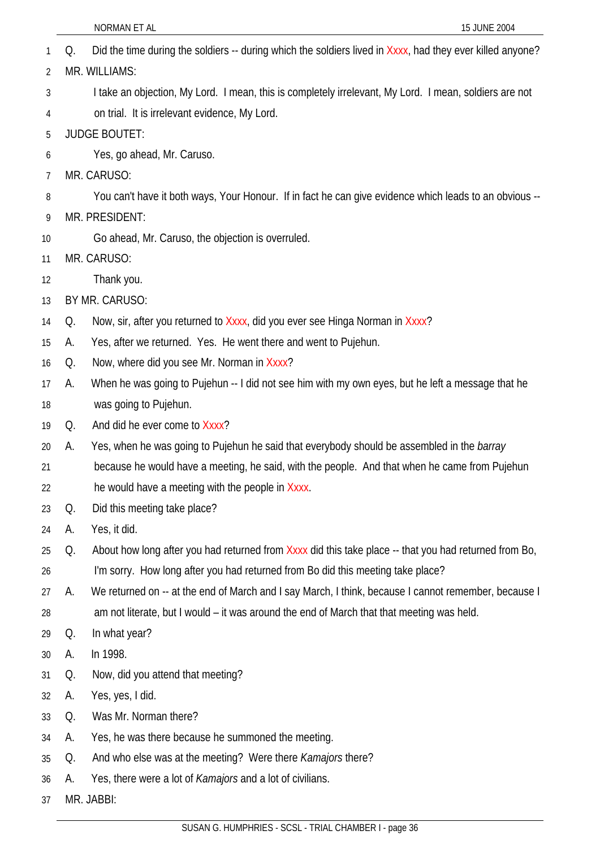|    |    | NORMAN ET AL<br>15 JUNE 2004                                                                              |
|----|----|-----------------------------------------------------------------------------------------------------------|
| 1  | Q. | Did the time during the soldiers -- during which the soldiers lived in Xxxx, had they ever killed anyone? |
| 2  |    | MR. WILLIAMS:                                                                                             |
| 3  |    | I take an objection, My Lord. I mean, this is completely irrelevant, My Lord. I mean, soldiers are not    |
| 4  |    | on trial. It is irrelevant evidence, My Lord.                                                             |
| 5  |    | <b>JUDGE BOUTET:</b>                                                                                      |
| 6  |    | Yes, go ahead, Mr. Caruso.                                                                                |
| 7  |    | MR. CARUSO:                                                                                               |
| 8  |    | You can't have it both ways, Your Honour. If in fact he can give evidence which leads to an obvious --    |
| 9  |    | MR. PRESIDENT:                                                                                            |
| 10 |    | Go ahead, Mr. Caruso, the objection is overruled.                                                         |
| 11 |    | MR. CARUSO:                                                                                               |
| 12 |    | Thank you.                                                                                                |
| 13 |    | BY MR. CARUSO:                                                                                            |
| 14 | Q. | Now, sir, after you returned to Xxxx, did you ever see Hinga Norman in Xxxx?                              |
| 15 | А. | Yes, after we returned. Yes. He went there and went to Pujehun.                                           |
| 16 | Q. | Now, where did you see Mr. Norman in Xxxx?                                                                |
| 17 | А. | When he was going to Pujehun -- I did not see him with my own eyes, but he left a message that he         |
| 18 |    | was going to Pujehun.                                                                                     |
| 19 | Q. | And did he ever come to Xxxx?                                                                             |
| 20 | А. | Yes, when he was going to Pujehun he said that everybody should be assembled in the <i>barray</i>         |
| 21 |    | because he would have a meeting, he said, with the people. And that when he came from Pujehun             |
| 22 |    | he would have a meeting with the people in Xxxx.                                                          |
| 23 | Q. | Did this meeting take place?                                                                              |
| 24 | А. | Yes, it did.                                                                                              |
| 25 | Q. | About how long after you had returned from Xxxx did this take place -- that you had returned from Bo,     |
| 26 |    | I'm sorry. How long after you had returned from Bo did this meeting take place?                           |
| 27 | А. | We returned on -- at the end of March and I say March, I think, because I cannot remember, because I      |
| 28 |    | am not literate, but I would – it was around the end of March that that meeting was held.                 |
| 29 | Q. | In what year?                                                                                             |
| 30 | А. | In 1998.                                                                                                  |
| 31 | Q. | Now, did you attend that meeting?                                                                         |
| 32 | А. | Yes, yes, I did.                                                                                          |
| 33 | Q. | Was Mr. Norman there?                                                                                     |
| 34 | А. | Yes, he was there because he summoned the meeting.                                                        |
| 35 | Q. | And who else was at the meeting? Were there <i>Kamajors</i> there?                                        |

- 36 A. Yes, there were a lot of *Kamajors* and a lot of civilians.
- 37 MR. JABBI: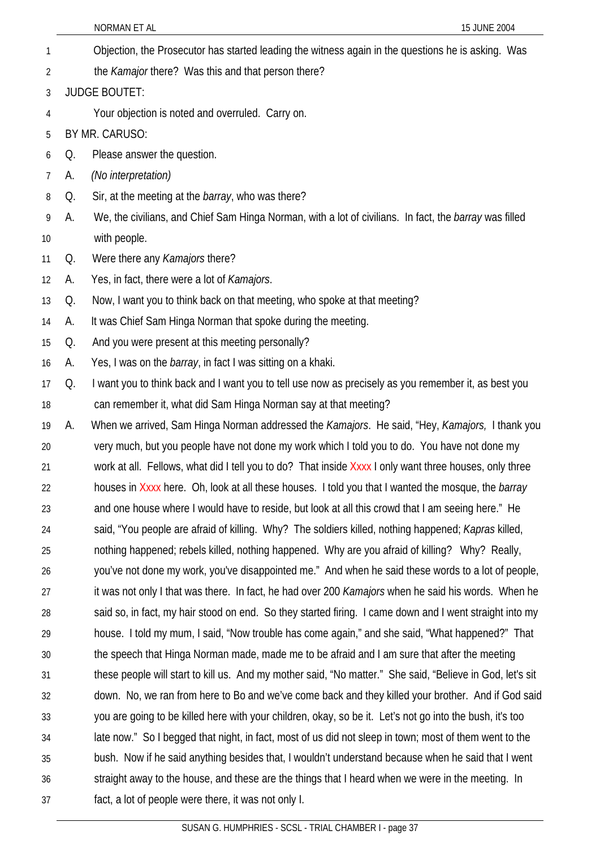NORMAN ET AL 15 JUNE 2004 Objection, the Prosecutor has started leading the witness again in the questions he is asking. Was the *Kamajor* there? Was this and that person there? 1 2 3 4 5 6 7 8 9 10 11 12 13 14 15 16 17 18 19 20 21 22 23 24 25 26 27 28 29 30 31 32 33 34 35 36 37 JUDGE BOUTET: Your objection is noted and overruled. Carry on. BY MR. CARUSO: Q. Please answer the question. A. *(No interpretation)* Q. Sir, at the meeting at the *barray*, who was there? A. We, the civilians, and Chief Sam Hinga Norman, with a lot of civilians. In fact, the *barray* was filled with people. Q. Were there any *Kamajors* there? A. Yes, in fact, there were a lot of *Kamajors*. Q. Now, I want you to think back on that meeting, who spoke at that meeting? A. It was Chief Sam Hinga Norman that spoke during the meeting. Q. And you were present at this meeting personally? A. Yes, I was on the *barray*, in fact I was sitting on a khaki. Q. I want you to think back and I want you to tell use now as precisely as you remember it, as best you can remember it, what did Sam Hinga Norman say at that meeting? A. When we arrived, Sam Hinga Norman addressed the *Kamajors*. He said, "Hey, *Kamajors,* I thank you very much, but you people have not done my work which I told you to do. You have not done my work at all. Fellows, what did I tell you to do? That inside Xxxx I only want three houses, only three houses in Xxxx here. Oh, look at all these houses. I told you that I wanted the mosque, the *barray* and one house where I would have to reside, but look at all this crowd that I am seeing here." He said, "You people are afraid of killing. Why? The soldiers killed, nothing happened; *Kapras* killed, nothing happened; rebels killed, nothing happened. Why are you afraid of killing? Why? Really, you've not done my work, you've disappointed me." And when he said these words to a lot of people, it was not only I that was there. In fact, he had over 200 *Kamajors* when he said his words. When he said so, in fact, my hair stood on end. So they started firing. I came down and I went straight into my house. I told my mum, I said, "Now trouble has come again," and she said, "What happened?" That the speech that Hinga Norman made, made me to be afraid and I am sure that after the meeting these people will start to kill us. And my mother said, "No matter." She said, "Believe in God, let's sit down. No, we ran from here to Bo and we've come back and they killed your brother. And if God said you are going to be killed here with your children, okay, so be it. Let's not go into the bush, it's too late now." So I begged that night, in fact, most of us did not sleep in town; most of them went to the bush. Now if he said anything besides that, I wouldn't understand because when he said that I went straight away to the house, and these are the things that I heard when we were in the meeting. In fact, a lot of people were there, it was not only I.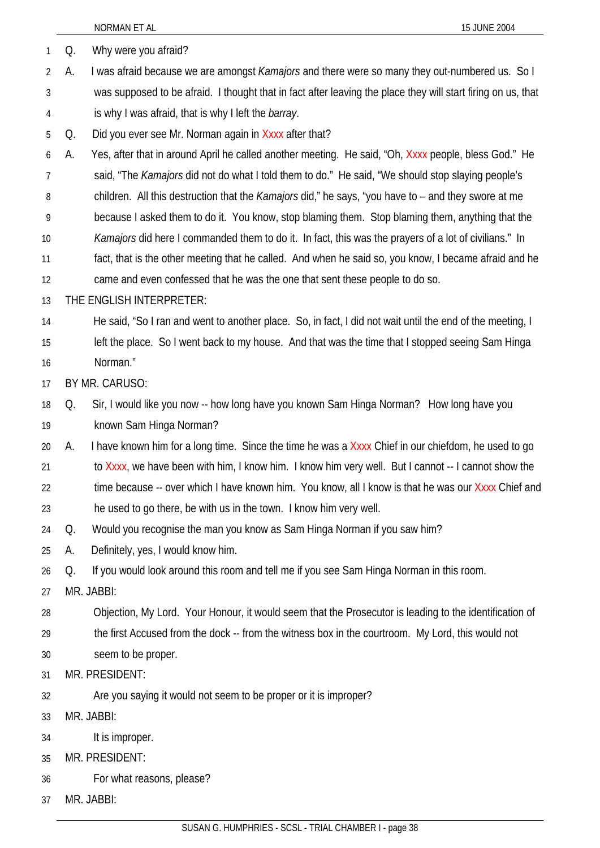|    |    | NORMAN ET AL<br>15 JUNE 2004                                                                                 |
|----|----|--------------------------------------------------------------------------------------------------------------|
| 1  | Q. | Why were you afraid?                                                                                         |
| 2  | А. | I was afraid because we are amongst Kamajors and there were so many they out-numbered us. So I               |
| 3  |    | was supposed to be afraid. I thought that in fact after leaving the place they will start firing on us, that |
| 4  |    | is why I was afraid, that is why I left the <i>barray</i> .                                                  |
| 5  | Q. | Did you ever see Mr. Norman again in Xxxx after that?                                                        |
| 6  | А. | Yes, after that in around April he called another meeting. He said, "Oh, Xxxx people, bless God." He         |
| 7  |    | said, "The Kamajors did not do what I told them to do." He said, "We should stop slaying people's            |
| 8  |    | children. All this destruction that the <i>Kamajors</i> did," he says, "you have to – and they swore at me   |
| 9  |    | because I asked them to do it. You know, stop blaming them. Stop blaming them, anything that the             |
| 10 |    | Kamajors did here I commanded them to do it. In fact, this was the prayers of a lot of civilians." In        |
| 11 |    | fact, that is the other meeting that he called. And when he said so, you know, I became afraid and he        |
| 12 |    | came and even confessed that he was the one that sent these people to do so.                                 |
| 13 |    | THE ENGLISH INTERPRETER:                                                                                     |
| 14 |    | He said, "So I ran and went to another place. So, in fact, I did not wait until the end of the meeting, I    |
| 15 |    | left the place. So I went back to my house. And that was the time that I stopped seeing Sam Hinga            |
| 16 |    | Norman."                                                                                                     |
| 17 |    | BY MR. CARUSO:                                                                                               |
| 18 | Q. | Sir, I would like you now -- how long have you known Sam Hinga Norman? How long have you                     |
| 19 |    | known Sam Hinga Norman?                                                                                      |
| 20 | А. | I have known him for a long time. Since the time he was a Xxxx Chief in our chiefdom, he used to go          |
| 21 |    | to Xxxx, we have been with him, I know him. I know him very well. But I cannot -- I cannot show the          |
| 22 |    | time because -- over which I have known him. You know, all I know is that he was our Xxxx Chief and          |
| 23 |    | he used to go there, be with us in the town. I know him very well.                                           |
| 24 | Q. | Would you recognise the man you know as Sam Hinga Norman if you saw him?                                     |
| 25 | А. | Definitely, yes, I would know him.                                                                           |
| 26 | Q. | If you would look around this room and tell me if you see Sam Hinga Norman in this room.                     |
| 27 |    | MR. JABBI:                                                                                                   |
| 28 |    | Objection, My Lord. Your Honour, it would seem that the Prosecutor is leading to the identification of       |
| 29 |    | the first Accused from the dock -- from the witness box in the courtroom. My Lord, this would not            |
| 30 |    | seem to be proper.                                                                                           |
| 31 |    | MR. PRESIDENT:                                                                                               |
| 32 |    | Are you saying it would not seem to be proper or it is improper?                                             |
| 33 |    | MR. JABBI:                                                                                                   |
| 34 |    | It is improper.                                                                                              |
| 35 |    | MR. PRESIDENT:                                                                                               |
| 36 |    | For what reasons, please?                                                                                    |
| 37 |    | MR. JABBI:                                                                                                   |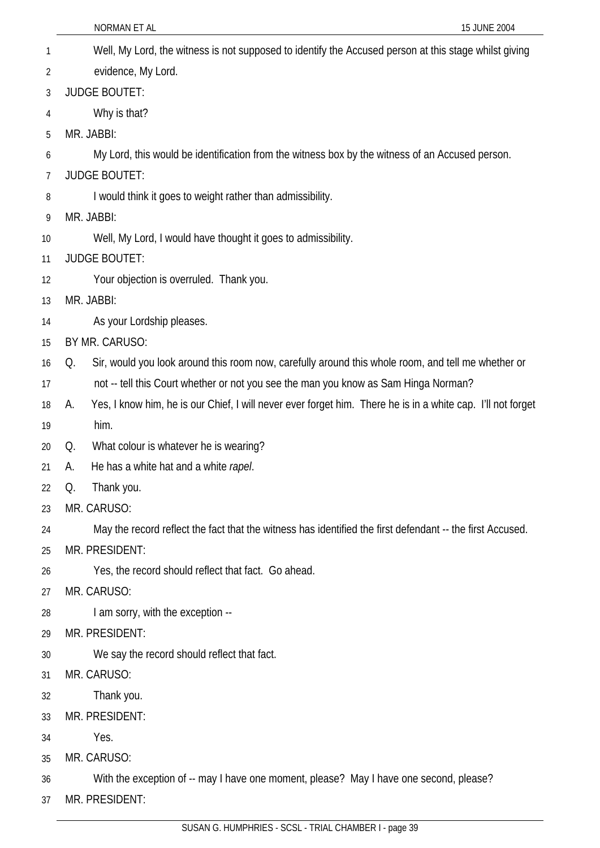|    | NORMAN ET AL<br>15 JUNE 2004                                                                                      |
|----|-------------------------------------------------------------------------------------------------------------------|
| 1  | Well, My Lord, the witness is not supposed to identify the Accused person at this stage whilst giving             |
| 2  | evidence, My Lord.                                                                                                |
| 3  | <b>JUDGE BOUTET:</b>                                                                                              |
| 4  | Why is that?                                                                                                      |
| 5  | MR. JABBI:                                                                                                        |
| 6  | My Lord, this would be identification from the witness box by the witness of an Accused person.                   |
| 7  | <b>JUDGE BOUTET:</b>                                                                                              |
| 8  | I would think it goes to weight rather than admissibility.                                                        |
| 9  | MR. JABBI:                                                                                                        |
| 10 | Well, My Lord, I would have thought it goes to admissibility.                                                     |
| 11 | <b>JUDGE BOUTET:</b>                                                                                              |
| 12 | Your objection is overruled. Thank you.                                                                           |
| 13 | MR. JABBI:                                                                                                        |
| 14 | As your Lordship pleases.                                                                                         |
| 15 | BY MR. CARUSO:                                                                                                    |
| 16 | Sir, would you look around this room now, carefully around this whole room, and tell me whether or<br>Q.          |
| 17 | not -- tell this Court whether or not you see the man you know as Sam Hinga Norman?                               |
| 18 | Yes, I know him, he is our Chief, I will never ever forget him. There he is in a white cap. I'll not forget<br>А. |
| 19 | him.                                                                                                              |
| 20 | What colour is whatever he is wearing?<br>Q.                                                                      |
| 21 | He has a white hat and a white rapel.<br>А.                                                                       |
| 22 | Thank you.<br>Q.                                                                                                  |
| 23 | MR. CARUSO:                                                                                                       |
| 24 | May the record reflect the fact that the witness has identified the first defendant -- the first Accused.         |
| 25 | MR. PRESIDENT:                                                                                                    |
| 26 | Yes, the record should reflect that fact. Go ahead.                                                               |
| 27 | MR. CARUSO:                                                                                                       |
| 28 | I am sorry, with the exception --                                                                                 |
| 29 | MR. PRESIDENT:                                                                                                    |
| 30 | We say the record should reflect that fact.                                                                       |
| 31 | MR. CARUSO:                                                                                                       |
| 32 | Thank you.                                                                                                        |
| 33 | MR. PRESIDENT:                                                                                                    |
| 34 | Yes.                                                                                                              |
| 35 | MR. CARUSO:                                                                                                       |
| 36 | With the exception of -- may I have one moment, please? May I have one second, please?                            |
| 37 | MR. PRESIDENT:                                                                                                    |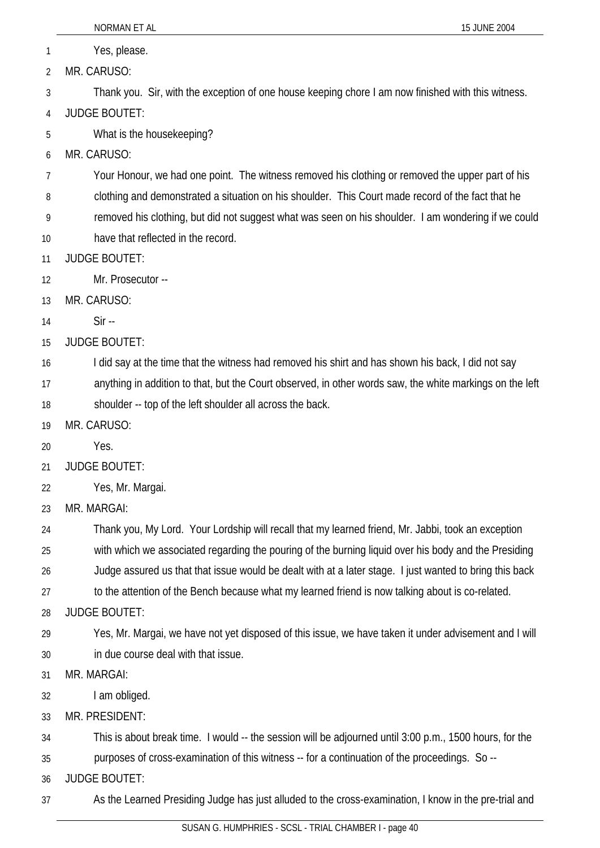1 Yes, please.

2 MR. CARUSO:

3 Thank you. Sir, with the exception of one house keeping chore I am now finished with this witness.

4 JUDGE BOUTET:

5 What is the housekeeping?

6 MR. CARUSO:

7 Your Honour, we had one point. The witness removed his clothing or removed the upper part of his

8 clothing and demonstrated a situation on his shoulder. This Court made record of the fact that he

9 removed his clothing, but did not suggest what was seen on his shoulder. I am wondering if we could

- 10 have that reflected in the record.
- 11 JUDGE BOUTET:

12 Mr. Prosecutor --

13 MR. CARUSO:

14 Sir --

15 JUDGE BOUTET:

16 I did say at the time that the witness had removed his shirt and has shown his back, I did not say

17 anything in addition to that, but the Court observed, in other words saw, the white markings on the left

18 shoulder -- top of the left shoulder all across the back.

19 MR. CARUSO:

20 Yes.

21 JUDGE BOUTET:

22 Yes, Mr. Margai.

23 MR. MARGAI:

24 Thank you, My Lord. Your Lordship will recall that my learned friend, Mr. Jabbi, took an exception

25 with which we associated regarding the pouring of the burning liquid over his body and the Presiding

26 Judge assured us that that issue would be dealt with at a later stage. I just wanted to bring this back

27 to the attention of the Bench because what my learned friend is now talking about is co-related.

28 JUDGE BOUTET:

29 30 Yes, Mr. Margai, we have not yet disposed of this issue, we have taken it under advisement and I will in due course deal with that issue.

31 MR. MARGAI:

32 I am obliged.

33 MR. PRESIDENT:

34 This is about break time. I would -- the session will be adjourned until 3:00 p.m., 1500 hours, for the

35 purposes of cross-examination of this witness -- for a continuation of the proceedings. So --

36 JUDGE BOUTET:

37 As the Learned Presiding Judge has just alluded to the cross-examination, I know in the pre-trial and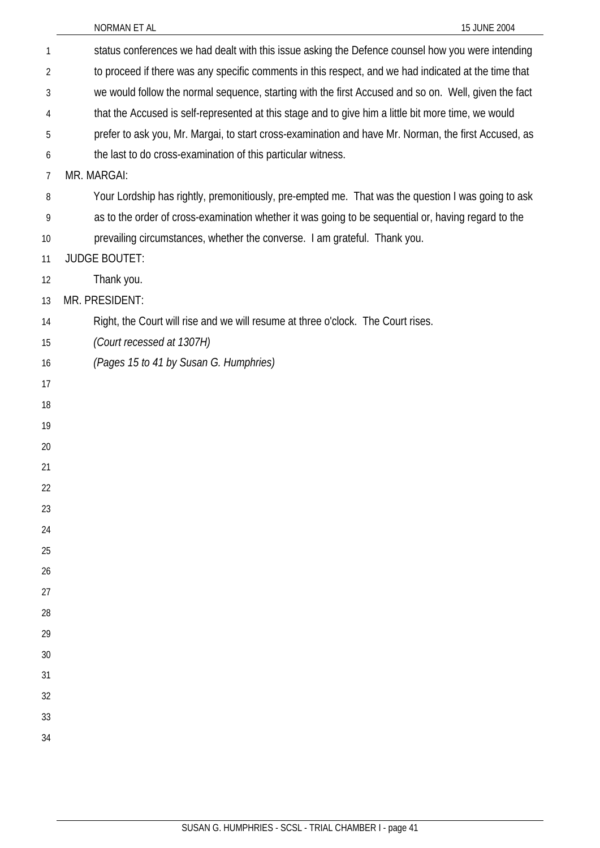| 1              | status conferences we had dealt with this issue asking the Defence counsel how you were intending    |
|----------------|------------------------------------------------------------------------------------------------------|
| $\overline{2}$ | to proceed if there was any specific comments in this respect, and we had indicated at the time that |
| 3              | we would follow the normal sequence, starting with the first Accused and so on. Well, given the fact |
| 4              | that the Accused is self-represented at this stage and to give him a little bit more time, we would  |
| 5              | prefer to ask you, Mr. Margai, to start cross-examination and have Mr. Norman, the first Accused, as |
| 6              | the last to do cross-examination of this particular witness.                                         |
| 7              | MR. MARGAI:                                                                                          |
| 8              | Your Lordship has rightly, premonitiously, pre-empted me. That was the question I was going to ask   |
| 9              | as to the order of cross-examination whether it was going to be sequential or, having regard to the  |
| 10             | prevailing circumstances, whether the converse. I am grateful. Thank you.                            |
| 11             | <b>JUDGE BOUTET:</b>                                                                                 |
| 12             | Thank you.                                                                                           |
| 13             | MR. PRESIDENT:                                                                                       |
| 14             | Right, the Court will rise and we will resume at three o'clock. The Court rises.                     |
| 15             | (Court recessed at 1307H)                                                                            |
| 16             | (Pages 15 to 41 by Susan G. Humphries)                                                               |
| 17             |                                                                                                      |
| 18             |                                                                                                      |
| 19             |                                                                                                      |
| 20             |                                                                                                      |
| 21             |                                                                                                      |
| 22             |                                                                                                      |
| 23             |                                                                                                      |
| 24             |                                                                                                      |
| 25             |                                                                                                      |
| 26             |                                                                                                      |
| 27             |                                                                                                      |
| 28             |                                                                                                      |
| 29             |                                                                                                      |
| 30             |                                                                                                      |
| 31             |                                                                                                      |
| 32             |                                                                                                      |
| 33             |                                                                                                      |
| 34             |                                                                                                      |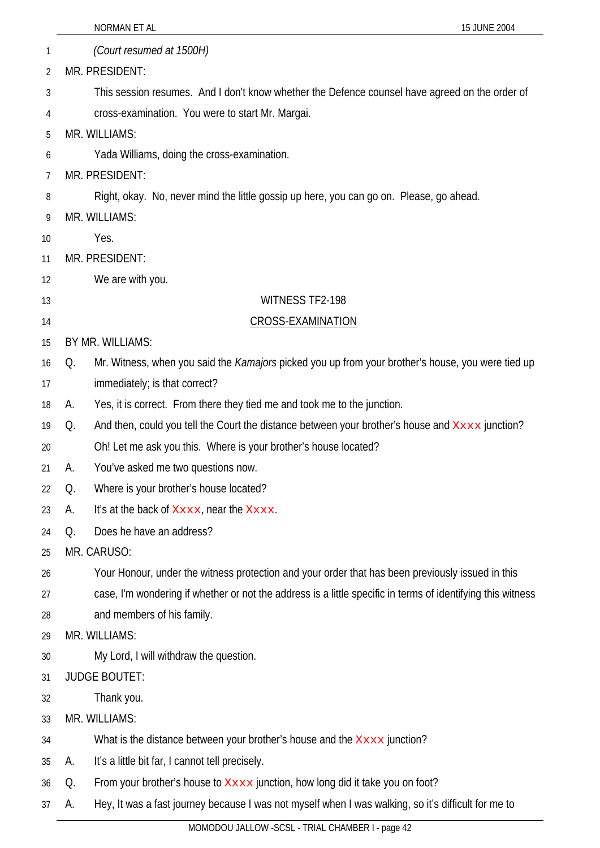|    |    | NORMAN ET AL<br>15 JUNE 2004                                                                                |  |
|----|----|-------------------------------------------------------------------------------------------------------------|--|
| 1  |    | (Court resumed at 1500H)                                                                                    |  |
| 2  |    | MR. PRESIDENT:                                                                                              |  |
| 3  |    | This session resumes. And I don't know whether the Defence counsel have agreed on the order of              |  |
| 4  |    | cross-examination. You were to start Mr. Margai.                                                            |  |
| 5  |    | MR. WILLIAMS:                                                                                               |  |
| 6  |    | Yada Williams, doing the cross-examination.                                                                 |  |
| 7  |    | MR. PRESIDENT:                                                                                              |  |
| 8  |    | Right, okay. No, never mind the little gossip up here, you can go on. Please, go ahead.                     |  |
| 9  |    | MR. WILLIAMS:                                                                                               |  |
| 10 |    | Yes.                                                                                                        |  |
| 11 |    | MR. PRESIDENT:                                                                                              |  |
| 12 |    | We are with you.                                                                                            |  |
| 13 |    | WITNESS TF2-198                                                                                             |  |
| 14 |    | <b>CROSS-EXAMINATION</b>                                                                                    |  |
| 15 |    | BY MR. WILLIAMS:                                                                                            |  |
| 16 | Q. | Mr. Witness, when you said the <i>Kamajors</i> picked you up from your brother's house, you were tied up    |  |
| 17 |    | immediately; is that correct?                                                                               |  |
| 18 | A. | Yes, it is correct. From there they tied me and took me to the junction.                                    |  |
| 19 | Q. | And then, could you tell the Court the distance between your brother's house and XXXX junction?             |  |
| 20 |    | Oh! Let me ask you this. Where is your brother's house located?                                             |  |
| 21 | А. | You've asked me two questions now.                                                                          |  |
| 22 | Q. | Where is your brother's house located?                                                                      |  |
| 23 | А. | It's at the back of Xxxx, near the Xxxx.                                                                    |  |
| 24 | Q. | Does he have an address?                                                                                    |  |
| 25 |    | MR. CARUSO:                                                                                                 |  |
| 26 |    | Your Honour, under the witness protection and your order that has been previously issued in this            |  |
| 27 |    | case, I'm wondering if whether or not the address is a little specific in terms of identifying this witness |  |
| 28 |    | and members of his family.                                                                                  |  |
| 29 |    | MR. WILLIAMS:                                                                                               |  |
| 30 |    | My Lord, I will withdraw the question.                                                                      |  |
| 31 |    | <b>JUDGE BOUTET:</b>                                                                                        |  |
| 32 |    | Thank you.                                                                                                  |  |
| 33 |    | MR. WILLIAMS:                                                                                               |  |
| 34 |    | What is the distance between your brother's house and the Xxxx junction?                                    |  |
| 35 | А. | It's a little bit far, I cannot tell precisely.                                                             |  |
| 36 | Q. | From your brother's house to Xxxx junction, how long did it take you on foot?                               |  |
| 37 | А. | Hey, It was a fast journey because I was not myself when I was walking, so it's difficult for me to         |  |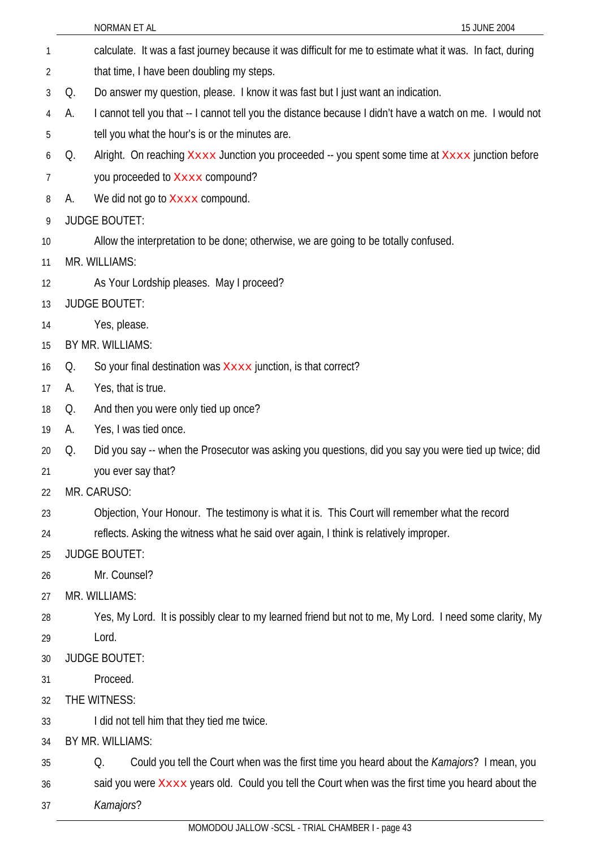|    |    | NORMAN ET AL                                                                                              | 15 JUNE 2004 |
|----|----|-----------------------------------------------------------------------------------------------------------|--------------|
| 1  |    | calculate. It was a fast journey because it was difficult for me to estimate what it was. In fact, during |              |
| 2  |    | that time, I have been doubling my steps.                                                                 |              |
| 3  | Q. | Do answer my question, please. I know it was fast but I just want an indication.                          |              |
| 4  | А. | I cannot tell you that -- I cannot tell you the distance because I didn't have a watch on me. I would not |              |
| 5  |    | tell you what the hour's is or the minutes are.                                                           |              |
| 6  | Q. | Alright. On reaching Xxxx Junction you proceeded -- you spent some time at Xxxx junction before           |              |
| 7  |    | you proceeded to Xxxx compound?                                                                           |              |
| 8  | А. | We did not go to Xxxx compound.                                                                           |              |
| 9  |    | <b>JUDGE BOUTET:</b>                                                                                      |              |
| 10 |    | Allow the interpretation to be done; otherwise, we are going to be totally confused.                      |              |
| 11 |    | MR. WILLIAMS:                                                                                             |              |
| 12 |    | As Your Lordship pleases. May I proceed?                                                                  |              |
| 13 |    | <b>JUDGE BOUTET:</b>                                                                                      |              |
| 14 |    | Yes, please.                                                                                              |              |
| 15 |    | BY MR. WILLIAMS:                                                                                          |              |
| 16 | Q. | So your final destination was <b>XXXX</b> junction, is that correct?                                      |              |
| 17 | А. | Yes, that is true.                                                                                        |              |
| 18 | Q. | And then you were only tied up once?                                                                      |              |
| 19 | А. | Yes, I was tied once.                                                                                     |              |
| 20 | Q. | Did you say -- when the Prosecutor was asking you questions, did you say you were tied up twice; did      |              |
| 21 |    | you ever say that?                                                                                        |              |
| 22 |    | MR. CARUSO:                                                                                               |              |
| 23 |    | Objection, Your Honour. The testimony is what it is. This Court will remember what the record             |              |
| 24 |    | reflects. Asking the witness what he said over again, I think is relatively improper.                     |              |
| 25 |    | <b>JUDGE BOUTET:</b>                                                                                      |              |
| 26 |    | Mr. Counsel?                                                                                              |              |
| 27 |    | MR. WILLIAMS:                                                                                             |              |
| 28 |    | Yes, My Lord. It is possibly clear to my learned friend but not to me, My Lord. I need some clarity, My   |              |
| 29 |    | Lord.                                                                                                     |              |
| 30 |    | <b>JUDGE BOUTET:</b>                                                                                      |              |
| 31 |    | Proceed.                                                                                                  |              |
| 32 |    | THE WITNESS:                                                                                              |              |
| 33 |    | I did not tell him that they tied me twice.                                                               |              |
| 34 |    | BY MR. WILLIAMS:                                                                                          |              |
| 35 |    | Could you tell the Court when was the first time you heard about the Kamajors? I mean, you<br>Q.          |              |

36 said you were Xxxx years old. Could you tell the Court when was the first time you heard about the

37 *Kamajors*?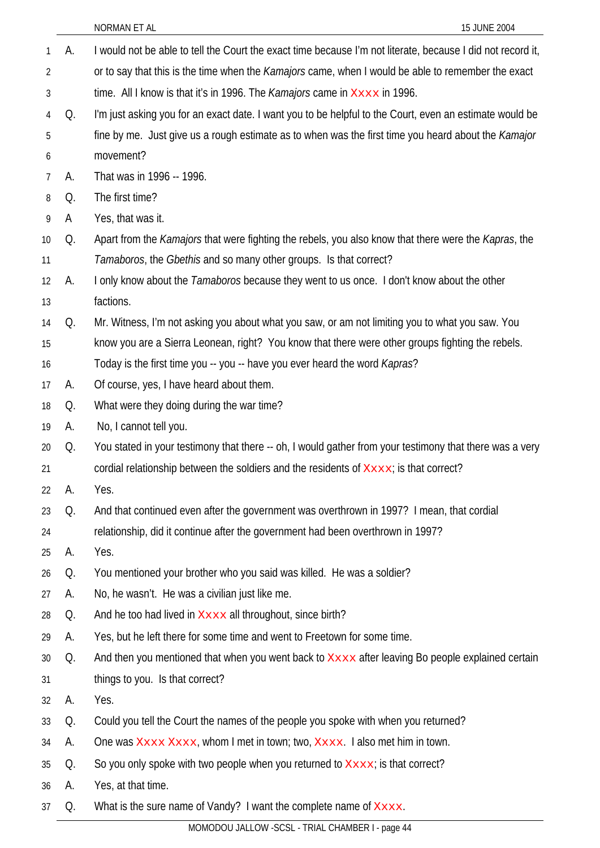|    |    | NORMAN ET AL<br>15 JUNE 2004                                                                                        |
|----|----|---------------------------------------------------------------------------------------------------------------------|
| 1  | А. | I would not be able to tell the Court the exact time because I'm not literate, because I did not record it,         |
| 2  |    | or to say that this is the time when the Kamajors came, when I would be able to remember the exact                  |
| 3  |    | time. All I know is that it's in 1996. The <i>Kamajors</i> came in $x_{xxxx}$ in 1996.                              |
| 4  | Q. | I'm just asking you for an exact date. I want you to be helpful to the Court, even an estimate would be             |
| 5  |    | fine by me. Just give us a rough estimate as to when was the first time you heard about the Kamajor                 |
| 6  |    | movement?                                                                                                           |
| 7  | А. | That was in 1996 -- 1996.                                                                                           |
| 8  | Q. | The first time?                                                                                                     |
| 9  | A  | Yes, that was it.                                                                                                   |
| 10 | Q. | Apart from the <i>Kamajors</i> that were fighting the rebels, you also know that there were the <i>Kapras</i> , the |
| 11 |    | Tamaboros, the Gbethis and so many other groups. Is that correct?                                                   |
| 12 | А. | I only know about the <i>Tamaboros</i> because they went to us once. I don't know about the other                   |
| 13 |    | factions.                                                                                                           |
| 14 | Q. | Mr. Witness, I'm not asking you about what you saw, or am not limiting you to what you saw. You                     |
| 15 |    | know you are a Sierra Leonean, right? You know that there were other groups fighting the rebels.                    |
| 16 |    | Today is the first time you -- you -- have you ever heard the word Kapras?                                          |
| 17 | А. | Of course, yes, I have heard about them.                                                                            |
| 18 | Q. | What were they doing during the war time?                                                                           |
| 19 | А. | No, I cannot tell you.                                                                                              |
| 20 | Q. | You stated in your testimony that there -- oh, I would gather from your testimony that there was a very             |
| 21 |    | cordial relationship between the soldiers and the residents of $X_{\text{XXX}}$ ; is that correct?                  |
| 22 | А. | Yes.                                                                                                                |
| 23 | Q. | And that continued even after the government was overthrown in 1997? I mean, that cordial                           |
| 24 |    | relationship, did it continue after the government had been overthrown in 1997?                                     |
| 25 | А. | Yes.                                                                                                                |
| 26 | Q. | You mentioned your brother who you said was killed. He was a soldier?                                               |
| 27 | А. | No, he wasn't. He was a civilian just like me.                                                                      |
| 28 | Q. | And he too had lived in Xxxx all throughout, since birth?                                                           |
| 29 | А. | Yes, but he left there for some time and went to Freetown for some time.                                            |
| 30 | Q. | And then you mentioned that when you went back to XXXX after leaving Bo people explained certain                    |
| 31 |    | things to you. Is that correct?                                                                                     |
| 32 | А. | Yes.                                                                                                                |
| 33 | Q. | Could you tell the Court the names of the people you spoke with when you returned?                                  |
| 34 | А. | One was Xxxx Xxxx, whom I met in town; two, Xxxx. I also met him in town.                                           |
| 35 | Q. | So you only spoke with two people when you returned to Xxxx; is that correct?                                       |
| 36 | А. | Yes, at that time.                                                                                                  |
| 37 | Q. | What is the sure name of Vandy? I want the complete name of Xxxx.                                                   |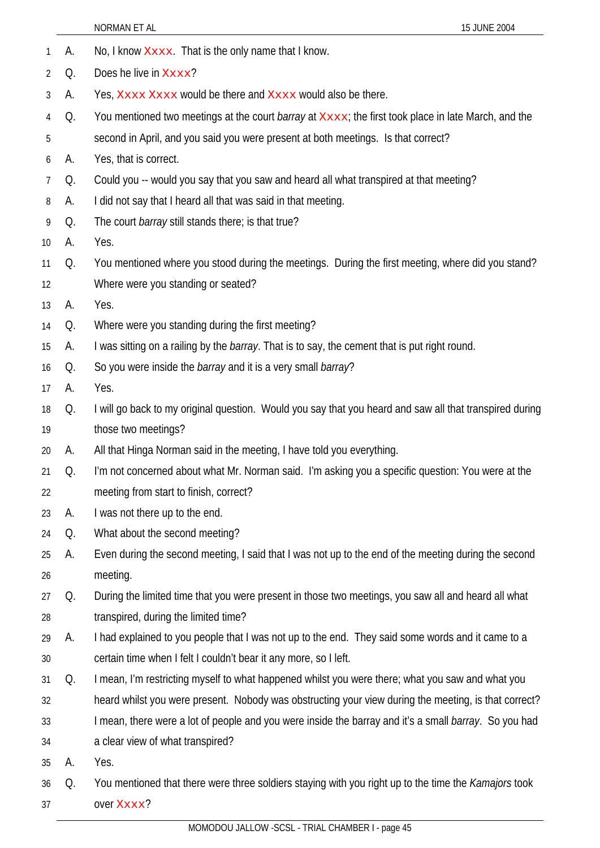|                |    | NORMAN ET AL<br>15 JUNE 2004                                                                               |
|----------------|----|------------------------------------------------------------------------------------------------------------|
| 1              | А. | No, I know Xxxx. That is the only name that I know.                                                        |
| 2              | Q. | Does he live in Xxxx?                                                                                      |
| 3              | А. | Yes, Xxxx Xxxx would be there and Xxxx would also be there.                                                |
| 4              | Q. | You mentioned two meetings at the court <i>barray</i> at Xxxx; the first took place in late March, and the |
| 5              |    | second in April, and you said you were present at both meetings. Is that correct?                          |
| 6              | А. | Yes, that is correct.                                                                                      |
| $\overline{7}$ | Q. | Could you -- would you say that you saw and heard all what transpired at that meeting?                     |
| 8              | А. | I did not say that I heard all that was said in that meeting.                                              |
| 9              | Q. | The court <i>barray</i> still stands there; is that true?                                                  |
| 10             | А. | Yes.                                                                                                       |
| 11             | Q. | You mentioned where you stood during the meetings. During the first meeting, where did you stand?          |
| 12             |    | Where were you standing or seated?                                                                         |
| 13             | A. | Yes.                                                                                                       |
| 14             | Q. | Where were you standing during the first meeting?                                                          |
| 15             | А. | I was sitting on a railing by the <i>barray</i> . That is to say, the cement that is put right round.      |
| 16             | Q. | So you were inside the <i>barray</i> and it is a very small <i>barray</i> ?                                |
| 17             | А. | Yes.                                                                                                       |
| 18             | Q. | I will go back to my original question. Would you say that you heard and saw all that transpired during    |
| 19             |    | those two meetings?                                                                                        |
| 20             | А. | All that Hinga Norman said in the meeting, I have told you everything.                                     |
| 21             | Q. | I'm not concerned about what Mr. Norman said. I'm asking you a specific question: You were at the          |
| 22             |    | meeting from start to finish, correct?                                                                     |
| 23             | А. | I was not there up to the end.                                                                             |
| 24             | Q. | What about the second meeting?                                                                             |
| 25             | А. | Even during the second meeting, I said that I was not up to the end of the meeting during the second       |
| 26             |    | meeting.                                                                                                   |
| 27             | Q. | During the limited time that you were present in those two meetings, you saw all and heard all what        |
| 28             |    | transpired, during the limited time?                                                                       |
| 29             | А. | I had explained to you people that I was not up to the end. They said some words and it came to a          |
| 30             |    | certain time when I felt I couldn't bear it any more, so I left.                                           |
| 31             | Q. | I mean, I'm restricting myself to what happened whilst you were there; what you saw and what you           |
| 32             |    | heard whilst you were present. Nobody was obstructing your view during the meeting, is that correct?       |
| 33             |    | I mean, there were a lot of people and you were inside the barray and it's a small barray. So you had      |
| 34             |    | a clear view of what transpired?                                                                           |
| 35             | А. | Yes.                                                                                                       |
| 36             | Q. | You mentioned that there were three soldiers staying with you right up to the time the Kamajors took       |
| 37             |    | over Xxxx?                                                                                                 |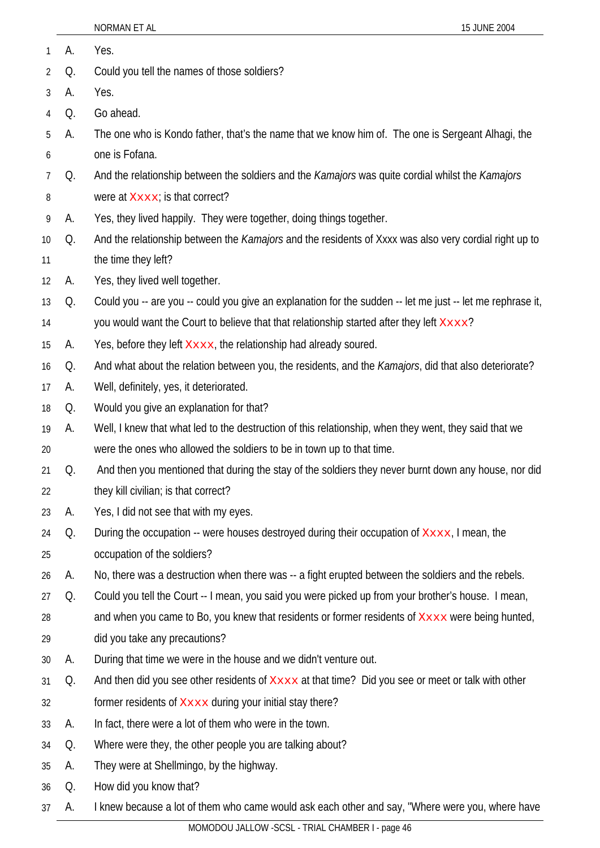| 1              | А. | Yes.                                                                                                         |
|----------------|----|--------------------------------------------------------------------------------------------------------------|
| $\overline{2}$ | Q. | Could you tell the names of those soldiers?                                                                  |
| 3              | А. | Yes.                                                                                                         |
| 4              | Q. | Go ahead.                                                                                                    |
| 5              | А. | The one who is Kondo father, that's the name that we know him of. The one is Sergeant Alhagi, the            |
| 6              |    | one is Fofana.                                                                                               |
| 7              | Q. | And the relationship between the soldiers and the Kamajors was quite cordial whilst the Kamajors             |
| 8              |    | were at Xxxx; is that correct?                                                                               |
| 9              | A. | Yes, they lived happily. They were together, doing things together.                                          |
| 10             | Q. | And the relationship between the Kamajors and the residents of Xxxx was also very cordial right up to        |
| 11             |    | the time they left?                                                                                          |
| 12             | А. | Yes, they lived well together.                                                                               |
| 13             | Q. | Could you -- are you -- could you give an explanation for the sudden -- let me just -- let me rephrase it,   |
| 14             |    | you would want the Court to believe that that relationship started after they left Xxxx?                     |
| 15             | А. | Yes, before they left Xxxx, the relationship had already soured.                                             |
| 16             | Q. | And what about the relation between you, the residents, and the <i>Kamajors</i> , did that also deteriorate? |
| 17             | А. | Well, definitely, yes, it deteriorated.                                                                      |
| 18             | Q. | Would you give an explanation for that?                                                                      |
| 19             | А. | Well, I knew that what led to the destruction of this relationship, when they went, they said that we        |
| 20             |    | were the ones who allowed the soldiers to be in town up to that time.                                        |
| 21             | Q. | And then you mentioned that during the stay of the soldiers they never burnt down any house, nor did         |
| 22             |    | they kill civilian; is that correct?                                                                         |
| 23             | A. | Yes, I did not see that with my eyes.                                                                        |
| 24             | Q. | During the occupation -- were houses destroyed during their occupation of Xxxx, I mean, the                  |
| 25             |    | occupation of the soldiers?                                                                                  |
| 26             | А. | No, there was a destruction when there was -- a fight erupted between the soldiers and the rebels.           |
| 27             | Q. | Could you tell the Court -- I mean, you said you were picked up from your brother's house. I mean,           |
| 28             |    | and when you came to Bo, you knew that residents or former residents of <b>XXXX</b> were being hunted,       |
| 29             |    | did you take any precautions?                                                                                |
| 30             | А. | During that time we were in the house and we didn't venture out.                                             |
| 31             | Q. | And then did you see other residents of Xxxx at that time? Did you see or meet or talk with other            |
| 32             |    | former residents of <b>Xxxx</b> during your initial stay there?                                              |
| 33             | А. | In fact, there were a lot of them who were in the town.                                                      |
| 34             | Q. | Where were they, the other people you are talking about?                                                     |
| 35             | A. | They were at Shellmingo, by the highway.                                                                     |
| 36             | Q. | How did you know that?                                                                                       |
| 37             | A. | I knew because a lot of them who came would ask each other and say, "Where were you, where have              |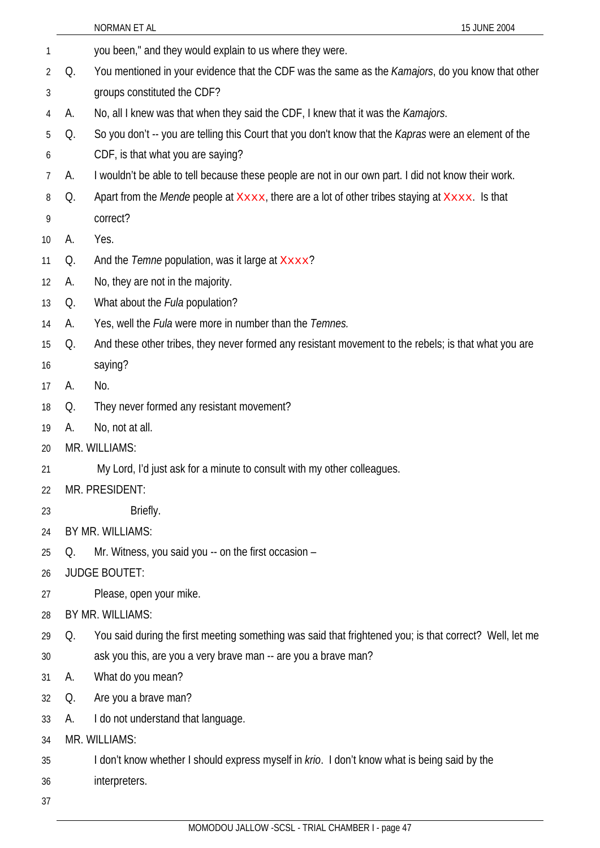|                   |    | 15 JUNE 2004<br>NORMAN ET AL                                                                                 |
|-------------------|----|--------------------------------------------------------------------------------------------------------------|
| 1                 |    | you been," and they would explain to us where they were.                                                     |
| 2                 | Q. | You mentioned in your evidence that the CDF was the same as the Kamajors, do you know that other             |
| 3                 |    | groups constituted the CDF?                                                                                  |
| 4                 | А. | No, all I knew was that when they said the CDF, I knew that it was the Kamajors.                             |
| 5                 | Q. | So you don't -- you are telling this Court that you don't know that the <i>Kapras</i> were an element of the |
| 6                 |    | CDF, is that what you are saying?                                                                            |
| 7                 | А. | I wouldn't be able to tell because these people are not in our own part. I did not know their work.          |
| 8                 | Q. | Apart from the <i>Mende</i> people at Xxxx, there are a lot of other tribes staying at Xxxx. Is that         |
| 9                 |    | correct?                                                                                                     |
| 10                | А. | Yes.                                                                                                         |
| 11                | Q. | And the Temne population, was it large at Xxxx?                                                              |
| $12 \overline{ }$ | А. | No, they are not in the majority.                                                                            |
| 13                | Q. | What about the <i>Fula</i> population?                                                                       |
| 14                | А. | Yes, well the Fula were more in number than the Temnes.                                                      |
| 15                | Q. | And these other tribes, they never formed any resistant movement to the rebels; is that what you are         |
| 16                |    | saying?                                                                                                      |
| 17                | А. | No.                                                                                                          |
| 18                | Q. | They never formed any resistant movement?                                                                    |
| 19                | А. | No, not at all.                                                                                              |
| 20                |    | MR. WILLIAMS:                                                                                                |
| 21                |    | My Lord, I'd just ask for a minute to consult with my other colleagues.                                      |
| 22                |    | MR. PRESIDENT:                                                                                               |
| 23                |    | Briefly.                                                                                                     |
| 24                |    | BY MR. WILLIAMS:                                                                                             |
| 25                | Q. | Mr. Witness, you said you -- on the first occasion -                                                         |
| 26                |    | <b>JUDGE BOUTET:</b>                                                                                         |
| 27                |    | Please, open your mike.                                                                                      |
| 28                |    | BY MR. WILLIAMS:                                                                                             |
| 29                | Q. | You said during the first meeting something was said that frightened you; is that correct? Well, let me      |
| 30                |    | ask you this, are you a very brave man -- are you a brave man?                                               |
| 31                | А. | What do you mean?                                                                                            |
| 32                | Q. | Are you a brave man?                                                                                         |
| 33                | А. | I do not understand that language.                                                                           |
| 34                |    | MR. WILLIAMS:                                                                                                |
| 35                |    | I don't know whether I should express myself in krio. I don't know what is being said by the                 |
| 36                |    | interpreters.                                                                                                |
| 37                |    |                                                                                                              |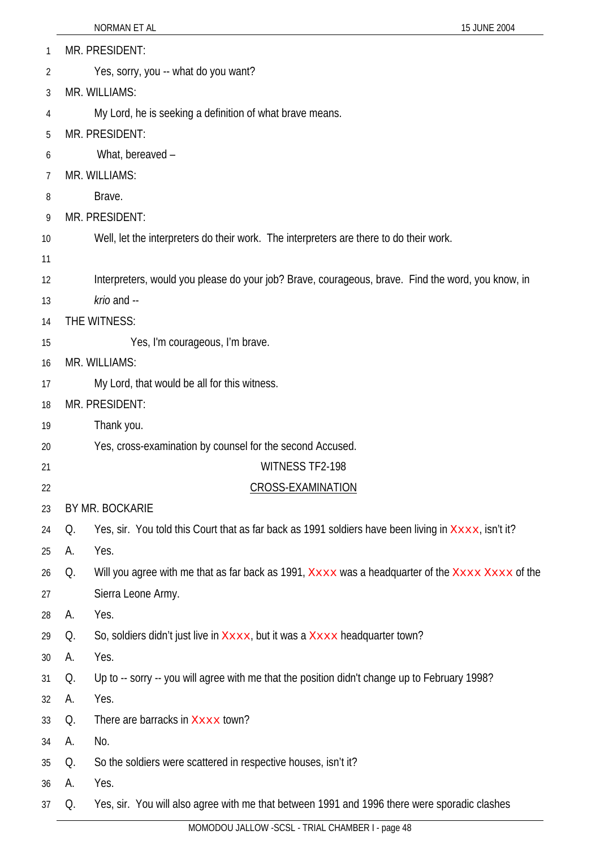| 1  |    | MR. PRESIDENT:                                                                                      |
|----|----|-----------------------------------------------------------------------------------------------------|
| 2  |    | Yes, sorry, you -- what do you want?                                                                |
| 3  |    | MR. WILLIAMS:                                                                                       |
| 4  |    | My Lord, he is seeking a definition of what brave means.                                            |
| 5  |    | MR. PRESIDENT:                                                                                      |
| 6  |    | What, bereaved -                                                                                    |
| 7  |    | MR. WILLIAMS:                                                                                       |
| 8  |    | Brave.                                                                                              |
| 9  |    | MR. PRESIDENT:                                                                                      |
| 10 |    | Well, let the interpreters do their work. The interpreters are there to do their work.              |
| 11 |    |                                                                                                     |
| 12 |    | Interpreters, would you please do your job? Brave, courageous, brave. Find the word, you know, in   |
| 13 |    | krio and --                                                                                         |
| 14 |    | THE WITNESS:                                                                                        |
| 15 |    | Yes, I'm courageous, I'm brave.                                                                     |
| 16 |    | MR. WILLIAMS:                                                                                       |
| 17 |    | My Lord, that would be all for this witness.                                                        |
| 18 |    | MR. PRESIDENT:                                                                                      |
| 19 |    | Thank you.                                                                                          |
| 20 |    | Yes, cross-examination by counsel for the second Accused.                                           |
| 21 |    | WITNESS TF2-198                                                                                     |
| 22 |    | <b>CROSS-EXAMINATION</b>                                                                            |
| 23 |    | BY MR. BOCKARIE                                                                                     |
| 24 | Q. | Yes, sir. You told this Court that as far back as 1991 soldiers have been living in XXXX, isn't it? |
| 25 | А. | Yes.                                                                                                |
| 26 | Q. | Will you agree with me that as far back as 1991, Xxxx was a headquarter of the Xxxx Xxxx of the     |
| 27 |    | Sierra Leone Army.                                                                                  |
| 28 | А. | Yes.                                                                                                |
| 29 | Q. | So, soldiers didn't just live in Xxxx, but it was a Xxxx headquarter town?                          |
| 30 | А. | Yes.                                                                                                |
| 31 | Q. | Up to -- sorry -- you will agree with me that the position didn't change up to February 1998?       |
| 32 | А. | Yes.                                                                                                |
| 33 | Q. | There are barracks in Xxxx town?                                                                    |
| 34 | А. | No.                                                                                                 |
| 35 | Q. | So the soldiers were scattered in respective houses, isn't it?                                      |
| 36 | А. | Yes.                                                                                                |
| 37 | Q. | Yes, sir. You will also agree with me that between 1991 and 1996 there were sporadic clashes        |

NORMAN ET AL 15 JUNE 2004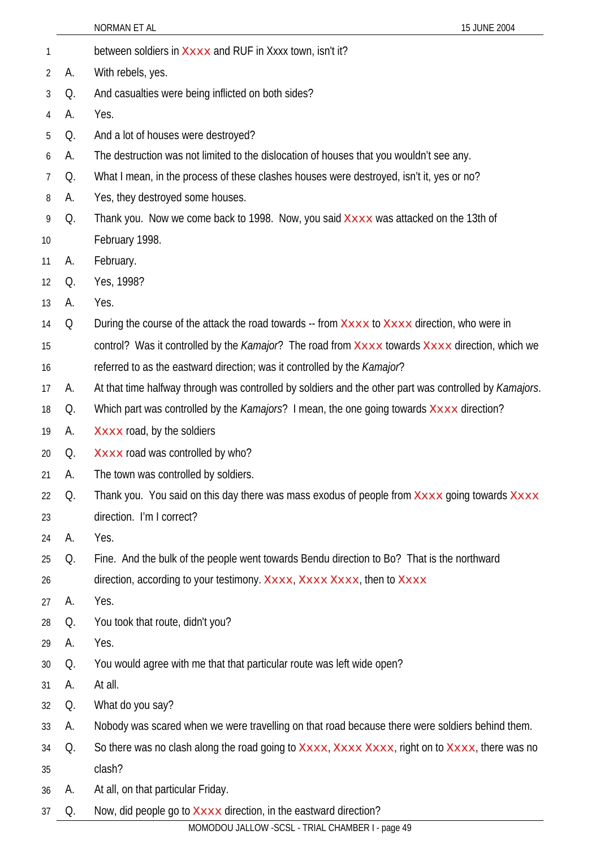|    |    | NORMAN ET AL<br>15 JUNE 2004                                                                           |
|----|----|--------------------------------------------------------------------------------------------------------|
| 1  |    | between soldiers in Xxxx and RUF in Xxxx town, isn't it?                                               |
| 2  | А. | With rebels, yes.                                                                                      |
| 3  | Q. | And casualties were being inflicted on both sides?                                                     |
| 4  | А. | Yes.                                                                                                   |
| 5  | Q. | And a lot of houses were destroyed?                                                                    |
| 6  | А. | The destruction was not limited to the dislocation of houses that you wouldn't see any.                |
| 7  | Q. | What I mean, in the process of these clashes houses were destroyed, isn't it, yes or no?               |
| 8  | А. | Yes, they destroyed some houses.                                                                       |
| 9  | Q. | Thank you. Now we come back to 1998. Now, you said Xxxx was attacked on the 13th of                    |
| 10 |    | February 1998.                                                                                         |
| 11 | А. | February.                                                                                              |
| 12 | Q. | Yes, 1998?                                                                                             |
| 13 | А. | Yes.                                                                                                   |
| 14 | Q  | During the course of the attack the road towards -- from Xxxx to Xxxx direction, who were in           |
| 15 |    | control? Was it controlled by the Kamajor? The road from Xxxx towards Xxxx direction, which we         |
| 16 |    | referred to as the eastward direction; was it controlled by the Kamajor?                               |
| 17 | А. | At that time halfway through was controlled by soldiers and the other part was controlled by Kamajors. |
| 18 | Q. | Which part was controlled by the <i>Kamajors</i> ? I mean, the one going towards Xxxx direction?       |
| 19 | А. | Xxxx road, by the soldiers                                                                             |
| 20 | Q. | Xxxx road was controlled by who?                                                                       |
| 21 | А. | The town was controlled by soldiers.                                                                   |
| 22 | Q. | Thank you. You said on this day there was mass exodus of people from Xxxx going towards Xxxx           |
| 23 |    | direction. I'm I correct?                                                                              |
| 24 | А. | Yes.                                                                                                   |
| 25 | Q. | Fine. And the bulk of the people went towards Bendu direction to Bo? That is the northward             |
| 26 |    | direction, according to your testimony. Xxxx, Xxxx Xxxx, then to Xxxx                                  |
| 27 | А. | Yes.                                                                                                   |
| 28 | Q. | You took that route, didn't you?                                                                       |
| 29 | А. | Yes.                                                                                                   |
| 30 | Q. | You would agree with me that that particular route was left wide open?                                 |
| 31 | А. | At all.                                                                                                |
| 32 | Q. | What do you say?                                                                                       |
| 33 | А. | Nobody was scared when we were travelling on that road because there were soldiers behind them.        |
| 34 | Q. | So there was no clash along the road going to Xxxx, Xxxx Xxxx, right on to Xxxx, there was no          |
| 35 |    | clash?                                                                                                 |
| 36 | А. | At all, on that particular Friday.                                                                     |
| 37 | Q. | Now, did people go to $\overline{\text{xxxx}}$ direction, in the eastward direction?                   |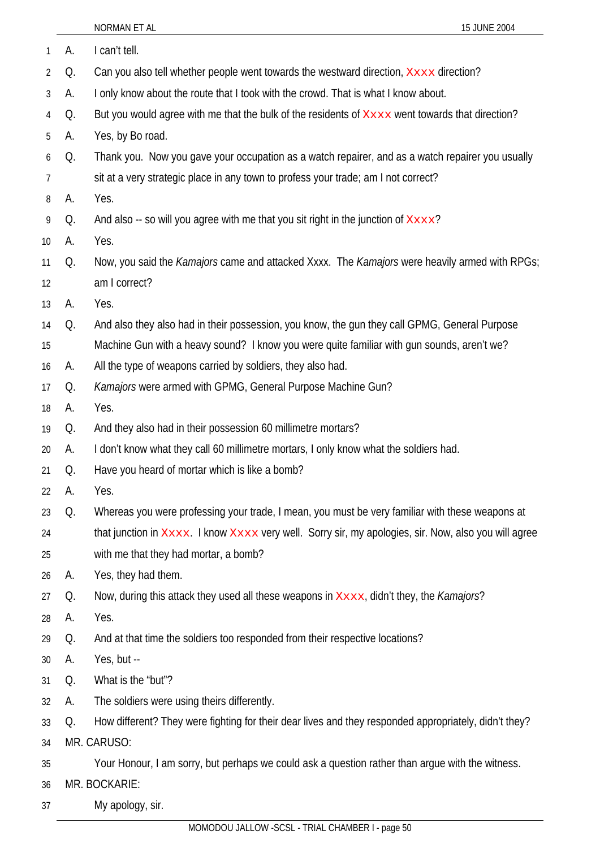| 1  | А. | I can't tell.                                                                                               |
|----|----|-------------------------------------------------------------------------------------------------------------|
| 2  | Q. | Can you also tell whether people went towards the westward direction, XXXX direction?                       |
| 3  | А. | I only know about the route that I took with the crowd. That is what I know about.                          |
| 4  | Q. | But you would agree with me that the bulk of the residents of Xxxx went towards that direction?             |
| 5  | А. | Yes, by Bo road.                                                                                            |
| 6  | Q. | Thank you. Now you gave your occupation as a watch repairer, and as a watch repairer you usually            |
| 7  |    | sit at a very strategic place in any town to profess your trade; am I not correct?                          |
| 8  | А. | Yes.                                                                                                        |
| 9  | Q. | And also -- so will you agree with me that you sit right in the junction of $x_{xxx}$ ?                     |
| 10 | А. | Yes.                                                                                                        |
| 11 | Q. | Now, you said the <i>Kamajors</i> came and attacked Xxxx. The <i>Kamajors</i> were heavily armed with RPGs; |
| 12 |    | am I correct?                                                                                               |
| 13 | А. | Yes.                                                                                                        |
| 14 | Q. | And also they also had in their possession, you know, the gun they call GPMG, General Purpose               |
| 15 |    | Machine Gun with a heavy sound? I know you were quite familiar with gun sounds, aren't we?                  |
| 16 | А. | All the type of weapons carried by soldiers, they also had.                                                 |
| 17 | Q. | Kamajors were armed with GPMG, General Purpose Machine Gun?                                                 |
| 18 | А. | Yes.                                                                                                        |
| 19 | Q. | And they also had in their possession 60 millimetre mortars?                                                |
| 20 | А. | I don't know what they call 60 millimetre mortars, I only know what the soldiers had.                       |
| 21 | Q. | Have you heard of mortar which is like a bomb?                                                              |
| 22 | A. | Yes.                                                                                                        |
| 23 | Q. | Whereas you were professing your trade, I mean, you must be very familiar with these weapons at             |
| 24 |    | that junction in Xxxx. I know Xxxx very well. Sorry sir, my apologies, sir. Now, also you will agree        |
| 25 |    | with me that they had mortar, a bomb?                                                                       |
| 26 | А. | Yes, they had them.                                                                                         |
| 27 | Q. | Now, during this attack they used all these weapons in XXXX, didn't they, the Kamajors?                     |
| 28 | А. | Yes.                                                                                                        |
| 29 | Q. | And at that time the soldiers too responded from their respective locations?                                |
| 30 | А. | Yes, but --                                                                                                 |
| 31 | Q. | What is the "but"?                                                                                          |
| 32 | А. | The soldiers were using theirs differently.                                                                 |
| 33 | Q. | How different? They were fighting for their dear lives and they responded appropriately, didn't they?       |
| 34 |    | MR. CARUSO:                                                                                                 |
| 35 |    | Your Honour, I am sorry, but perhaps we could ask a question rather than argue with the witness.            |
| 36 |    | MR. BOCKARIE:                                                                                               |
| 37 |    | My apology, sir.                                                                                            |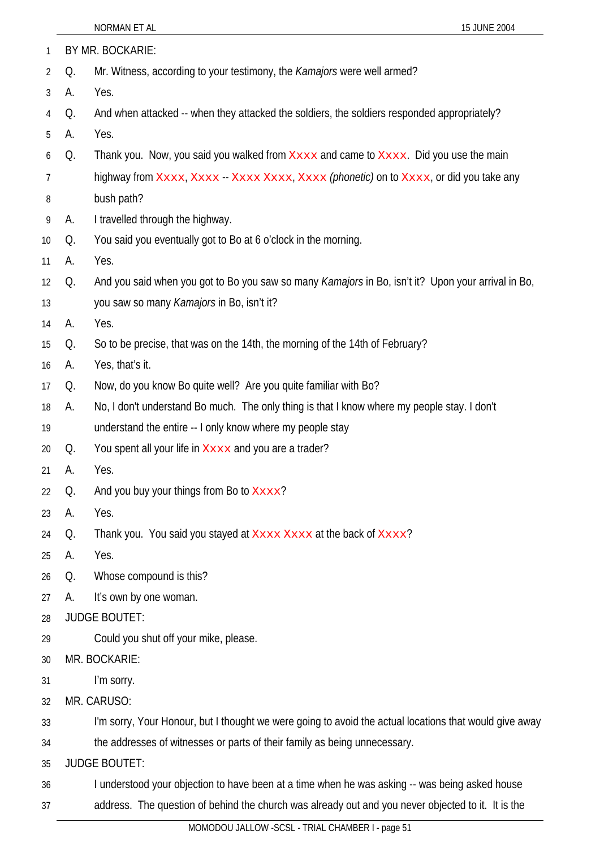| 1  |    | BY MR. BOCKARIE:                                                                                       |
|----|----|--------------------------------------------------------------------------------------------------------|
| 2  | Q. | Mr. Witness, according to your testimony, the Kamajors were well armed?                                |
| 3  | А. | Yes.                                                                                                   |
| 4  | Q. | And when attacked -- when they attacked the soldiers, the soldiers responded appropriately?            |
| 5  | А. | Yes.                                                                                                   |
| 6  | Q. | Thank you. Now, you said you walked from Xxxx and came to Xxxx. Did you use the main                   |
| 7  |    | highway from Xxxx, Xxxx - Xxxx Xxxx, Xxxx (phonetic) on to Xxxx, or did you take any                   |
| 8  |    | bush path?                                                                                             |
| 9  | А. | I travelled through the highway.                                                                       |
| 10 | Q. | You said you eventually got to Bo at 6 o'clock in the morning.                                         |
| 11 | А. | Yes.                                                                                                   |
| 12 | Q. | And you said when you got to Bo you saw so many Kamajors in Bo, isn't it? Upon your arrival in Bo,     |
| 13 |    | you saw so many Kamajors in Bo, isn't it?                                                              |
| 14 | А. | Yes.                                                                                                   |
| 15 | Q. | So to be precise, that was on the 14th, the morning of the 14th of February?                           |
| 16 | A. | Yes, that's it.                                                                                        |
| 17 | Q. | Now, do you know Bo quite well? Are you quite familiar with Bo?                                        |
| 18 | A. | No, I don't understand Bo much. The only thing is that I know where my people stay. I don't            |
| 19 |    | understand the entire -- I only know where my people stay                                              |
| 20 | Q. | You spent all your life in Xxxx and you are a trader?                                                  |
| 21 | A. | Yes.                                                                                                   |
| 22 | Q. | And you buy your things from Bo to Xxxx?                                                               |
| 23 | А. | Yes.                                                                                                   |
| 24 | Q. | Thank you. You said you stayed at Xxxx Xxxx at the back of Xxxx?                                       |
| 25 | А. | Yes.                                                                                                   |
| 26 | Q. | Whose compound is this?                                                                                |
| 27 | А. | It's own by one woman.                                                                                 |
| 28 |    | <b>JUDGE BOUTET:</b>                                                                                   |
| 29 |    | Could you shut off your mike, please.                                                                  |
| 30 |    | MR. BOCKARIE:                                                                                          |
| 31 |    | I'm sorry.                                                                                             |
| 32 |    | MR. CARUSO:                                                                                            |
| 33 |    | I'm sorry, Your Honour, but I thought we were going to avoid the actual locations that would give away |
| 34 |    | the addresses of witnesses or parts of their family as being unnecessary.                              |
| 35 |    | <b>JUDGE BOUTET:</b>                                                                                   |
| 36 |    | I understood your objection to have been at a time when he was asking -- was being asked house         |
| 37 |    | address. The question of behind the church was already out and you never objected to it. It is the     |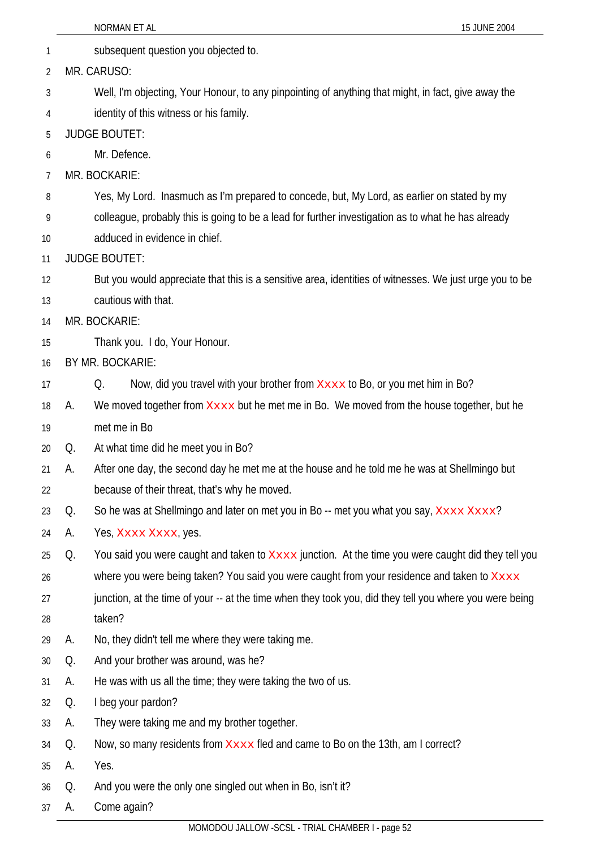| 1        | subsequent question you objected to.                                                                    |  |
|----------|---------------------------------------------------------------------------------------------------------|--|
| 2        | MR. CARUSO:                                                                                             |  |
| 3        | Well, I'm objecting, Your Honour, to any pinpointing of anything that might, in fact, give away the     |  |
| 4        | identity of this witness or his family.                                                                 |  |
| 5        | <b>JUDGE BOUTET:</b>                                                                                    |  |
| 6        | Mr. Defence.                                                                                            |  |
| 7        | MR. BOCKARIE:                                                                                           |  |
| 8        | Yes, My Lord. Inasmuch as I'm prepared to concede, but, My Lord, as earlier on stated by my             |  |
| 9        | colleague, probably this is going to be a lead for further investigation as to what he has already      |  |
| 10       | adduced in evidence in chief.                                                                           |  |
| 11       | <b>JUDGE BOUTET:</b>                                                                                    |  |
| 12       | But you would appreciate that this is a sensitive area, identities of witnesses. We just urge you to be |  |
| 13       | cautious with that.                                                                                     |  |
| 14       | MR. BOCKARIE:                                                                                           |  |
| 15       | Thank you. I do, Your Honour.                                                                           |  |
| 16       | BY MR. BOCKARIE:                                                                                        |  |
| 17       | Now, did you travel with your brother from $X \times X$ to Bo, or you met him in Bo?<br>Q.              |  |
| А.<br>18 | We moved together from <b>XXXX</b> but he met me in Bo. We moved from the house together, but he        |  |
| 19       | met me in Bo                                                                                            |  |
| Q.<br>20 | At what time did he meet you in Bo?                                                                     |  |
| 21<br>А. | After one day, the second day he met me at the house and he told me he was at Shellmingo but            |  |
| 22       | because of their threat, that's why he moved.                                                           |  |
| Q.<br>23 | So he was at Shellmingo and later on met you in Bo -- met you what you say, Xxxx Xxxx?                  |  |
| А.<br>24 | Yes, Xxxx Xxxx, yes.                                                                                    |  |
| Q.<br>25 | You said you were caught and taken to Xxxx junction. At the time you were caught did they tell you      |  |
| 26       | where you were being taken? You said you were caught from your residence and taken to Xxxx              |  |
| 27       | junction, at the time of your -- at the time when they took you, did they tell you where you were being |  |
| 28       | taken?                                                                                                  |  |
| А.<br>29 | No, they didn't tell me where they were taking me.                                                      |  |
| Q.<br>30 | And your brother was around, was he?                                                                    |  |
| А.<br>31 | He was with us all the time; they were taking the two of us.                                            |  |
| Q.<br>32 | I beg your pardon?                                                                                      |  |
| A.<br>33 | They were taking me and my brother together.                                                            |  |
| Q.<br>34 | Now, so many residents from Xxxx fled and came to Bo on the 13th, am I correct?                         |  |
| А.<br>35 | Yes.                                                                                                    |  |
| Q.<br>36 | And you were the only one singled out when in Bo, isn't it?                                             |  |
| A.<br>37 | Come again?<br>MOMODOLL JALLOW - SCSL - TRIAL CHAMBER L- page 52                                        |  |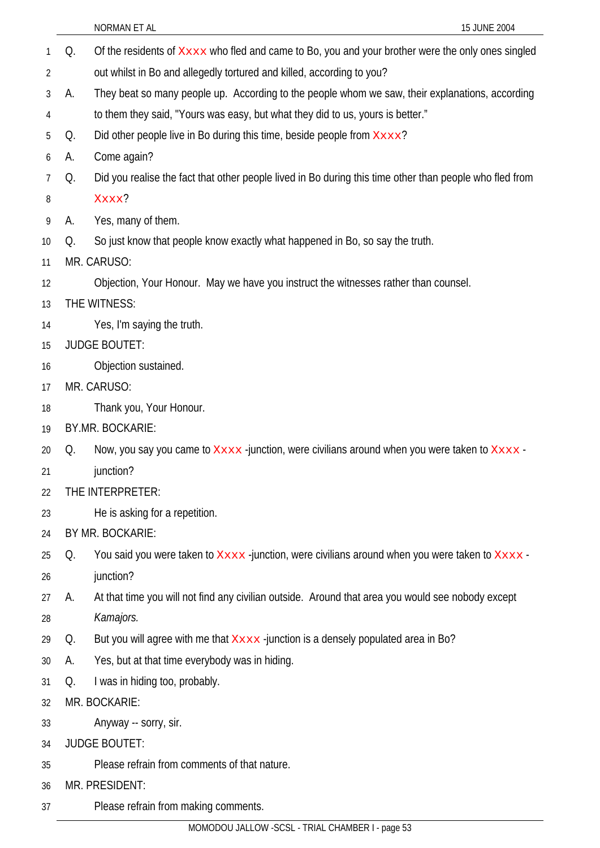37

- Q. Of the residents of  $x_{\text{xxx}}$  who fled and came to Bo, you and your brother were the only ones singled out whilst in Bo and allegedly tortured and killed, according to you? 1 2 3 4 5 6 7 8 9 10 11 12 13 14 15 16 17 18 19 20 21  $22$ 23 24 25 26 27 28 29 30 31 32 33 34 35 36 A. They beat so many people up. According to the people whom we saw, their explanations, according to them they said, "Yours was easy, but what they did to us, yours is better." Q. Did other people live in Bo during this time, beside people from  $x_{xxxx}$ ? A. Come again? Q. Did you realise the fact that other people lived in Bo during this time other than people who fled from Xxxx? A. Yes, many of them. Q. So just know that people know exactly what happened in Bo, so say the truth. MR. CARUSO: Objection, Your Honour. May we have you instruct the witnesses rather than counsel. THE WITNESS: Yes, I'm saying the truth. JUDGE BOUTET: Objection sustained. MR. CARUSO: Thank you, Your Honour. BY.MR. BOCKARIE: Q. Now, you say you came to  $X \times X$ -junction, were civilians around when you were taken to  $X \times X$ junction? THE INTERPRETER: He is asking for a repetition. BY MR. BOCKARIE: Q. You said you were taken to  $X \times X$ -junction, were civilians around when you were taken to  $X \times X$ junction? A. At that time you will not find any civilian outside. Around that area you would see nobody except *Kamajors.* Q. But you will agree with me that Xxxx -junction is a densely populated area in Bo? A. Yes, but at that time everybody was in hiding. Q. I was in hiding too, probably. MR. BOCKARIE: Anyway -- sorry, sir. JUDGE BOUTET: Please refrain from comments of that nature. MR. PRESIDENT:
	- MOMODOU JALLOW -SCSL TRIAL CHAMBER I page 53

Please refrain from making comments.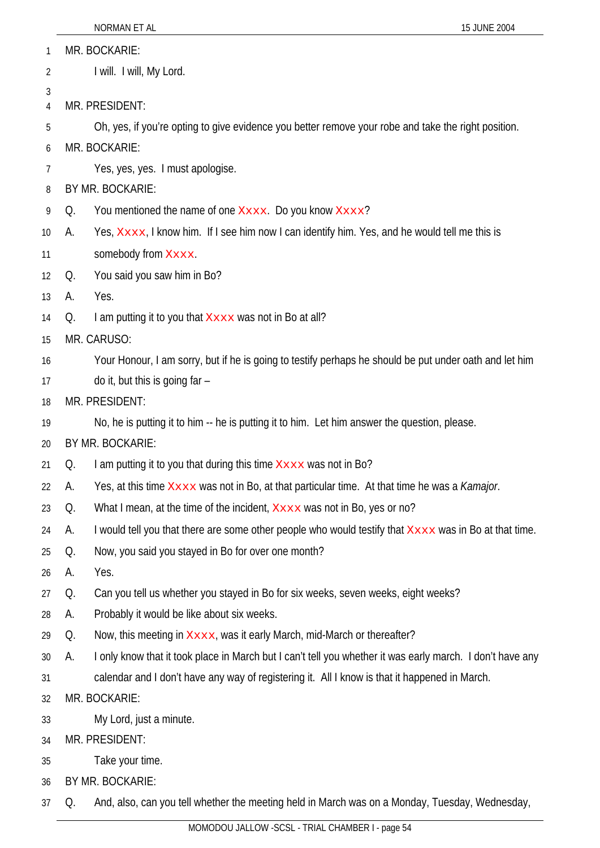|  |  | 15 JUNE 2004 |
|--|--|--------------|
|  |  |              |

| 1              |    | MR. BOCKARIE:                                                                                             |
|----------------|----|-----------------------------------------------------------------------------------------------------------|
| $\overline{2}$ |    | I will. I will, My Lord.                                                                                  |
| 3              |    |                                                                                                           |
| 4              |    | MR. PRESIDENT:                                                                                            |
| 5              |    | Oh, yes, if you're opting to give evidence you better remove your robe and take the right position.       |
| 6              |    | MR. BOCKARIE:                                                                                             |
| 7              |    | Yes, yes, yes. I must apologise.                                                                          |
| 8              |    | BY MR. BOCKARIE:                                                                                          |
| 9              | Q. | You mentioned the name of one Xxxx. Do you know Xxxx?                                                     |
| 10             | А. | Yes, Xxxx, I know him. If I see him now I can identify him. Yes, and he would tell me this is             |
| 11             |    | somebody from Xxxx.                                                                                       |
| 12             | Q. | You said you saw him in Bo?                                                                               |
| 13             | А. | Yes.                                                                                                      |
| 14             | Q. | I am putting it to you that Xxxx was not in Bo at all?                                                    |
| 15             |    | MR. CARUSO:                                                                                               |
| 16             |    | Your Honour, I am sorry, but if he is going to testify perhaps he should be put under oath and let him    |
| 17             |    | do it, but this is going far -                                                                            |
| 18             |    | MR. PRESIDENT:                                                                                            |
| 19             |    | No, he is putting it to him -- he is putting it to him. Let him answer the question, please.              |
| 20             |    | BY MR. BOCKARIE:                                                                                          |
| 21             | Q. | I am putting it to you that during this time Xxxx was not in Bo?                                          |
| 22             | A. | Yes, at this time XXXX was not in Bo, at that particular time. At that time he was a Kamajor.             |
| 23             | Q. | What I mean, at the time of the incident, $X \times X \times X$ was not in Bo, yes or no?                 |
| 24             | А. | I would tell you that there are some other people who would testify that XXXX was in Bo at that time.     |
| 25             | Q. | Now, you said you stayed in Bo for over one month?                                                        |
| 26             | А. | Yes.                                                                                                      |
| 27             | Q. | Can you tell us whether you stayed in Bo for six weeks, seven weeks, eight weeks?                         |
| 28             | А. | Probably it would be like about six weeks.                                                                |
| 29             | Q. | Now, this meeting in Xxxx, was it early March, mid-March or thereafter?                                   |
| 30             | А. | I only know that it took place in March but I can't tell you whether it was early march. I don't have any |
| 31             |    | calendar and I don't have any way of registering it. All I know is that it happened in March.             |
| 32             |    | MR. BOCKARIE:                                                                                             |
| 33             |    | My Lord, just a minute.                                                                                   |
| 34             |    | MR. PRESIDENT:                                                                                            |
| 35             |    | Take your time.                                                                                           |
| 36             |    | BY MR. BOCKARIE:                                                                                          |

37 Q. And, also, can you tell whether the meeting held in March was on a Monday, Tuesday, Wednesday,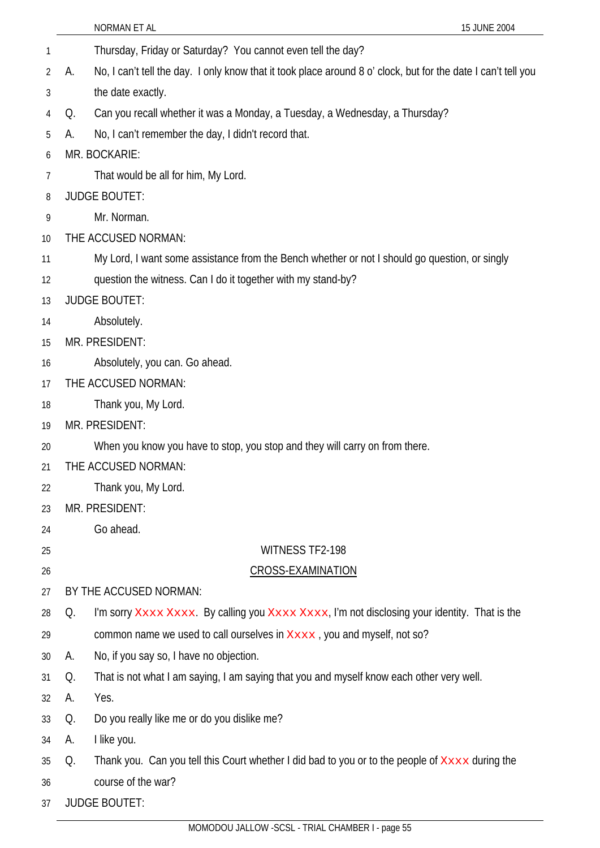|    |    | 15 JUNE 2004<br>NORMAN ET AL                                                                                  |
|----|----|---------------------------------------------------------------------------------------------------------------|
| 1  |    | Thursday, Friday or Saturday? You cannot even tell the day?                                                   |
| 2  | А. | No, I can't tell the day. I only know that it took place around 8 o' clock, but for the date I can't tell you |
| 3  |    | the date exactly.                                                                                             |
| 4  | Q. | Can you recall whether it was a Monday, a Tuesday, a Wednesday, a Thursday?                                   |
| 5  | А. | No, I can't remember the day, I didn't record that.                                                           |
| 6  |    | MR. BOCKARIE:                                                                                                 |
| 7  |    | That would be all for him, My Lord.                                                                           |
| 8  |    | <b>JUDGE BOUTET:</b>                                                                                          |
| 9  |    | Mr. Norman.                                                                                                   |
| 10 |    | THE ACCUSED NORMAN:                                                                                           |
| 11 |    | My Lord, I want some assistance from the Bench whether or not I should go question, or singly                 |
| 12 |    | question the witness. Can I do it together with my stand-by?                                                  |
| 13 |    | <b>JUDGE BOUTET:</b>                                                                                          |
| 14 |    | Absolutely.                                                                                                   |
| 15 |    | MR. PRESIDENT:                                                                                                |
| 16 |    | Absolutely, you can. Go ahead.                                                                                |
| 17 |    | THE ACCUSED NORMAN:                                                                                           |
| 18 |    | Thank you, My Lord.                                                                                           |
| 19 |    | MR. PRESIDENT:                                                                                                |
| 20 |    | When you know you have to stop, you stop and they will carry on from there.                                   |
| 21 |    | THE ACCUSED NORMAN:                                                                                           |
| 22 |    | Thank you, My Lord.                                                                                           |
| 23 |    | MR. PRESIDENT:                                                                                                |
| 24 |    | Go ahead.                                                                                                     |
| 25 |    | <b>WITNESS TF2-198</b>                                                                                        |
| 26 |    | <b>CROSS-EXAMINATION</b>                                                                                      |
| 27 |    | BY THE ACCUSED NORMAN:                                                                                        |
| 28 | Q. | I'm sorry Xxxx Xxxx. By calling you Xxxx Xxxx, I'm not disclosing your identity. That is the                  |
| 29 |    | common name we used to call ourselves in Xxxx, you and myself, not so?                                        |
| 30 | А. | No, if you say so, I have no objection.                                                                       |
| 31 | Q. | That is not what I am saying, I am saying that you and myself know each other very well.                      |
| 32 | А. | Yes.                                                                                                          |
| 33 | Q. | Do you really like me or do you dislike me?                                                                   |
| 34 | А. | I like you.                                                                                                   |
| 35 | Q. | Thank you. Can you tell this Court whether I did bad to you or to the people of Xxxx during the               |
| 36 |    | course of the war?                                                                                            |
| 37 |    | <b>JUDGE BOUTET:</b>                                                                                          |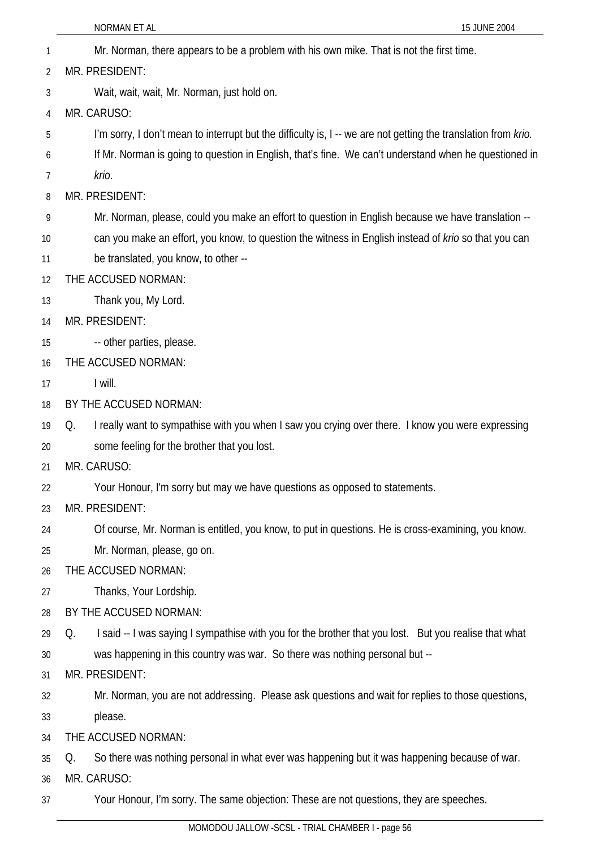| $\mathbf{1}$ | Mr. Norman, there appears to be a problem with his own mike. That is not the first time.                       |
|--------------|----------------------------------------------------------------------------------------------------------------|
| 2            | MR. PRESIDENT:                                                                                                 |
| 3            | Wait, wait, wait, Mr. Norman, just hold on.                                                                    |
| 4            | MR. CARUSO:                                                                                                    |
| 5            | I'm sorry, I don't mean to interrupt but the difficulty is, I -- we are not getting the translation from krio. |
| 6            | If Mr. Norman is going to question in English, that's fine. We can't understand when he questioned in          |
| 7            | krio.                                                                                                          |
| 8            | MR. PRESIDENT:                                                                                                 |
| 9            | Mr. Norman, please, could you make an effort to question in English because we have translation --             |
| 10           | can you make an effort, you know, to question the witness in English instead of krio so that you can           |
| 11           | be translated, you know, to other --                                                                           |
| 12           | THE ACCUSED NORMAN:                                                                                            |
| 13           | Thank you, My Lord.                                                                                            |
| 14           | MR. PRESIDENT:                                                                                                 |
| 15           | -- other parties, please.                                                                                      |
| 16           | THE ACCUSED NORMAN:                                                                                            |
| 17           | I will.                                                                                                        |
| 18           | BY THE ACCUSED NORMAN:                                                                                         |
| 19           | I really want to sympathise with you when I saw you crying over there. I know you were expressing<br>Q.        |
| 20           | some feeling for the brother that you lost.                                                                    |
| 21           | MR. CARUSO:                                                                                                    |
| 22           | Your Honour, I'm sorry but may we have questions as opposed to statements.                                     |
| 23           | MR. PRESIDENT:                                                                                                 |
| 24           | Of course, Mr. Norman is entitled, you know, to put in questions. He is cross-examining, you know.             |
| 25           | Mr. Norman, please, go on.                                                                                     |
| 26           | THE ACCUSED NORMAN:                                                                                            |
| 27           | Thanks, Your Lordship.                                                                                         |
| 28           | BY THE ACCUSED NORMAN:                                                                                         |
| 29           | I said -- I was saying I sympathise with you for the brother that you lost. But you realise that what<br>Q.    |
| 30           | was happening in this country was war. So there was nothing personal but --                                    |
| 31           | MR. PRESIDENT:                                                                                                 |
| 32           | Mr. Norman, you are not addressing. Please ask questions and wait for replies to those questions,              |
| 33           | please.                                                                                                        |
| 34           | THE ACCUSED NORMAN:                                                                                            |
| 35           | So there was nothing personal in what ever was happening but it was happening because of war.<br>Q.            |
| 36           | MR. CARUSO:                                                                                                    |
| 37           | Your Honour, I'm sorry. The same objection: These are not questions, they are speeches.                        |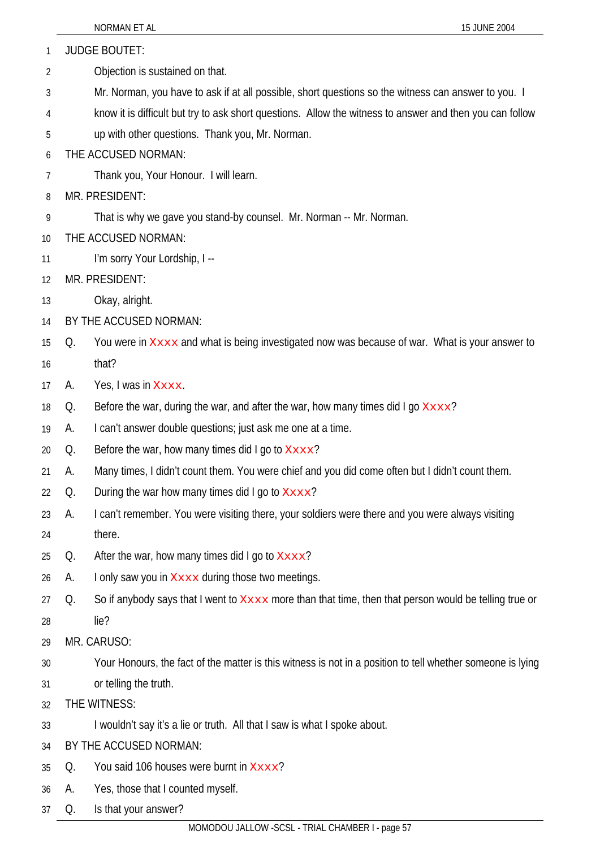|    |    | NORMAN ET AL                                                                                               | 15 JUNE 2004 |
|----|----|------------------------------------------------------------------------------------------------------------|--------------|
| 1  |    | <b>JUDGE BOUTET:</b>                                                                                       |              |
| 2  |    | Objection is sustained on that.                                                                            |              |
| 3  |    | Mr. Norman, you have to ask if at all possible, short questions so the witness can answer to you. I        |              |
| 4  |    | know it is difficult but try to ask short questions. Allow the witness to answer and then you can follow   |              |
| 5  |    | up with other questions. Thank you, Mr. Norman.                                                            |              |
| 6  |    | THE ACCUSED NORMAN:                                                                                        |              |
| 7  |    | Thank you, Your Honour. I will learn.                                                                      |              |
| 8  |    | MR. PRESIDENT:                                                                                             |              |
| 9  |    | That is why we gave you stand-by counsel. Mr. Norman -- Mr. Norman.                                        |              |
| 10 |    | THE ACCUSED NORMAN:                                                                                        |              |
| 11 |    | I'm sorry Your Lordship, I --                                                                              |              |
| 12 |    | MR. PRESIDENT:                                                                                             |              |
| 13 |    | Okay, alright.                                                                                             |              |
| 14 |    | BY THE ACCUSED NORMAN:                                                                                     |              |
| 15 | Q. | You were in XXXX and what is being investigated now was because of war. What is your answer to             |              |
| 16 |    | that?                                                                                                      |              |
| 17 | А. | Yes, I was in Xxxx.                                                                                        |              |
| 18 | Q. | Before the war, during the war, and after the war, how many times did I go $Xxxx$ ?                        |              |
| 19 | А. | I can't answer double questions; just ask me one at a time.                                                |              |
| 20 | Q. | Before the war, how many times did I go to $X \times X$ ?                                                  |              |
| 21 | A. | Many times, I didn't count them. You were chief and you did come often but I didn't count them.            |              |
| 22 | Q. | During the war how many times did I go to $X \times X$ ?                                                   |              |
| 23 | А. | I can't remember. You were visiting there, your soldiers were there and you were always visiting           |              |
| 24 |    | there.                                                                                                     |              |
| 25 | Q. | After the war, how many times did I go to Xxxx?                                                            |              |
| 26 | А. | I only saw you in Xxxx during those two meetings.                                                          |              |
| 27 | Q. | So if anybody says that I went to Xxxx more than that time, then that person would be telling true or      |              |
| 28 |    | lie?                                                                                                       |              |
| 29 |    | MR. CARUSO:                                                                                                |              |
| 30 |    | Your Honours, the fact of the matter is this witness is not in a position to tell whether someone is lying |              |
| 31 |    | or telling the truth.                                                                                      |              |
| 32 |    | THE WITNESS:                                                                                               |              |
| 33 |    | I wouldn't say it's a lie or truth. All that I saw is what I spoke about.                                  |              |
| 34 |    | BY THE ACCUSED NORMAN:                                                                                     |              |
| 35 | Q. | You said 106 houses were burnt in Xxxx?                                                                    |              |
| 36 | А. | Yes, those that I counted myself.                                                                          |              |
| 37 | Q. | Is that your answer?                                                                                       |              |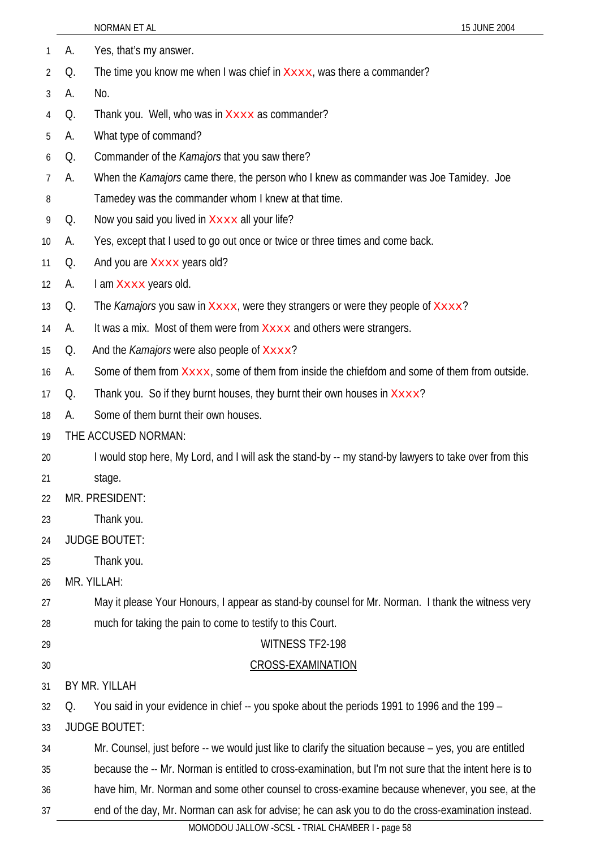|    |    | NORMAN ET AL<br>15 JUNE 2004                                                                                                                           |
|----|----|--------------------------------------------------------------------------------------------------------------------------------------------------------|
| 1  | А. | Yes, that's my answer.                                                                                                                                 |
| 2  | Q. | The time you know me when I was chief in $x_{\text{xxx}}$ , was there a commander?                                                                     |
| 3  | А. | No.                                                                                                                                                    |
| 4  | Q. | Thank you. Well, who was in Xxxx as commander?                                                                                                         |
| 5  | A. | What type of command?                                                                                                                                  |
| 6  | Q. | Commander of the Kamajors that you saw there?                                                                                                          |
| 7  | А. | When the <i>Kamajors</i> came there, the person who I knew as commander was Joe Tamidey. Joe                                                           |
| 8  |    | Tamedey was the commander whom I knew at that time.                                                                                                    |
| 9  | Q. | Now you said you lived in Xxxx all your life?                                                                                                          |
| 10 | А. | Yes, except that I used to go out once or twice or three times and come back.                                                                          |
| 11 | Q. | And you are Xxxx years old?                                                                                                                            |
| 12 | А. | I am Xxxx years old.                                                                                                                                   |
| 13 | Q. | The Kamajors you saw in Xxxx, were they strangers or were they people of Xxxx?                                                                         |
| 14 | A. | It was a mix. Most of them were from <b>XXXX</b> and others were strangers.                                                                            |
| 15 | Q. | And the <i>Kamajors</i> were also people of Xxxx?                                                                                                      |
| 16 | А. | Some of them from Xxxx, some of them from inside the chiefdom and some of them from outside.                                                           |
| 17 | Q. | Thank you. So if they burnt houses, they burnt their own houses in Xxxx?                                                                               |
| 18 | А. | Some of them burnt their own houses.                                                                                                                   |
| 19 |    | THE ACCUSED NORMAN:                                                                                                                                    |
| 20 |    | I would stop here, My Lord, and I will ask the stand-by -- my stand-by lawyers to take over from this                                                  |
| 21 |    | stage.                                                                                                                                                 |
| 22 |    | MR. PRESIDENT:                                                                                                                                         |
| 23 |    | Thank you.                                                                                                                                             |
| 24 |    | <b>JUDGE BOUTET:</b>                                                                                                                                   |
| 25 |    | Thank you.                                                                                                                                             |
| 26 |    | MR. YILLAH:                                                                                                                                            |
| 27 |    | May it please Your Honours, I appear as stand-by counsel for Mr. Norman. I thank the witness very                                                      |
| 28 |    | much for taking the pain to come to testify to this Court.                                                                                             |
| 29 |    | WITNESS TF2-198                                                                                                                                        |
| 30 |    | <b>CROSS-EXAMINATION</b>                                                                                                                               |
| 31 |    | BY MR. YILLAH                                                                                                                                          |
| 32 | Q. | You said in your evidence in chief -- you spoke about the periods 1991 to 1996 and the 199 -                                                           |
| 33 |    | <b>JUDGE BOUTET:</b>                                                                                                                                   |
| 34 |    | Mr. Counsel, just before -- we would just like to clarify the situation because – yes, you are entitled                                                |
| 35 |    | because the -- Mr. Norman is entitled to cross-examination, but I'm not sure that the intent here is to                                                |
| 36 |    | have him, Mr. Norman and some other counsel to cross-examine because whenever, you see, at the                                                         |
| 37 |    | end of the day, Mr. Norman can ask for advise; he can ask you to do the cross-examination instead.<br>MOMODOU JALLOW -SCSL - TRIAL CHAMBER I - page 58 |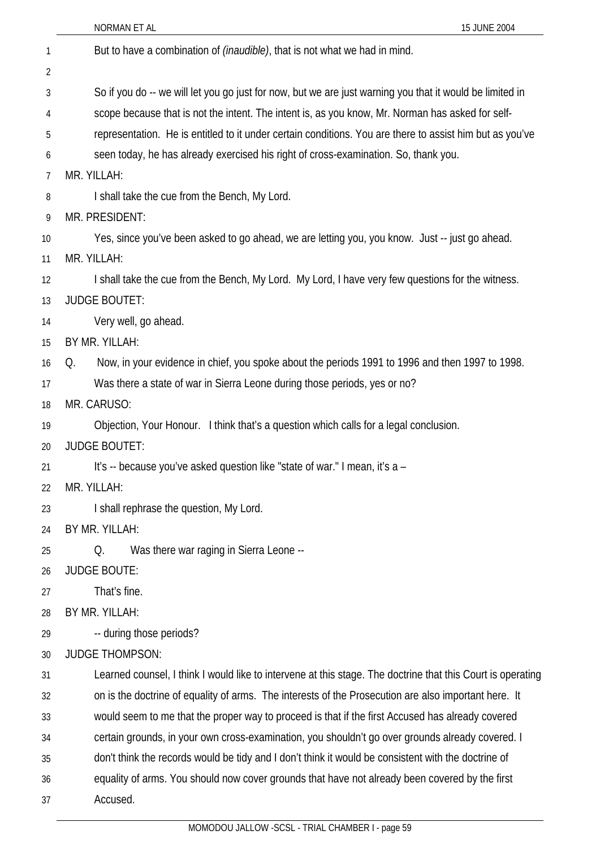|    | 15 JUNE 2004<br>NORMAN ET AL                                                                                |
|----|-------------------------------------------------------------------------------------------------------------|
| 1  | But to have a combination of <i>(inaudible)</i> , that is not what we had in mind.                          |
| 2  |                                                                                                             |
| 3  | So if you do -- we will let you go just for now, but we are just warning you that it would be limited in    |
| 4  | scope because that is not the intent. The intent is, as you know, Mr. Norman has asked for self-            |
| 5  | representation. He is entitled to it under certain conditions. You are there to assist him but as you've    |
| 6  | seen today, he has already exercised his right of cross-examination. So, thank you.                         |
| 7  | MR. YILLAH:                                                                                                 |
| 8  | I shall take the cue from the Bench, My Lord.                                                               |
| 9  | MR. PRESIDENT:                                                                                              |
| 10 | Yes, since you've been asked to go ahead, we are letting you, you know. Just -- just go ahead.              |
| 11 | MR. YILLAH:                                                                                                 |
| 12 | I shall take the cue from the Bench, My Lord. My Lord, I have very few questions for the witness.           |
| 13 | <b>JUDGE BOUTET:</b>                                                                                        |
| 14 | Very well, go ahead.                                                                                        |
| 15 | BY MR. YILLAH:                                                                                              |
| 16 | Now, in your evidence in chief, you spoke about the periods 1991 to 1996 and then 1997 to 1998.<br>Q.       |
| 17 | Was there a state of war in Sierra Leone during those periods, yes or no?                                   |
| 18 | MR. CARUSO:                                                                                                 |
| 19 | Objection, Your Honour. I think that's a question which calls for a legal conclusion.                       |
| 20 | <b>JUDGE BOUTET:</b>                                                                                        |
| 21 | It's -- because you've asked question like "state of war." I mean, it's a -                                 |
| 22 | MR. YILLAH:                                                                                                 |
| 23 | I shall rephrase the question, My Lord.                                                                     |
| 24 | BY MR. YILLAH:                                                                                              |
| 25 | Was there war raging in Sierra Leone --<br>Q.                                                               |
| 26 | <b>JUDGE BOUTE:</b>                                                                                         |
| 27 | That's fine.                                                                                                |
| 28 | BY MR. YILLAH:                                                                                              |
| 29 | -- during those periods?                                                                                    |
| 30 | <b>JUDGE THOMPSON:</b>                                                                                      |
| 31 | Learned counsel, I think I would like to intervene at this stage. The doctrine that this Court is operating |
| 32 | on is the doctrine of equality of arms. The interests of the Prosecution are also important here. It        |
| 33 | would seem to me that the proper way to proceed is that if the first Accused has already covered            |
| 34 | certain grounds, in your own cross-examination, you shouldn't go over grounds already covered. I            |
| 35 | don't think the records would be tidy and I don't think it would be consistent with the doctrine of         |
| 36 | equality of arms. You should now cover grounds that have not already been covered by the first              |
| 37 | Accused.                                                                                                    |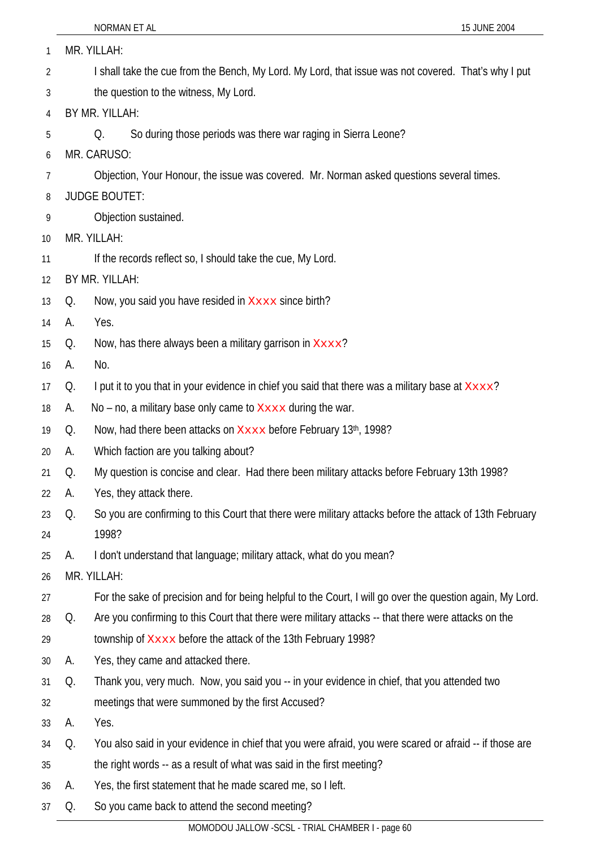| 1        |    | MR. YILLAH:                                                                                                      |
|----------|----|------------------------------------------------------------------------------------------------------------------|
| 2        |    | I shall take the cue from the Bench, My Lord. My Lord, that issue was not covered. That's why I put              |
| 3        |    | the question to the witness, My Lord.                                                                            |
| 4        |    | BY MR. YILLAH:                                                                                                   |
| 5        |    | So during those periods was there war raging in Sierra Leone?<br>Q.                                              |
| 6        |    | MR. CARUSO:                                                                                                      |
| 7        |    | Objection, Your Honour, the issue was covered. Mr. Norman asked questions several times.                         |
| 8        |    | <b>JUDGE BOUTET:</b>                                                                                             |
| 9        |    | Objection sustained.                                                                                             |
| 10       |    | MR. YILLAH:                                                                                                      |
| 11       |    | If the records reflect so, I should take the cue, My Lord.                                                       |
| 12       |    | BY MR. YILLAH:                                                                                                   |
| 13       | Q. | Now, you said you have resided in Xxxx since birth?                                                              |
| 14       | А. | Yes.                                                                                                             |
| 15       | Q. | Now, has there always been a military garrison in Xxxx?                                                          |
| 16       | А. | No.                                                                                                              |
| 17       | Q. | I put it to you that in your evidence in chief you said that there was a military base at Xxxx?                  |
| 18       | А. | No – no, a military base only came to $x_{xxxx}$ during the war.                                                 |
| 19       | Q. | Now, had there been attacks on Xxxx before February 13th, 1998?                                                  |
| 20       | А. | Which faction are you talking about?                                                                             |
| 21       | Q. | My question is concise and clear. Had there been military attacks before February 13th 1998?                     |
| 22       | A. | Yes, they attack there.                                                                                          |
| 23<br>24 | Q. | So you are confirming to this Court that there were military attacks before the attack of 13th February<br>1998? |
| 25       | А. | I don't understand that language; military attack, what do you mean?                                             |
| 26       |    | MR. YILLAH:                                                                                                      |
| 27       |    | For the sake of precision and for being helpful to the Court, I will go over the question again, My Lord.        |
| 28       | Q. | Are you confirming to this Court that there were military attacks -- that there were attacks on the              |
| 29       |    | township of Xxxx before the attack of the 13th February 1998?                                                    |
| 30       | А. | Yes, they came and attacked there.                                                                               |
| 31       | Q. | Thank you, very much. Now, you said you -- in your evidence in chief, that you attended two                      |
| 32       |    | meetings that were summoned by the first Accused?                                                                |
| 33       | A. | Yes.                                                                                                             |
| 34       | Q. | You also said in your evidence in chief that you were afraid, you were scared or afraid -- if those are          |
| 35       |    | the right words -- as a result of what was said in the first meeting?                                            |
| 36       | А. | Yes, the first statement that he made scared me, so I left.                                                      |
| 37       | Q. | So you came back to attend the second meeting?                                                                   |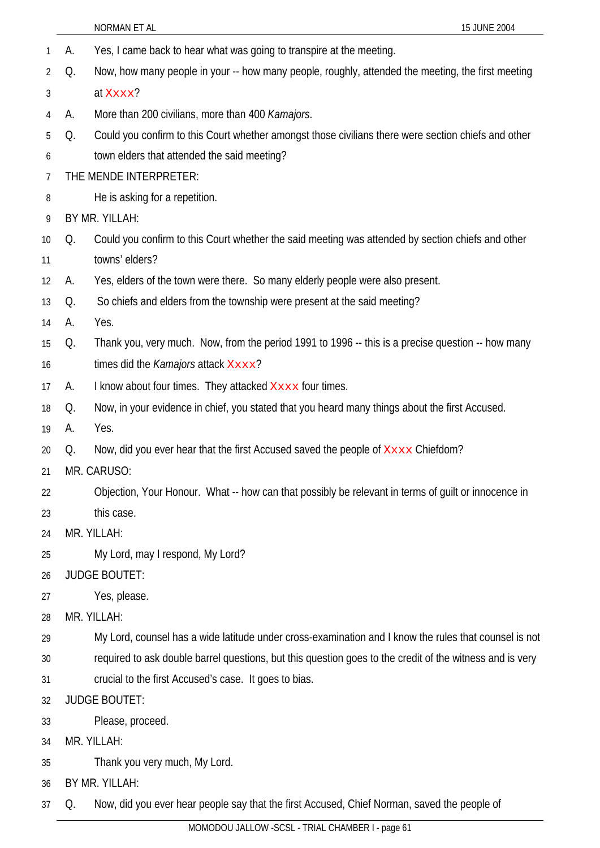|    |    | NORMAN ET AL<br>15 JUNE 2004                                                                             |  |
|----|----|----------------------------------------------------------------------------------------------------------|--|
| 1  | А. | Yes, I came back to hear what was going to transpire at the meeting.                                     |  |
| 2  | Q. | Now, how many people in your -- how many people, roughly, attended the meeting, the first meeting        |  |
| 3  |    | at Xxxx?                                                                                                 |  |
| 4  | А. | More than 200 civilians, more than 400 Kamajors.                                                         |  |
| 5  | Q. | Could you confirm to this Court whether amongst those civilians there were section chiefs and other      |  |
| 6  |    | town elders that attended the said meeting?                                                              |  |
| 7  |    | THE MENDE INTERPRETER:                                                                                   |  |
| 8  |    | He is asking for a repetition.                                                                           |  |
| 9  |    | BY MR. YILLAH:                                                                                           |  |
| 10 | Q. | Could you confirm to this Court whether the said meeting was attended by section chiefs and other        |  |
| 11 |    | towns' elders?                                                                                           |  |
| 12 | А. | Yes, elders of the town were there. So many elderly people were also present.                            |  |
| 13 | Q. | So chiefs and elders from the township were present at the said meeting?                                 |  |
| 14 | А. | Yes.                                                                                                     |  |
| 15 | Q. | Thank you, very much. Now, from the period 1991 to 1996 -- this is a precise question -- how many        |  |
| 16 |    | times did the Kamajors attack Xxxx?                                                                      |  |
| 17 | А. | I know about four times. They attacked Xxxx four times.                                                  |  |
| 18 | Q. | Now, in your evidence in chief, you stated that you heard many things about the first Accused.           |  |
| 19 | А. | Yes.                                                                                                     |  |
| 20 | Q. | Now, did you ever hear that the first Accused saved the people of XXXX Chiefdom?                         |  |
| 21 |    | MR. CARUSO:                                                                                              |  |
| 22 |    | Objection, Your Honour. What -- how can that possibly be relevant in terms of guilt or innocence in      |  |
| 23 |    | this case.                                                                                               |  |
| 24 |    | MR. YILLAH:                                                                                              |  |
| 25 |    | My Lord, may I respond, My Lord?                                                                         |  |
| 26 |    | <b>JUDGE BOUTET:</b>                                                                                     |  |
| 27 |    | Yes, please.                                                                                             |  |
| 28 |    | MR. YILLAH:                                                                                              |  |
| 29 |    | My Lord, counsel has a wide latitude under cross-examination and I know the rules that counsel is not    |  |
| 30 |    | required to ask double barrel questions, but this question goes to the credit of the witness and is very |  |
| 31 |    | crucial to the first Accused's case. It goes to bias.                                                    |  |
| 32 |    | <b>JUDGE BOUTET:</b>                                                                                     |  |
| 33 |    | Please, proceed.                                                                                         |  |
| 34 |    | MR. YILLAH:                                                                                              |  |
| 35 |    | Thank you very much, My Lord.                                                                            |  |
| 36 |    | BY MR. YILLAH:                                                                                           |  |
| 37 | Q. | Now, did you ever hear people say that the first Accused, Chief Norman, saved the people of              |  |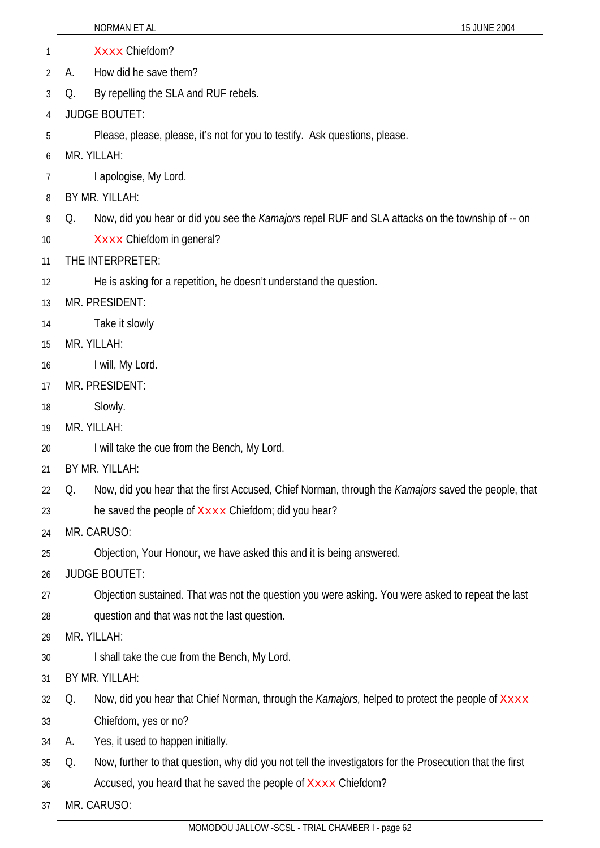|    | 15 JUNE 2004<br>NORMAN ET AL                                                                                   |
|----|----------------------------------------------------------------------------------------------------------------|
| 1  | Xxxx Chiefdom?                                                                                                 |
| 2  | How did he save them?<br>А.                                                                                    |
| 3  | By repelling the SLA and RUF rebels.<br>Q.                                                                     |
| 4  | <b>JUDGE BOUTET:</b>                                                                                           |
| 5  | Please, please, please, it's not for you to testify. Ask questions, please.                                    |
| 6  | MR. YILLAH:                                                                                                    |
| 7  | I apologise, My Lord.                                                                                          |
| 8  | BY MR. YILLAH:                                                                                                 |
| 9  | Now, did you hear or did you see the <i>Kamajors</i> repel RUF and SLA attacks on the township of -- on<br>Q.  |
| 10 | Xxxx Chiefdom in general?                                                                                      |
| 11 | THE INTERPRETER:                                                                                               |
| 12 | He is asking for a repetition, he doesn't understand the question.                                             |
| 13 | MR. PRESIDENT:                                                                                                 |
| 14 | Take it slowly                                                                                                 |
| 15 | MR. YILLAH:                                                                                                    |
| 16 | I will, My Lord.                                                                                               |
| 17 | MR. PRESIDENT:                                                                                                 |
| 18 | Slowly.                                                                                                        |
| 19 | MR. YILLAH:                                                                                                    |
| 20 | I will take the cue from the Bench, My Lord.                                                                   |
| 21 | BY MR. YILLAH:                                                                                                 |
| 22 | Now, did you hear that the first Accused, Chief Norman, through the Kamajors saved the people, that<br>Q.      |
| 23 | he saved the people of Xxxx Chiefdom; did you hear?                                                            |
| 24 | MR. CARUSO:                                                                                                    |
| 25 | Objection, Your Honour, we have asked this and it is being answered.                                           |
| 26 | <b>JUDGE BOUTET:</b>                                                                                           |
| 27 | Objection sustained. That was not the question you were asking. You were asked to repeat the last              |
| 28 | question and that was not the last question.                                                                   |
| 29 | MR. YILLAH:                                                                                                    |
| 30 | I shall take the cue from the Bench, My Lord.                                                                  |
| 31 | BY MR. YILLAH:                                                                                                 |
| 32 | Now, did you hear that Chief Norman, through the <i>Kamajors</i> , helped to protect the people of XXXX<br>Q.  |
| 33 | Chiefdom, yes or no?                                                                                           |
| 34 | Yes, it used to happen initially.<br>А.                                                                        |
| 35 | Now, further to that question, why did you not tell the investigators for the Prosecution that the first<br>Q. |
| 36 | Accused, you heard that he saved the people of Xxxx Chiefdom?                                                  |
| 37 | MR. CARUSO:                                                                                                    |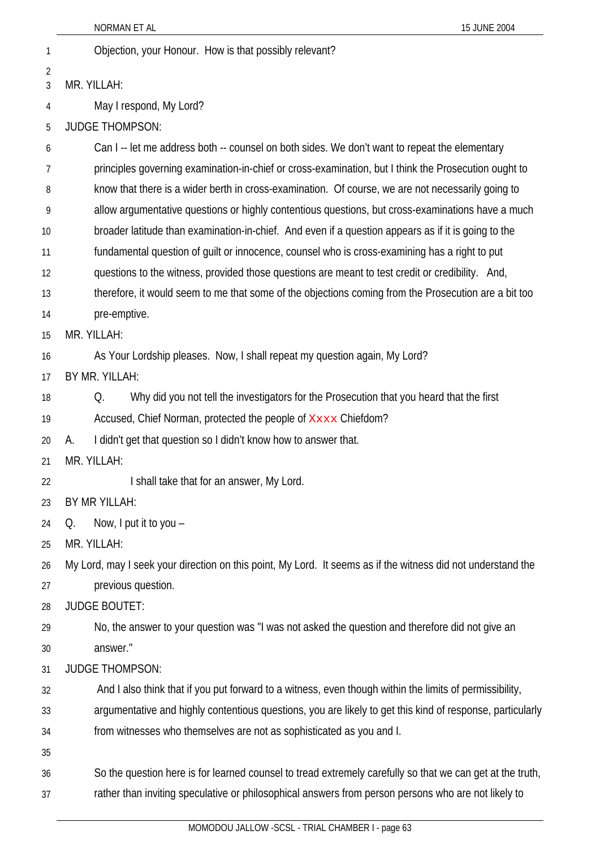1 Objection, your Honour. How is that possibly relevant? 2 3

4

6

MR. YILLAH:

May I respond, My Lord?

5 JUDGE THOMPSON:

7 8 9 10 11 12 13 14 15 16 17 18 19 20 21  $22$ 23 25 26 27 28 29 30 31 32 33 34 35 36 37 Can I -- let me address both -- counsel on both sides. We don't want to repeat the elementary principles governing examination-in-chief or cross-examination, but I think the Prosecution ought to know that there is a wider berth in cross-examination. Of course, we are not necessarily going to allow argumentative questions or highly contentious questions, but cross-examinations have a much broader latitude than examination-in-chief. And even if a question appears as if it is going to the fundamental question of guilt or innocence, counsel who is cross-examining has a right to put questions to the witness, provided those questions are meant to test credit or credibility. And, therefore, it would seem to me that some of the objections coming from the Prosecution are a bit too pre-emptive. MR. YILLAH: As Your Lordship pleases. Now, I shall repeat my question again, My Lord? BY MR. YILLAH: Q. Why did you not tell the investigators for the Prosecution that you heard that the first Accused, Chief Norman, protected the people of XXXX Chiefdom? A. I didn't get that question so I didn't know how to answer that. MR. YILLAH: I shall take that for an answer, My Lord. BY MR YILLAH: 24 Q. Now, I put it to you – MR. YILLAH: My Lord, may I seek your direction on this point, My Lord. It seems as if the witness did not understand the previous question. JUDGE BOUTET: No, the answer to your question was "I was not asked the question and therefore did not give an answer." JUDGE THOMPSON: And I also think that if you put forward to a witness, even though within the limits of permissibility, argumentative and highly contentious questions, you are likely to get this kind of response, particularly from witnesses who themselves are not as sophisticated as you and I. So the question here is for learned counsel to tread extremely carefully so that we can get at the truth, rather than inviting speculative or philosophical answers from person persons who are not likely to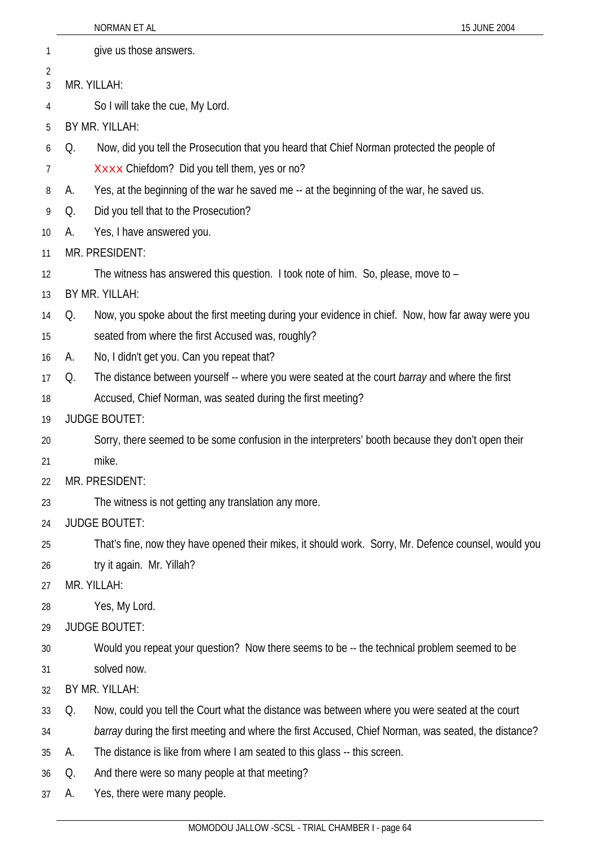|          |    | NORMAN ET AL<br>15 JUNE 2004                                                                         |
|----------|----|------------------------------------------------------------------------------------------------------|
| 1        |    | give us those answers.                                                                               |
| 2        |    | MR. YILLAH:                                                                                          |
| 3        |    |                                                                                                      |
| 4        |    | So I will take the cue, My Lord.                                                                     |
| 5        |    | BY MR. YILLAH:                                                                                       |
| 6        | Q. | Now, did you tell the Prosecution that you heard that Chief Norman protected the people of           |
| 7        |    | Xxxx Chiefdom? Did you tell them, yes or no?                                                         |
| 8        | А. | Yes, at the beginning of the war he saved me -- at the beginning of the war, he saved us.            |
| 9        | Q. | Did you tell that to the Prosecution?                                                                |
| 10       | А. | Yes, I have answered you.                                                                            |
| 11       |    | MR. PRESIDENT:                                                                                       |
| 12       |    | The witness has answered this question. I took note of him. So, please, move to -                    |
| 13       |    | BY MR. YILLAH:                                                                                       |
| 14       | Q. | Now, you spoke about the first meeting during your evidence in chief. Now, how far away were you     |
| 15       |    | seated from where the first Accused was, roughly?                                                    |
| 16       | А. | No, I didn't get you. Can you repeat that?                                                           |
| 17       | Q. | The distance between yourself -- where you were seated at the court barray and where the first       |
| 18       |    | Accused, Chief Norman, was seated during the first meeting?                                          |
| 19       |    | <b>JUDGE BOUTET:</b>                                                                                 |
| 20       |    | Sorry, there seemed to be some confusion in the interpreters' booth because they don't open their    |
| 21       |    | mike.<br>MR. PRESIDENT:                                                                              |
| 22       |    |                                                                                                      |
| 23       |    | The witness is not getting any translation any more.                                                 |
| 24       |    | <b>JUDGE BOUTET:</b>                                                                                 |
| 25       |    | That's fine, now they have opened their mikes, it should work. Sorry, Mr. Defence counsel, would you |
| 26       |    | try it again. Mr. Yillah?<br>MR. YILLAH:                                                             |
| 27<br>28 |    | Yes, My Lord.                                                                                        |
| 29       |    | <b>JUDGE BOUTET:</b>                                                                                 |
| 30       |    | Would you repeat your question? Now there seems to be -- the technical problem seemed to be          |
| 31       |    | solved now.                                                                                          |
| 32       |    | BY MR. YILLAH:                                                                                       |
| 33       | Q. | Now, could you tell the Court what the distance was between where you were seated at the court       |
| 34       |    | barray during the first meeting and where the first Accused, Chief Norman, was seated, the distance? |
| 35       | А. | The distance is like from where I am seated to this glass -- this screen.                            |
| 36       | Q. | And there were so many people at that meeting?                                                       |
| 37       | А. | Yes, there were many people.                                                                         |
|          |    |                                                                                                      |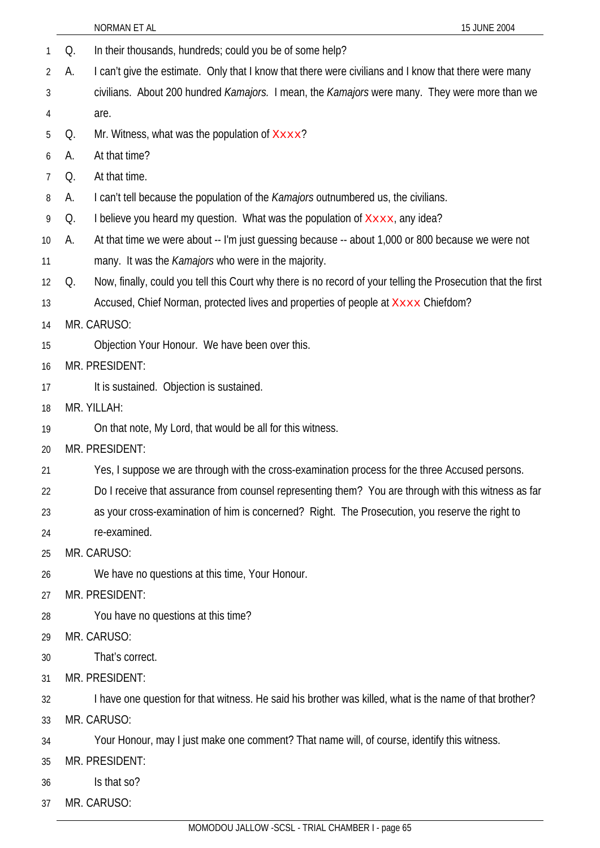|                |    | NORMAN ET AL<br>15 JUNE 2004                                                                                  |
|----------------|----|---------------------------------------------------------------------------------------------------------------|
| 1              | Q. | In their thousands, hundreds; could you be of some help?                                                      |
| $\overline{2}$ | А. | I can't give the estimate. Only that I know that there were civilians and I know that there were many         |
| 3              |    | civilians. About 200 hundred <i>Kamajors.</i> I mean, the <i>Kamajors</i> were many. They were more than we   |
| 4              |    | are.                                                                                                          |
| 5              | Q. | Mr. Witness, what was the population of $xxxx$ ?                                                              |
| 6              | А. | At that time?                                                                                                 |
| $\overline{7}$ | Q. | At that time.                                                                                                 |
| 8              | A. | I can't tell because the population of the Kamajors outnumbered us, the civilians.                            |
| 9              | Q. | I believe you heard my question. What was the population of $X_{\text{XXX}}$ , any idea?                      |
| 10             | А. | At that time we were about -- I'm just guessing because -- about 1,000 or 800 because we were not             |
| 11             |    | many. It was the <i>Kamajors</i> who were in the majority.                                                    |
| 12             | Q. | Now, finally, could you tell this Court why there is no record of your telling the Prosecution that the first |
| 13             |    | Accused, Chief Norman, protected lives and properties of people at XXXX Chiefdom?                             |
| 14             |    | MR. CARUSO:                                                                                                   |
| 15             |    | Objection Your Honour. We have been over this.                                                                |
| 16             |    | MR. PRESIDENT:                                                                                                |
| 17             |    | It is sustained. Objection is sustained.                                                                      |
| 18             |    | MR. YILLAH:                                                                                                   |
| 19             |    | On that note, My Lord, that would be all for this witness.                                                    |
| 20             |    | MR. PRESIDENT:                                                                                                |
| 21             |    | Yes, I suppose we are through with the cross-examination process for the three Accused persons.               |
| 22             |    | Do I receive that assurance from counsel representing them? You are through with this witness as far          |
| 23             |    | as your cross-examination of him is concerned? Right. The Prosecution, you reserve the right to               |
| 24             |    | re-examined.                                                                                                  |
| 25             |    | MR. CARUSO:                                                                                                   |
| 26             |    | We have no questions at this time, Your Honour.                                                               |
| 27             |    | MR. PRESIDENT:                                                                                                |
| 28             |    | You have no questions at this time?                                                                           |
| 29             |    | MR. CARUSO:                                                                                                   |
| 30             |    | That's correct.                                                                                               |
| 31             |    | MR. PRESIDENT:                                                                                                |
| 32             |    | I have one question for that witness. He said his brother was killed, what is the name of that brother?       |
| 33             |    | MR. CARUSO:                                                                                                   |
| 34             |    | Your Honour, may I just make one comment? That name will, of course, identify this witness.                   |
| 35             |    | MR. PRESIDENT:                                                                                                |
| 36             |    | Is that so?                                                                                                   |
| 37             |    | MR. CARUSO:                                                                                                   |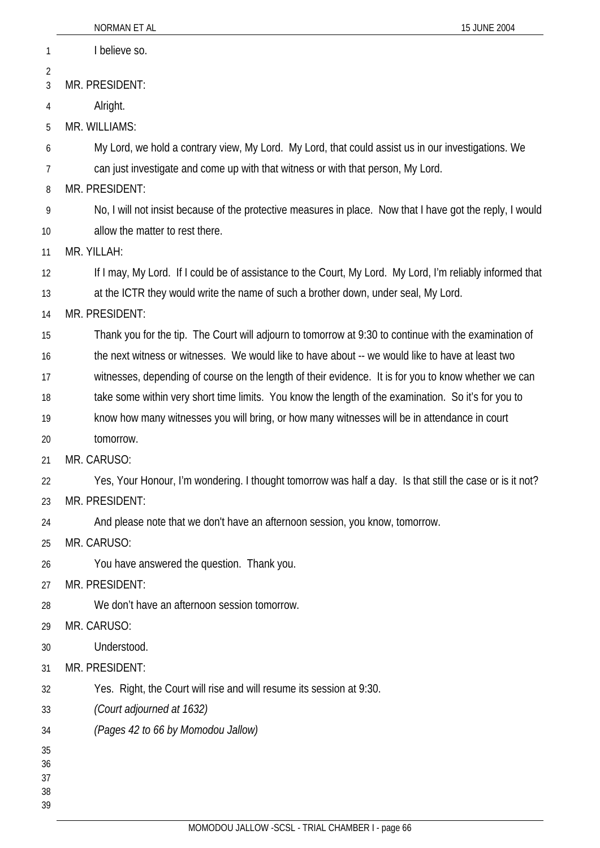|          | NORMAN ET AL<br>15 JUNE 2004                                                                              |
|----------|-----------------------------------------------------------------------------------------------------------|
| 1        | I believe so.                                                                                             |
| 2        |                                                                                                           |
| 3        | MR. PRESIDENT:                                                                                            |
| 4        | Alright.                                                                                                  |
| 5        | MR. WILLIAMS:                                                                                             |
| 6        | My Lord, we hold a contrary view, My Lord. My Lord, that could assist us in our investigations. We        |
| 7        | can just investigate and come up with that witness or with that person, My Lord.                          |
| 8        | MR. PRESIDENT:                                                                                            |
| 9        | No, I will not insist because of the protective measures in place. Now that I have got the reply, I would |
| 10       | allow the matter to rest there.                                                                           |
| 11       | MR. YILLAH:                                                                                               |
| 12       | If I may, My Lord. If I could be of assistance to the Court, My Lord. My Lord, I'm reliably informed that |
| 13       | at the ICTR they would write the name of such a brother down, under seal, My Lord.                        |
| 14       | MR. PRESIDENT:                                                                                            |
| 15       | Thank you for the tip. The Court will adjourn to tomorrow at 9:30 to continue with the examination of     |
| 16       | the next witness or witnesses. We would like to have about -- we would like to have at least two          |
| 17       | witnesses, depending of course on the length of their evidence. It is for you to know whether we can      |
| 18       | take some within very short time limits. You know the length of the examination. So it's for you to       |
| 19       | know how many witnesses you will bring, or how many witnesses will be in attendance in court              |
| 20       | tomorrow.                                                                                                 |
| 21       | MR. CARUSO:                                                                                               |
| 22       | Yes, Your Honour, I'm wondering. I thought tomorrow was half a day. Is that still the case or is it not?  |
| 23       | MR. PRESIDENT:                                                                                            |
| 24       | And please note that we don't have an afternoon session, you know, tomorrow.                              |
| 25       | MR. CARUSO:                                                                                               |
| 26       | You have answered the question. Thank you.                                                                |
| 27       | MR. PRESIDENT:                                                                                            |
| 28       | We don't have an afternoon session tomorrow.                                                              |
| 29       | MR. CARUSO:                                                                                               |
| 30       | Understood.                                                                                               |
| 31       | MR. PRESIDENT:                                                                                            |
| 32       | Yes. Right, the Court will rise and will resume its session at 9:30.                                      |
| 33       | (Court adjourned at 1632)                                                                                 |
| 34       | (Pages 42 to 66 by Momodou Jallow)                                                                        |
| 35<br>36 |                                                                                                           |
| 37<br>38 |                                                                                                           |
| 39       |                                                                                                           |